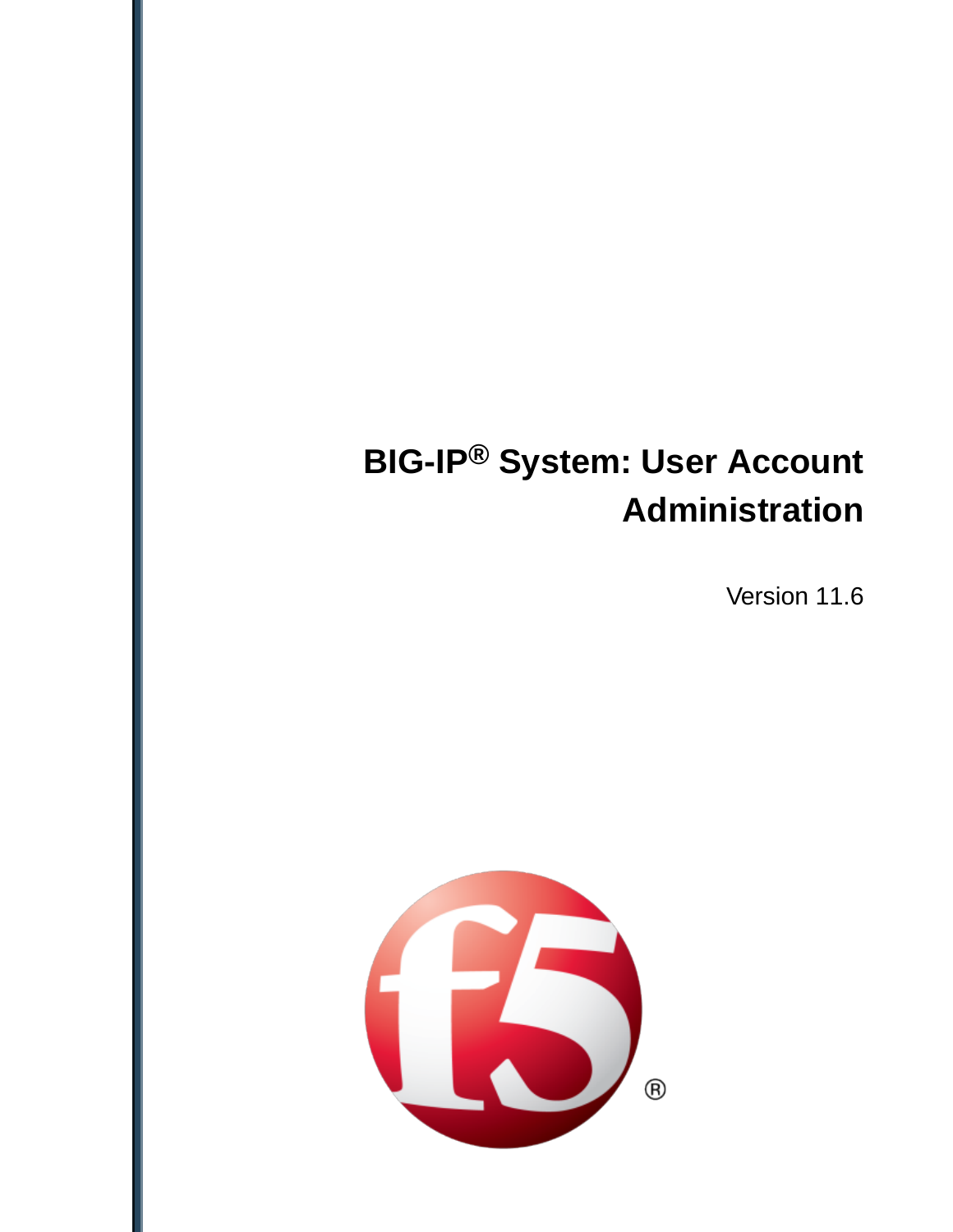# **BIG-IP® System: User Account Administration**

Version 11.6

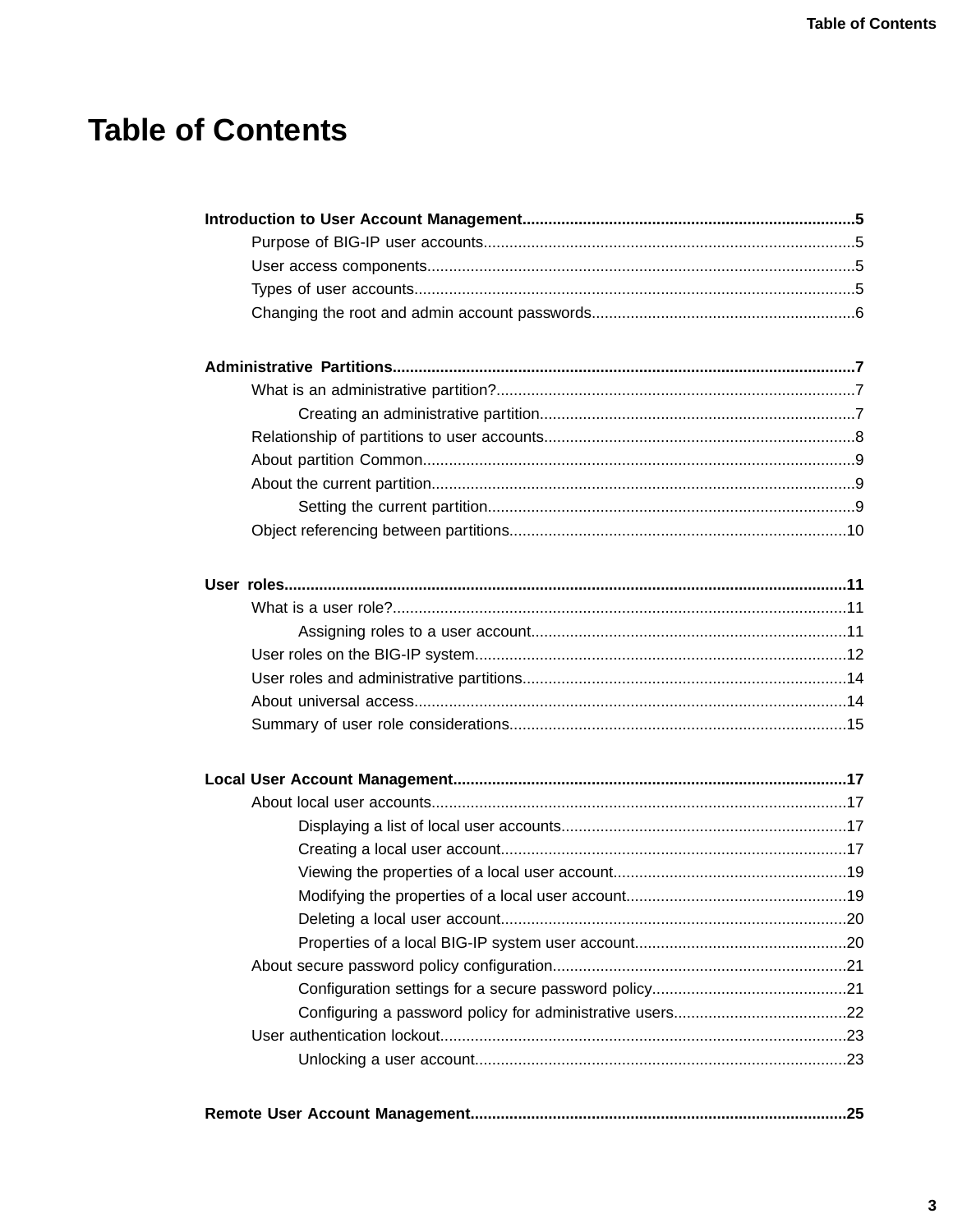# **Table of Contents**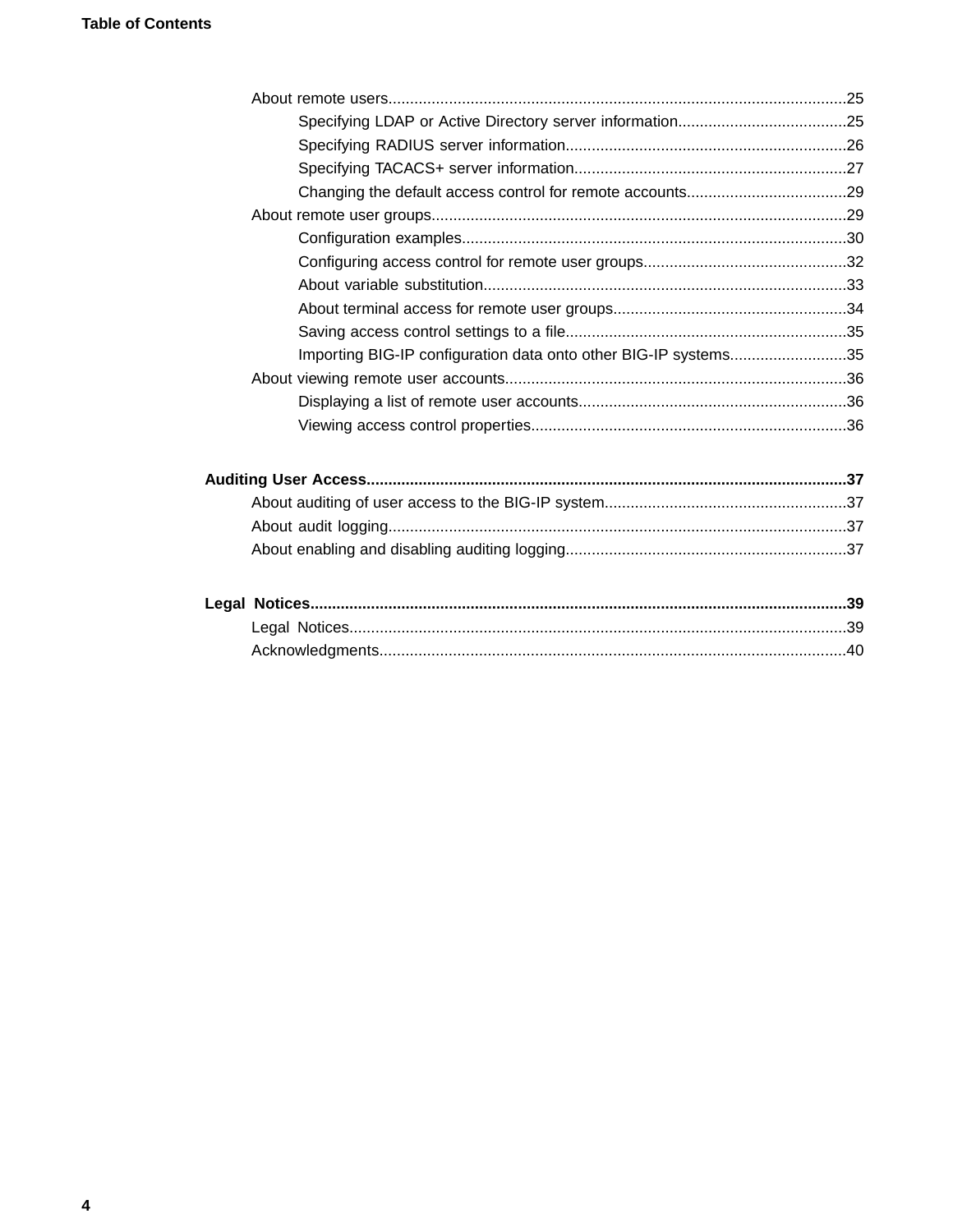| Importing BIG-IP configuration data onto other BIG-IP systems35 |  |
|-----------------------------------------------------------------|--|
|                                                                 |  |
|                                                                 |  |
|                                                                 |  |
|                                                                 |  |
|                                                                 |  |
|                                                                 |  |
|                                                                 |  |
|                                                                 |  |
|                                                                 |  |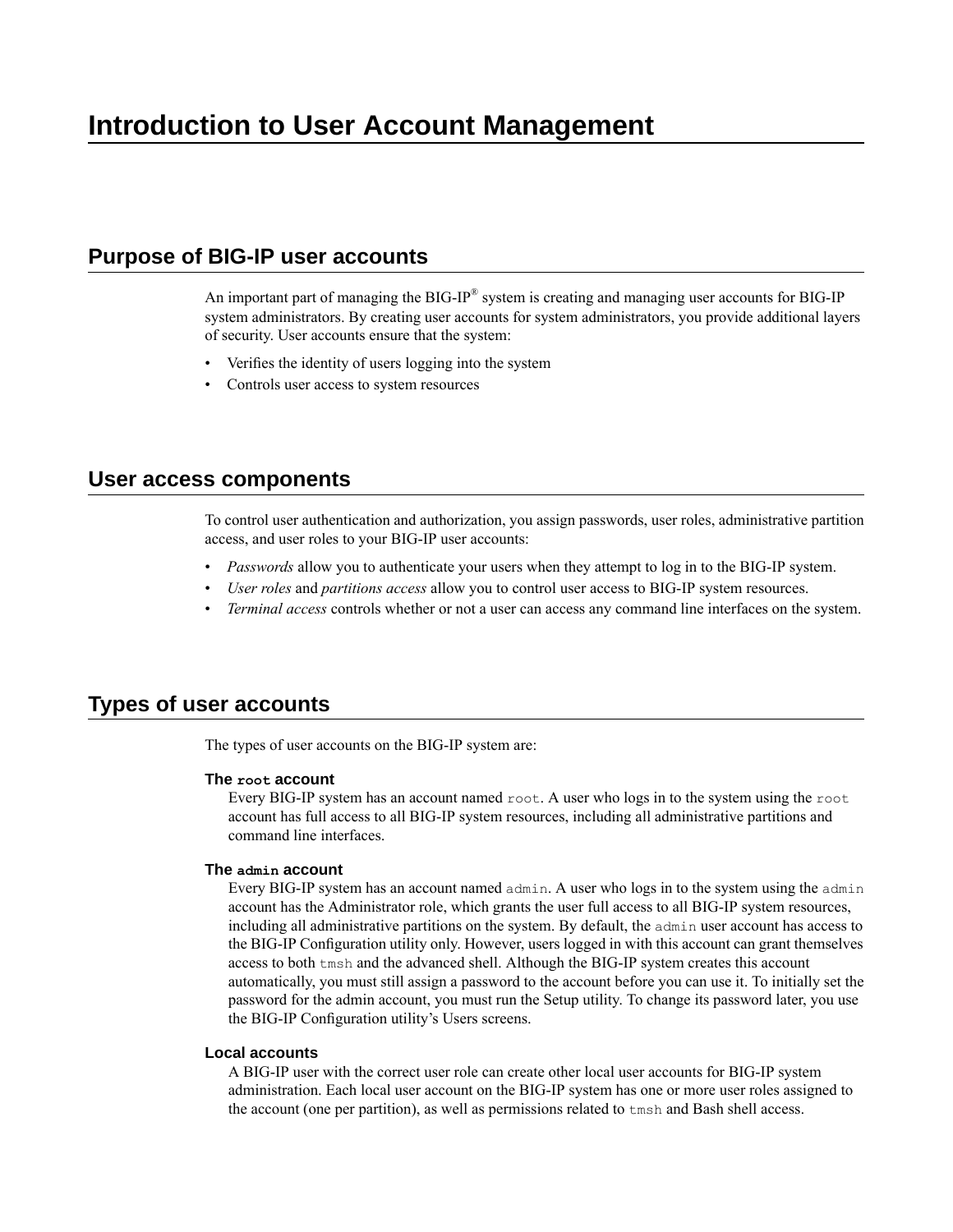# <span id="page-4-1"></span><span id="page-4-0"></span>**Purpose of BIG-IP user accounts**

An important part of managing the BIG-IP® system is creating and managing user accounts for BIG-IP system administrators. By creating user accounts for system administrators, you provide additional layers of security. User accounts ensure that the system:

- Verifies the identity of users logging into the system
- Controls user access to system resources

### <span id="page-4-2"></span>**User access components**

To control user authentication and authorization, you assign passwords, user roles, administrative partition access, and user roles to your BIG-IP user accounts:

- *Passwords* allow you to authenticate your users when they attempt to log in to the BIG-IP system.
- *User roles* and *partitions access* allow you to control user access to BIG-IP system resources.
- *Terminal access* controls whether or not a user can access any command line interfaces on the system.

# <span id="page-4-3"></span>**Types of user accounts**

The types of user accounts on the BIG-IP system are:

#### **The root account**

Every BIG-IP system has an account named  $root$ . A user who logs in to the system using the root account has full access to all BIG-IP system resources, including all administrative partitions and command line interfaces.

#### **The admin account**

Every BIG-IP system has an account named admin. A user who logs in to the system using the admin account has the Administrator role, which grants the user full access to all BIG-IP system resources, including all administrative partitions on the system. By default, the admin user account has access to the BIG-IP Configuration utility only. However, users logged in with this account can grant themselves access to both tmsh and the advanced shell. Although the BIG-IP system creates this account automatically, you must still assign a password to the account before you can use it. To initially set the password for the admin account, you must run the Setup utility. To change its password later, you use the BIG-IP Configuration utility's Users screens.

### **Local accounts**

A BIG-IP user with the correct user role can create other local user accounts for BIG-IP system administration. Each local user account on the BIG-IP system has one or more user roles assigned to the account (one per partition), as well as permissions related to tmsh and Bash shell access.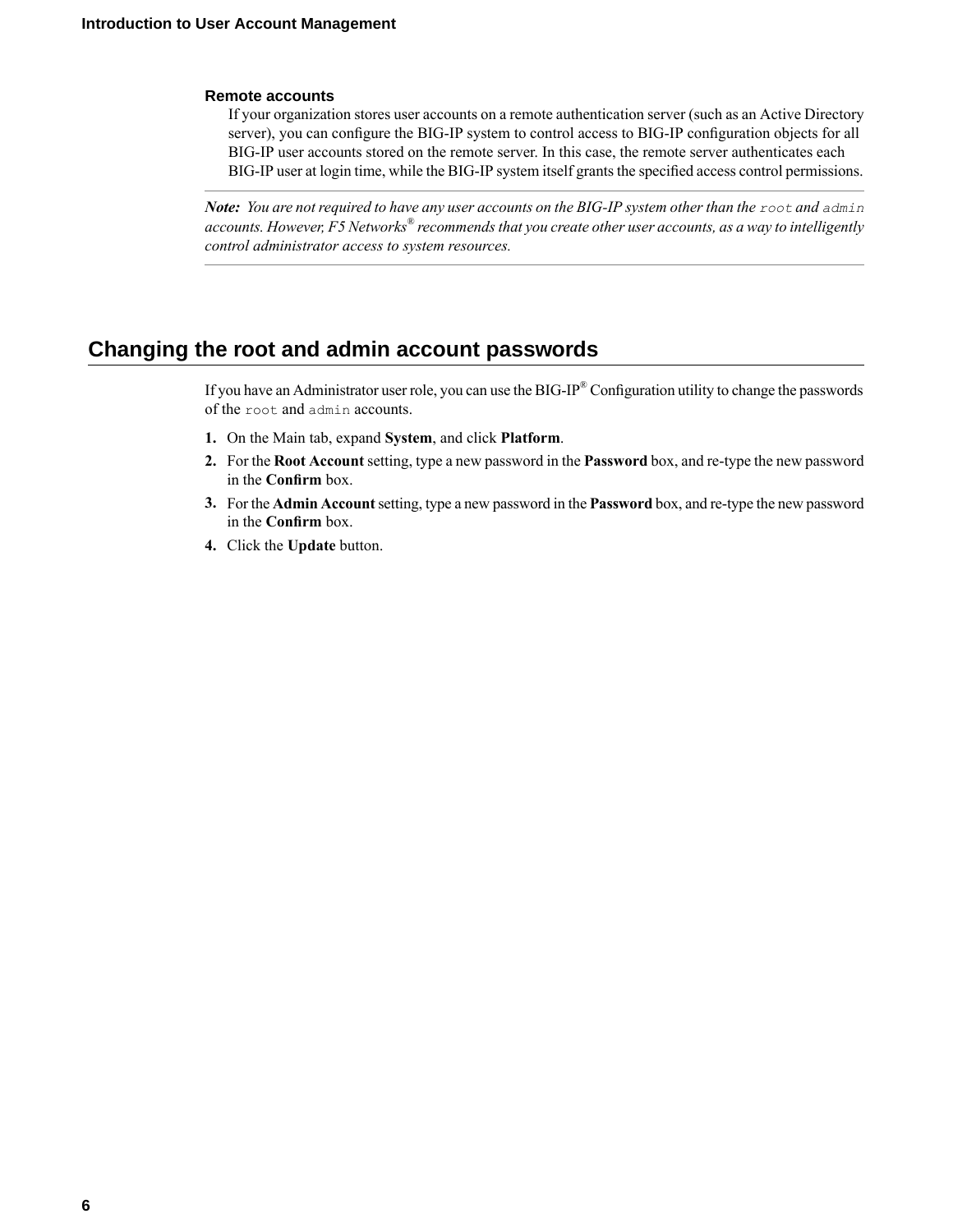#### **Remote accounts**

If your organization stores user accounts on a remote authentication server (such as an Active Directory server), you can configure the BIG-IP system to control access to BIG-IP configuration objects for all BIG-IP user accounts stored on the remote server. In this case, the remote server authenticates each BIG-IP user at login time, while the BIG-IP system itself grants the specified access control permissions.

Note: You are not required to have any user accounts on the BIG-IP system other than the root and admin *accounts. However, F5 Networks® recommendsthat you create other user accounts, as a way to intelligently control administrator access to system resources.*

# <span id="page-5-0"></span>**Changing the root and admin account passwords**

If you have an Administrator user role, you can use the BIG-IP<sup>®</sup> Configuration utility to change the passwords of the root and admin accounts.

- **1.** On the Main tab, expand **System**, and click **Platform**.
- **2.** For the **Root Account** setting, type a new password in the **Password**box, and re-type the new password in the **Confirm** box.
- **3.** For the **Admin Account**setting, type a new password in the **Password**box, and re-type the new password in the **Confirm** box.
- **4.** Click the **Update** button.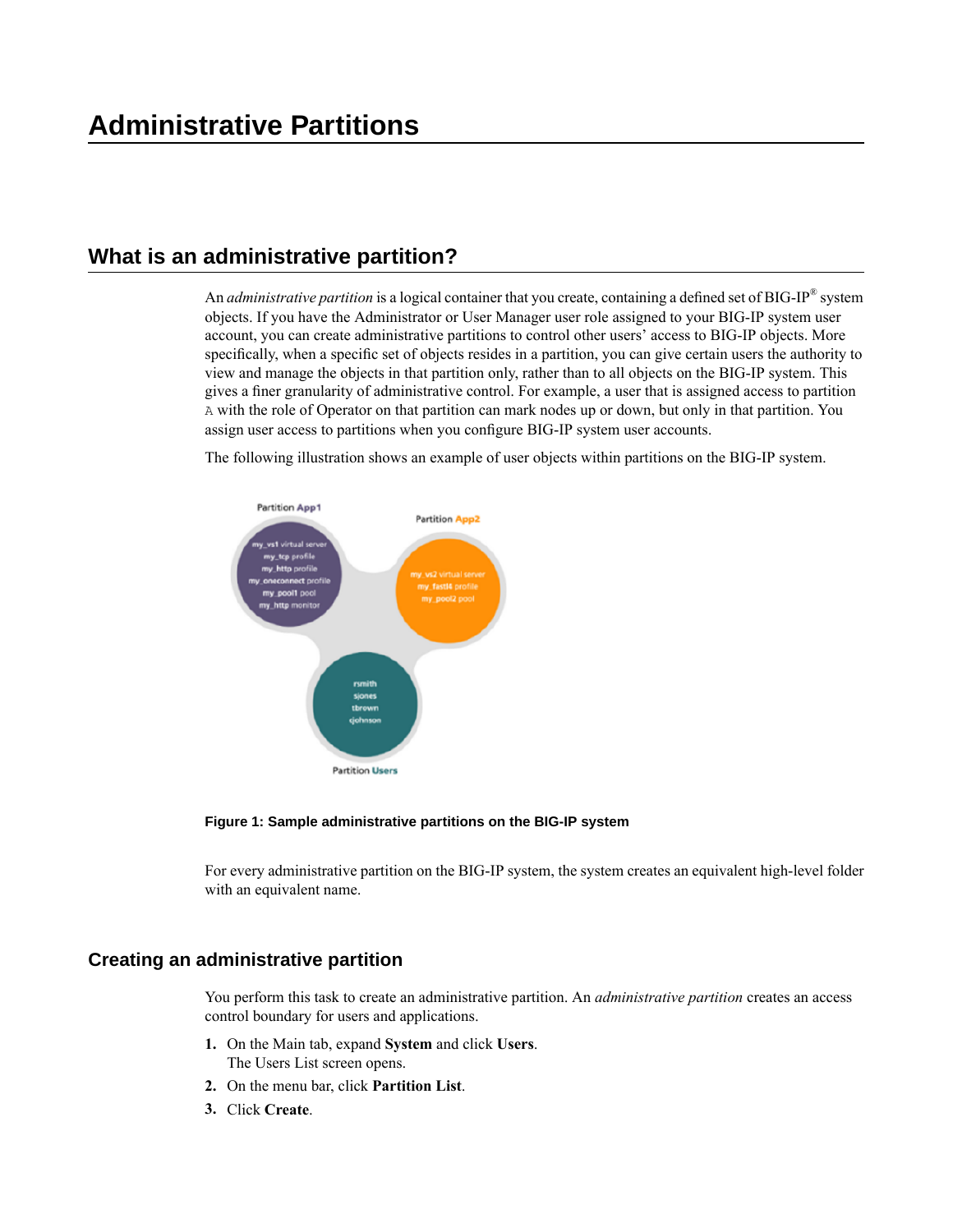# <span id="page-6-1"></span><span id="page-6-0"></span>**What is an administrative partition?**

An *administrative partition* is a logical container that you create, containing a defined set of BIG-IP® system objects. If you have the Administrator or User Manager user role assigned to your BIG-IP system user account, you can create administrative partitions to control other users' access to BIG-IP objects. More specifically, when a specific set of objects resides in a partition, you can give certain users the authority to view and manage the objects in that partition only, rather than to all objects on the BIG-IP system. This gives a finer granularity of administrative control. For example, a user that is assigned access to partition A with the role of Operator on that partition can mark nodes up or down, but only in that partition. You assign user access to partitions when you configure BIG-IP system user accounts.

The following illustration shows an example of user objects within partitions on the BIG-IP system.



**Figure 1: Sample administrative partitions on the BIG-IP system**

For every administrative partition on the BIG-IP system, the system creates an equivalent high-level folder with an equivalent name.

### <span id="page-6-2"></span>**Creating an administrative partition**

You perform this task to create an administrative partition. An *administrative partition* creates an access control boundary for users and applications.

- **1.** On the Main tab, expand **System** and click **Users**. The Users List screen opens.
- **2.** On the menu bar, click **Partition List**.
- **3.** Click **Create**.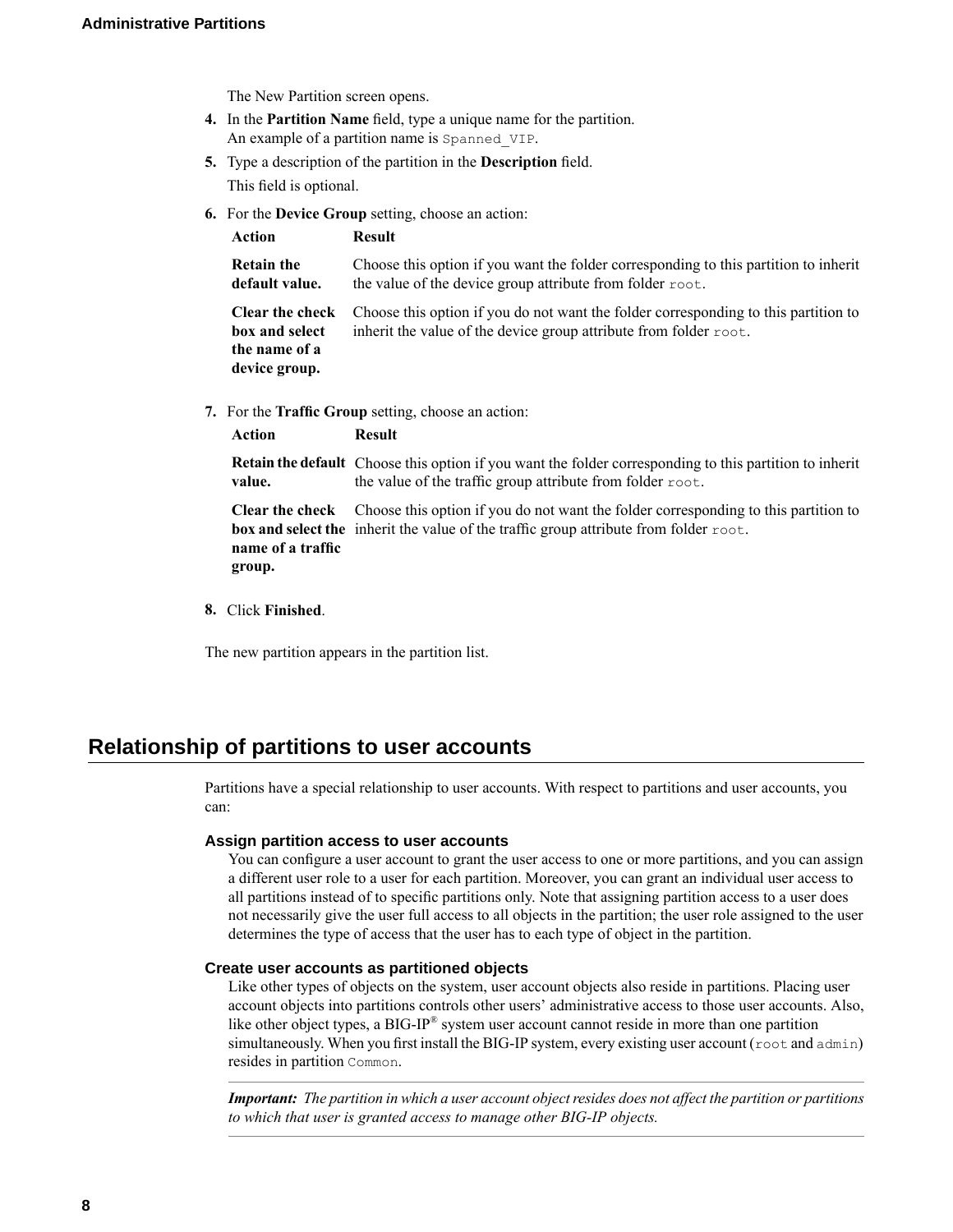The New Partition screen opens.

- **4.** In the **Partition Name** field, type a unique name for the partition. An example of a partition name is Spanned VIP.
- **5.** Type a description of the partition in the **Description** field. This field is optional.
- **6.** For the **Device Group** setting, choose an action:

| Action                                                                     | <b>Result</b>                                                                                                                                            |
|----------------------------------------------------------------------------|----------------------------------------------------------------------------------------------------------------------------------------------------------|
| <b>Retain the</b><br>default value.                                        | Choose this option if you want the folder corresponding to this partition to inherit<br>the value of the device group attribute from folder root.        |
| <b>Clear the check</b><br>box and select<br>the name of a<br>device group. | Choose this option if you do not want the folder corresponding to this partition to<br>inherit the value of the device group attribute from folder root. |

**7.** For the **Traffic Group** setting, choose an action:

| Action                      | <b>Result</b>                                                                                                                                                                                                        |
|-----------------------------|----------------------------------------------------------------------------------------------------------------------------------------------------------------------------------------------------------------------|
| value.                      | <b>Retain the default</b> Choose this option if you want the folder corresponding to this partition to inherit<br>the value of the traffic group attribute from folder root.                                         |
| name of a traffic<br>group. | <b>Clear the check</b> Choose this option if you do not want the folder corresponding to this partition to<br><b>box and select the</b> inherit the value of the traffic group attribute from folder $\text{root}$ . |

**8.** Click **Finished**.

The new partition appears in the partition list.

# <span id="page-7-0"></span>**Relationship of partitions to user accounts**

Partitions have a special relationship to user accounts. With respect to partitions and user accounts, you can:

#### **Assign partition access to user accounts**

You can configure a user account to grant the user access to one or more partitions, and you can assign a different user role to a user for each partition. Moreover, you can grant an individual user access to all partitions instead of to specific partitions only. Note that assigning partition access to a user does not necessarily give the user full access to all objects in the partition; the user role assigned to the user determines the type of access that the user has to each type of object in the partition.

#### **Create user accounts as partitioned objects**

Like other types of objects on the system, user account objects also reside in partitions. Placing user account objects into partitions controls other users' administrative access to those user accounts. Also, like other object types, a BIG-IP® system user account cannot reside in more than one partition simultaneously. When you first install the BIG-IP system, every existing user account ( $\text{root}$  and  $\text{admin}$ ) resides in partition Common.

*Important:* The partition in which a user account object resides does not affect the partition or partitions *to which that user is granted access to manage other BIG-IP objects.*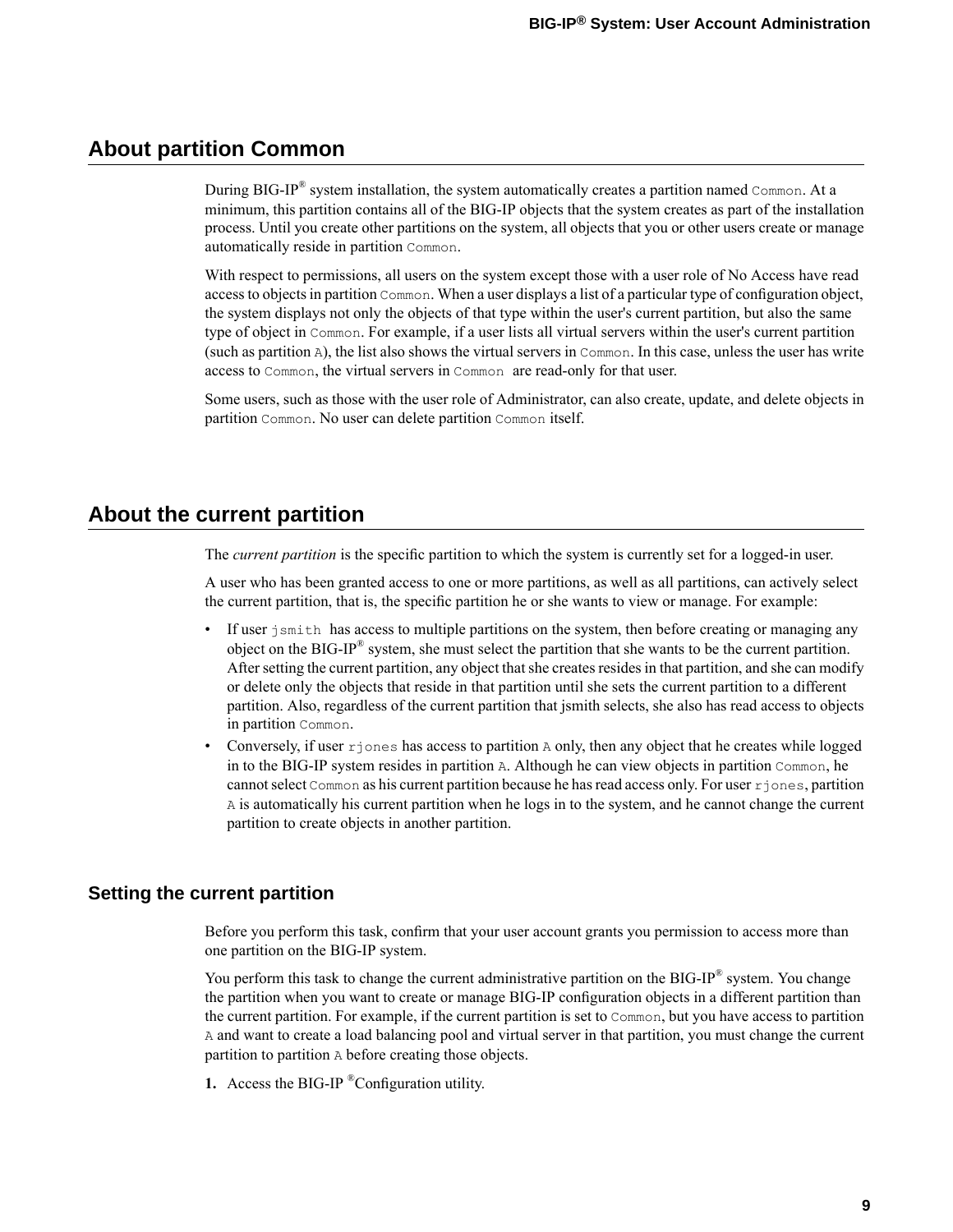# <span id="page-8-0"></span>**About partition Common**

During BIG-IP® system installation, the system automatically creates a partition named Common. At a minimum, this partition contains all of the BIG-IP objects that the system creates as part of the installation process. Until you create other partitions on the system, all objects that you or other users create or manage automatically reside in partition Common.

With respect to permissions, all users on the system except those with a user role of No Access have read accessto objectsin partition Common. When a user displays a list of a particular type of configuration object, the system displays not only the objects of that type within the user's current partition, but also the same type of object in Common. For example, if a user lists all virtual servers within the user's current partition (such as partition A), the list also shows the virtual servers in Common. In this case, unless the user has write access to Common, the virtual servers in Common are read-only for that user.

Some users, such as those with the user role of Administrator, can also create, update, and delete objects in partition Common. No user can delete partition Common itself.

# <span id="page-8-1"></span>**About the current partition**

The *current partition* is the specific partition to which the system is currently set for a logged-in user.

A user who has been granted access to one or more partitions, as well as all partitions, can actively select the current partition, that is, the specific partition he or she wants to view or manage. For example:

- If user jsmith has access to multiple partitions on the system, then before creating or managing any object on the BIG-IP® system, she must select the partition that she wants to be the current partition. After setting the current partition, any object that she creates resides in that partition, and she can modify or delete only the objects that reside in that partition until she sets the current partition to a different partition. Also, regardless of the current partition that jsmith selects, she also has read access to objects in partition Common.
- Conversely, if user  $r$  jones has access to partition A only, then any object that he creates while logged in to the BIG-IP system resides in partition A. Although he can view objects in partition Common, he cannotselect Common as his current partition because he hasread access only.For user rjones, partition A is automatically his current partition when he logs in to the system, and he cannot change the current partition to create objects in another partition.

### <span id="page-8-2"></span>**Setting the current partition**

Before you perform this task, confirm that your user account grants you permission to access more than one partition on the BIG-IP system.

You perform this task to change the current administrative partition on the BIG-IP® system. You change the partition when you want to create or manage BIG-IP configuration objects in a different partition than the current partition. For example, if the current partition is set to Common, but you have access to partition A and want to create a load balancing pool and virtual server in that partition, you must change the current partition to partition A before creating those objects.

**1.** Access the BIG-IP ®Configuration utility.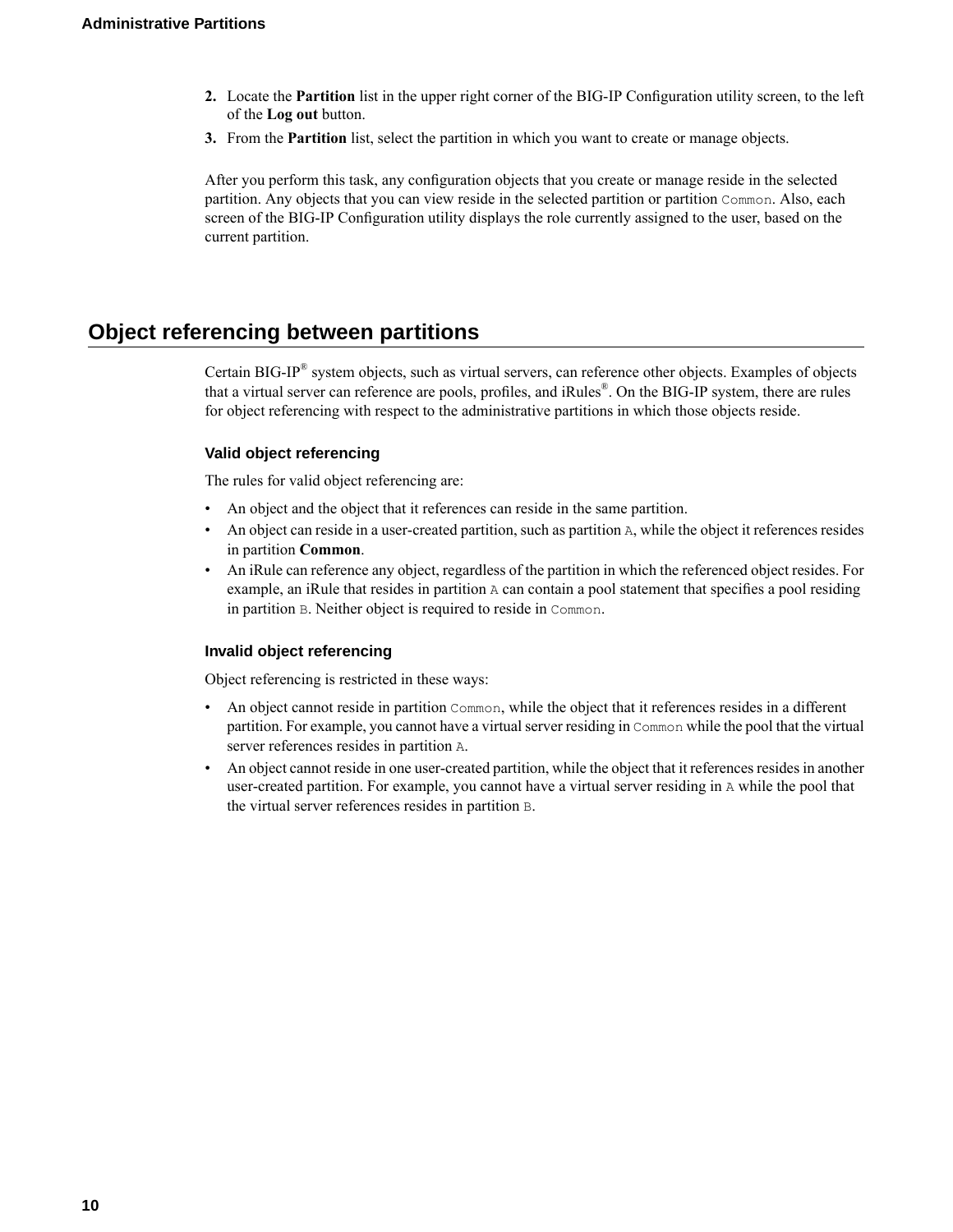- **2.** Locate the **Partition** list in the upper right corner of the BIG-IP Configuration utility screen, to the left of the **Log out** button.
- **3.** From the **Partition** list, select the partition in which you want to create or manage objects.

After you perform this task, any configuration objects that you create or manage reside in the selected partition. Any objects that you can view reside in the selected partition or partition Common. Also, each screen of the BIG-IP Configuration utility displays the role currently assigned to the user, based on the current partition.

# <span id="page-9-0"></span>**Object referencing between partitions**

Certain BIG-IP<sup>®</sup> system objects, such as virtual servers, can reference other objects. Examples of objects that a virtual server can reference are pools, profiles, and iRules®. On the BIG-IP system, there are rules for object referencing with respect to the administrative partitions in which those objects reside.

### **Valid object referencing**

The rules for valid object referencing are:

- An object and the object that it references can reside in the same partition.
- An object can reside in a user-created partition, such as partition A, while the object it references resides in partition **Common**.
- An iRule can reference any object, regardless of the partition in which the referenced object resides. For example, an iRule that resides in partition A can contain a pool statement that specifies a pool residing in partition B. Neither object is required to reside in Common.

### **Invalid object referencing**

Object referencing is restricted in these ways:

- An object cannot reside in partition Common, while the object that it references resides in a different partition. For example, you cannot have a virtual server residing in Common while the pool that the virtual server references resides in partition A.
- An object cannot reside in one user-created partition, while the object that it references resides in another user-created partition. For example, you cannot have a virtual server residing in A while the pool that the virtual server references resides in partition B.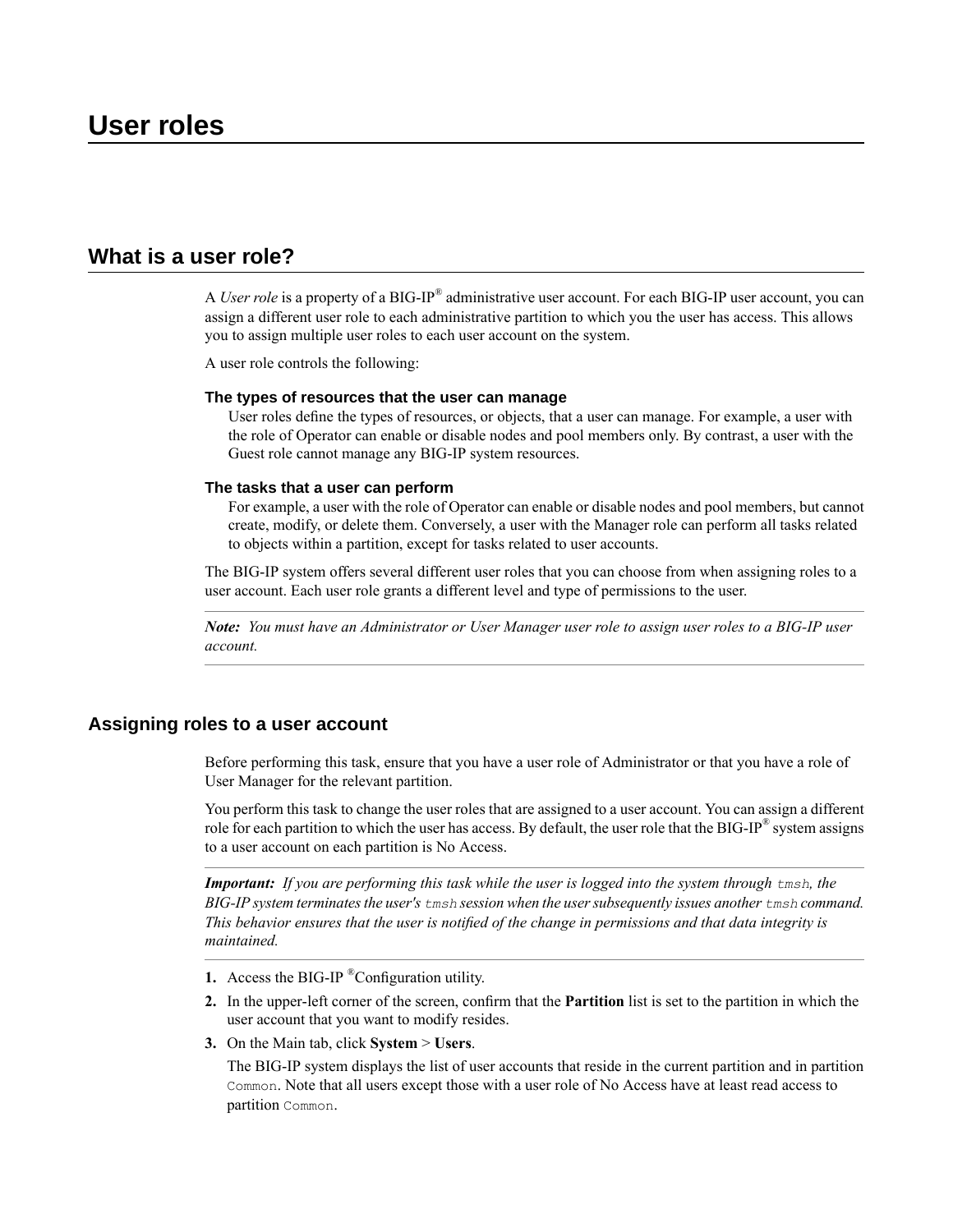# <span id="page-10-1"></span><span id="page-10-0"></span>**What is a user role?**

A *User role* is a property of a BIG-IP® administrative user account. For each BIG-IP user account, you can assign a different user role to each administrative partition to which you the user has access. This allows you to assign multiple user roles to each user account on the system.

A user role controls the following:

#### **The types of resources that the user can manage**

User roles define the types of resources, or objects, that a user can manage. For example, a user with the role of Operator can enable or disable nodes and pool members only. By contrast, a user with the Guest role cannot manage any BIG-IP system resources.

#### **The tasks that a user can perform**

For example, a user with the role of Operator can enable or disable nodes and pool members, but cannot create, modify, or delete them. Conversely, a user with the Manager role can perform all tasks related to objects within a partition, except for tasks related to user accounts.

The BIG-IP system offers several different user roles that you can choose from when assigning roles to a user account. Each user role grants a different level and type of permissions to the user.

**Note:** You must have an Administrator or User Manager user role to assign user roles to a BIG-IP user *account.*

### <span id="page-10-2"></span>**Assigning roles to a user account**

Before performing this task, ensure that you have a user role of Administrator or that you have a role of User Manager for the relevant partition.

You perform this task to change the user roles that are assigned to a user account. You can assign a different role for each partition to which the user has access. By default, the user role that the BIG-IP® system assigns to a user account on each partition is No Access.

Important: If you are performing this task while the user is logged into the system through tmsh, the *BIG-IP system terminatesthe user's tmsh session when the usersubsequently issues another tmsh command.* This behavior ensures that the user is notified of the change in permissions and that data integrity is *maintained.*

- **1.** Access the BIG-IP ®Configuration utility.
- **2.** In the upper-left corner of the screen, confirm that the **Partition** list is set to the partition in which the user account that you want to modify resides.
- **3.** On the Main tab, click **System** > **Users**.

The BIG-IP system displays the list of user accounts that reside in the current partition and in partition Common. Note that all users except those with a user role of No Access have at least read access to partition Common.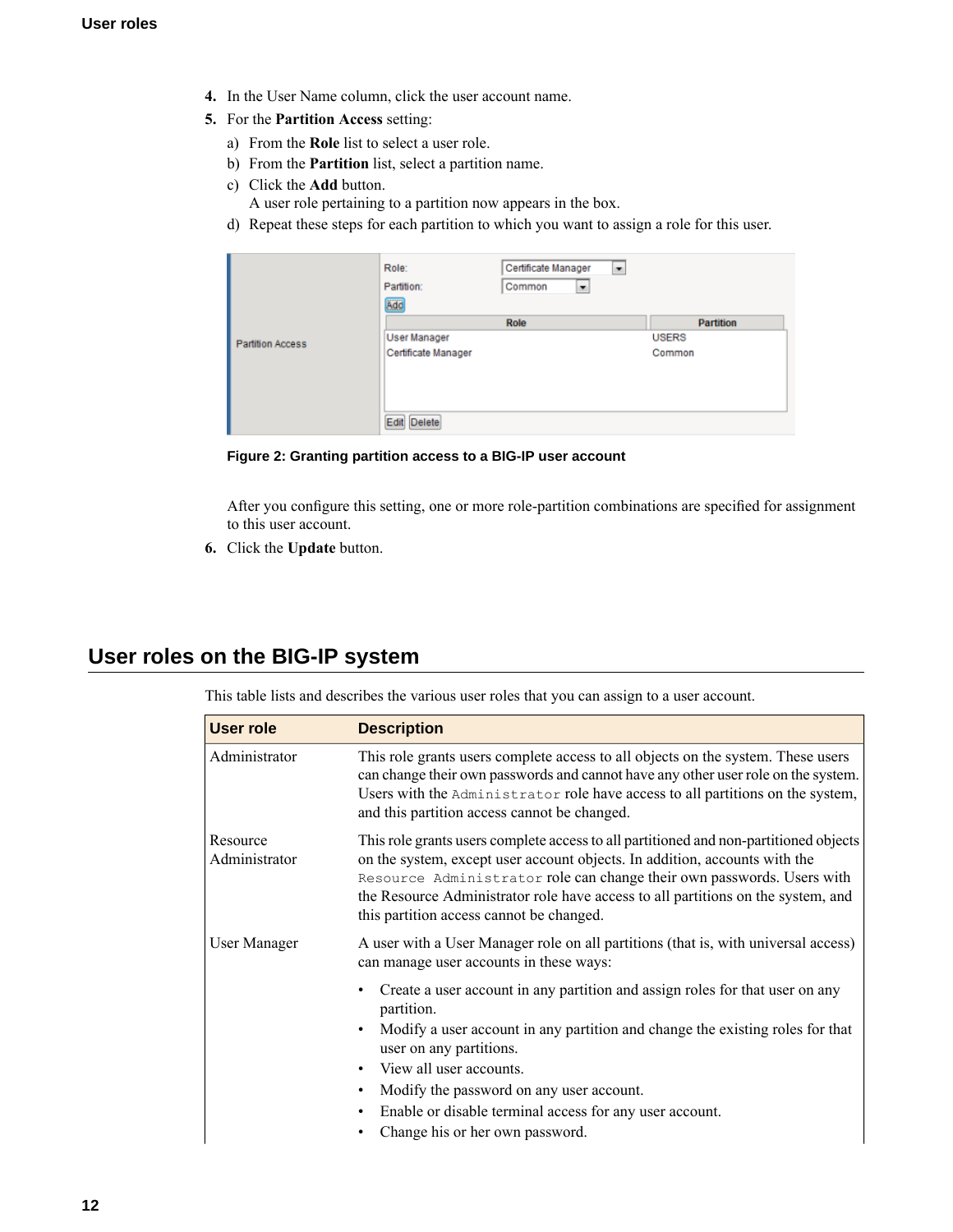- **4.** In the User Name column, click the user account name.
- **5.** For the **Partition Access** setting:
	- a) From the **Role** list to select a user role.
	- b) From the **Partition** list, select a partition name.
	- c) Click the **Add** button.
		- A user role pertaining to a partition now appears in the box.
	- d) Repeat these steps for each partition to which you want to assign a role for this user.

|                         | Role:<br>Partition:<br>Add | Certificate Manager<br>▼<br>Common<br>۰ |                  |
|-------------------------|----------------------------|-----------------------------------------|------------------|
|                         |                            | Role                                    | <b>Partition</b> |
| <b>Partition Access</b> | <b>User Manager</b>        |                                         | <b>USERS</b>     |
|                         | Certificate Manager        |                                         | Common           |
|                         | Edit Delete                |                                         |                  |

**Figure 2: Granting partition access to a BIG-IP user account**

After you configure this setting, one or more role-partition combinations are specified for assignment to this user account.

**6.** Click the **Update** button.

# <span id="page-11-0"></span>**User roles on the BIG-IP system**

This table lists and describes the various user roles that you can assign to a user account.

| <b>User role</b>          | <b>Description</b>                                                                                                                                                                                                                                                                                                                                                            |
|---------------------------|-------------------------------------------------------------------------------------------------------------------------------------------------------------------------------------------------------------------------------------------------------------------------------------------------------------------------------------------------------------------------------|
| Administrator             | This role grants users complete access to all objects on the system. These users<br>can change their own passwords and cannot have any other user role on the system.<br>Users with the Administrator role have access to all partitions on the system,<br>and this partition access cannot be changed.                                                                       |
| Resource<br>Administrator | This role grants users complete access to all partitioned and non-partitioned objects<br>on the system, except user account objects. In addition, accounts with the<br>Resource Administrator role can change their own passwords. Users with<br>the Resource Administrator role have access to all partitions on the system, and<br>this partition access cannot be changed. |
| User Manager              | A user with a User Manager role on all partitions (that is, with universal access)<br>can manage user accounts in these ways:                                                                                                                                                                                                                                                 |
|                           | Create a user account in any partition and assign roles for that user on any<br>partition.<br>Modify a user account in any partition and change the existing roles for that<br>user on any partitions.<br>View all user accounts.<br>Modify the password on any user account.<br>Enable or disable terminal access for any user account.<br>Change his or her own password.   |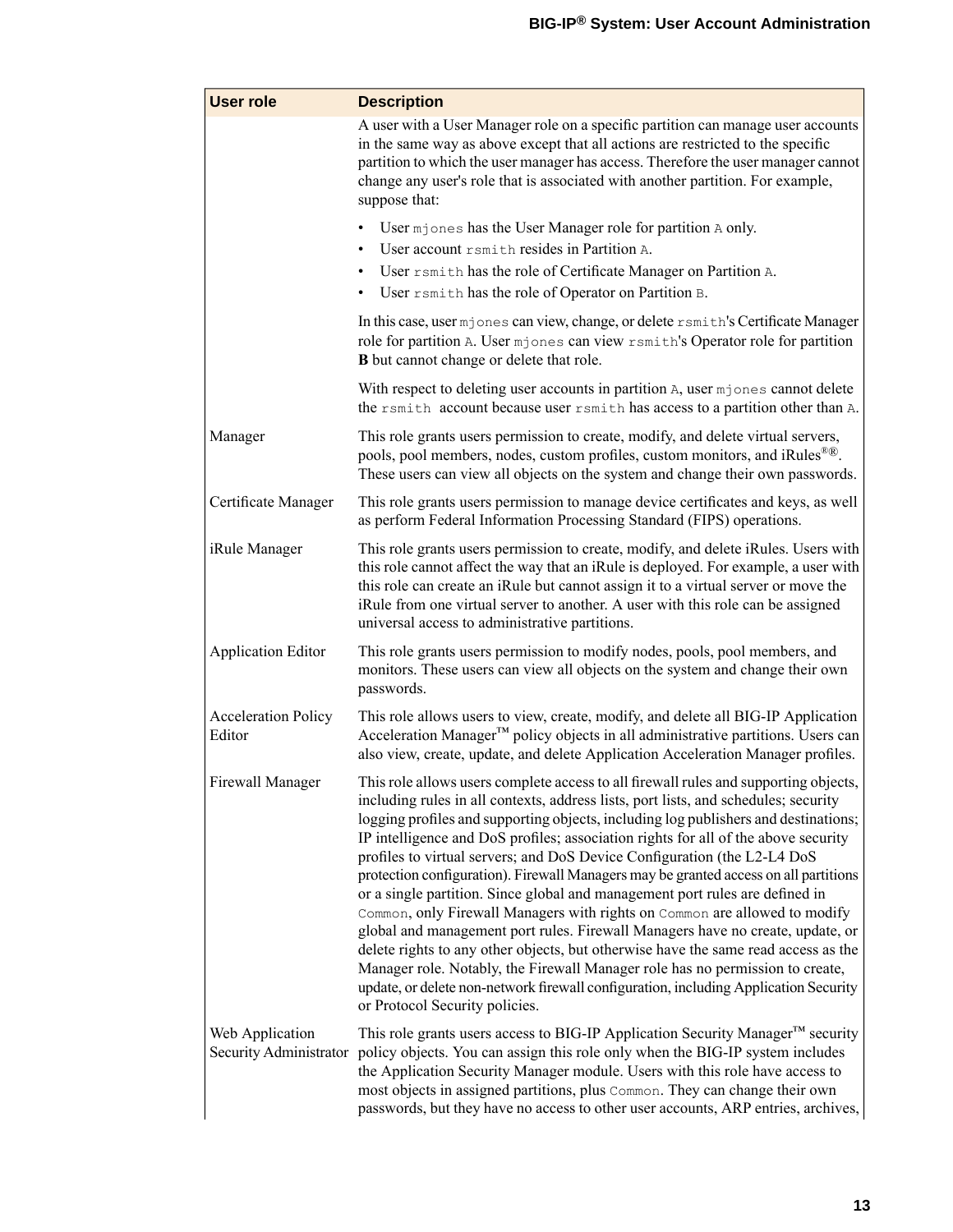| <b>User role</b>                     | <b>Description</b>                                                                                                                                                                                                                                                                                                                                                                                                                                                                                                                                                                                                                                                                                                                                                                                                                                                                                                                                                                                                                                                            |
|--------------------------------------|-------------------------------------------------------------------------------------------------------------------------------------------------------------------------------------------------------------------------------------------------------------------------------------------------------------------------------------------------------------------------------------------------------------------------------------------------------------------------------------------------------------------------------------------------------------------------------------------------------------------------------------------------------------------------------------------------------------------------------------------------------------------------------------------------------------------------------------------------------------------------------------------------------------------------------------------------------------------------------------------------------------------------------------------------------------------------------|
|                                      | A user with a User Manager role on a specific partition can manage user accounts<br>in the same way as above except that all actions are restricted to the specific<br>partition to which the user manager has access. Therefore the user manager cannot<br>change any user's role that is associated with another partition. For example,<br>suppose that:                                                                                                                                                                                                                                                                                                                                                                                                                                                                                                                                                                                                                                                                                                                   |
|                                      | User mjones has the User Manager role for partition A only.<br>User account rsmith resides in Partition A.<br>User rsmith has the role of Certificate Manager on Partition A.<br>User rsmith has the role of Operator on Partition B.                                                                                                                                                                                                                                                                                                                                                                                                                                                                                                                                                                                                                                                                                                                                                                                                                                         |
|                                      | In this case, user mjones can view, change, or delete rsmith's Certificate Manager<br>role for partition A. User mjones can view rsmith's Operator role for partition<br><b>B</b> but cannot change or delete that role.                                                                                                                                                                                                                                                                                                                                                                                                                                                                                                                                                                                                                                                                                                                                                                                                                                                      |
|                                      | With respect to deleting user accounts in partition A, user mjones cannot delete<br>the rsmith account because user rsmith has access to a partition other than A.                                                                                                                                                                                                                                                                                                                                                                                                                                                                                                                                                                                                                                                                                                                                                                                                                                                                                                            |
| Manager                              | This role grants users permission to create, modify, and delete virtual servers,<br>pools, pool members, nodes, custom profiles, custom monitors, and iRules <sup>®®</sup> .<br>These users can view all objects on the system and change their own passwords.                                                                                                                                                                                                                                                                                                                                                                                                                                                                                                                                                                                                                                                                                                                                                                                                                |
| Certificate Manager                  | This role grants users permission to manage device certificates and keys, as well<br>as perform Federal Information Processing Standard (FIPS) operations.                                                                                                                                                                                                                                                                                                                                                                                                                                                                                                                                                                                                                                                                                                                                                                                                                                                                                                                    |
| iRule Manager                        | This role grants users permission to create, modify, and delete iRules. Users with<br>this role cannot affect the way that an iRule is deployed. For example, a user with<br>this role can create an iRule but cannot assign it to a virtual server or move the<br>iRule from one virtual server to another. A user with this role can be assigned<br>universal access to administrative partitions.                                                                                                                                                                                                                                                                                                                                                                                                                                                                                                                                                                                                                                                                          |
| <b>Application Editor</b>            | This role grants users permission to modify nodes, pools, pool members, and<br>monitors. These users can view all objects on the system and change their own<br>passwords.                                                                                                                                                                                                                                                                                                                                                                                                                                                                                                                                                                                                                                                                                                                                                                                                                                                                                                    |
| <b>Acceleration Policy</b><br>Editor | This role allows users to view, create, modify, and delete all BIG-IP Application<br>Acceleration Manager™ policy objects in all administrative partitions. Users can<br>also view, create, update, and delete Application Acceleration Manager profiles.                                                                                                                                                                                                                                                                                                                                                                                                                                                                                                                                                                                                                                                                                                                                                                                                                     |
| Firewall Manager                     | This role allows users complete access to all firewall rules and supporting objects,<br>including rules in all contexts, address lists, port lists, and schedules; security<br>logging profiles and supporting objects, including log publishers and destinations;<br>IP intelligence and DoS profiles; association rights for all of the above security<br>profiles to virtual servers; and DoS Device Configuration (the L2-L4 DoS<br>protection configuration). Firewall Managers may be granted access on all partitions<br>or a single partition. Since global and management port rules are defined in<br>Common, only Firewall Managers with rights on Common are allowed to modify<br>global and management port rules. Firewall Managers have no create, update, or<br>delete rights to any other objects, but otherwise have the same read access as the<br>Manager role. Notably, the Firewall Manager role has no permission to create,<br>update, or delete non-network firewall configuration, including Application Security<br>or Protocol Security policies. |
| Web Application                      | This role grants users access to BIG-IP Application Security Manager™ security<br>Security Administrator policy objects. You can assign this role only when the BIG-IP system includes<br>the Application Security Manager module. Users with this role have access to<br>most objects in assigned partitions, plus Common. They can change their own<br>passwords, but they have no access to other user accounts, ARP entries, archives,                                                                                                                                                                                                                                                                                                                                                                                                                                                                                                                                                                                                                                    |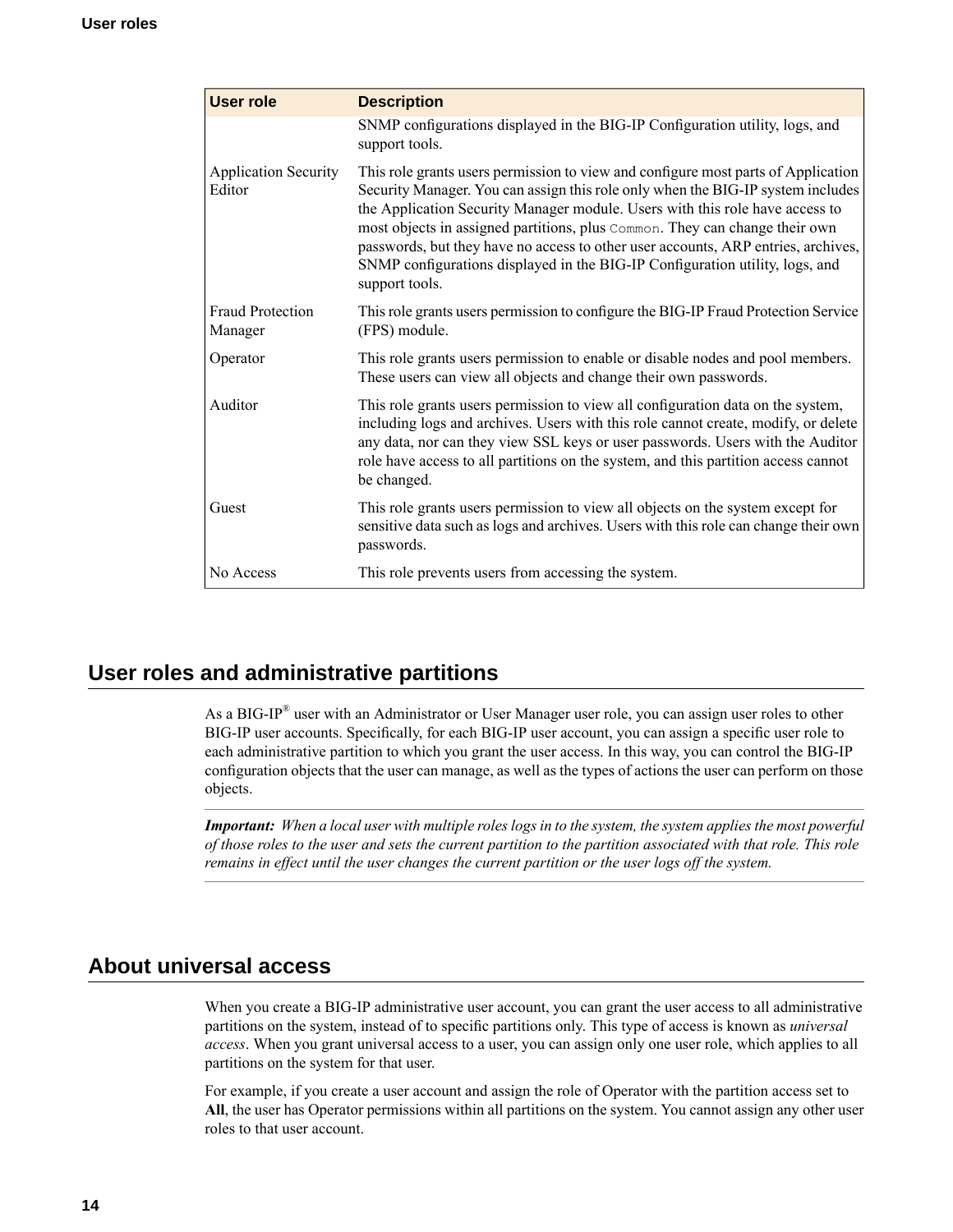| <b>User role</b>                      | <b>Description</b>                                                                                                                                                                                                                                                                                                                                                                                                                                                                                                         |
|---------------------------------------|----------------------------------------------------------------------------------------------------------------------------------------------------------------------------------------------------------------------------------------------------------------------------------------------------------------------------------------------------------------------------------------------------------------------------------------------------------------------------------------------------------------------------|
|                                       | SNMP configurations displayed in the BIG-IP Configuration utility, logs, and<br>support tools.                                                                                                                                                                                                                                                                                                                                                                                                                             |
| <b>Application Security</b><br>Editor | This role grants users permission to view and configure most parts of Application<br>Security Manager. You can assign this role only when the BIG-IP system includes<br>the Application Security Manager module. Users with this role have access to<br>most objects in assigned partitions, plus Common. They can change their own<br>passwords, but they have no access to other user accounts, ARP entries, archives,<br>SNMP configurations displayed in the BIG-IP Configuration utility, logs, and<br>support tools. |
| <b>Fraud Protection</b><br>Manager    | This role grants users permission to configure the BIG-IP Fraud Protection Service<br>(FPS) module.                                                                                                                                                                                                                                                                                                                                                                                                                        |
| Operator                              | This role grants users permission to enable or disable nodes and pool members.<br>These users can view all objects and change their own passwords.                                                                                                                                                                                                                                                                                                                                                                         |
| Auditor                               | This role grants users permission to view all configuration data on the system,<br>including logs and archives. Users with this role cannot create, modify, or delete<br>any data, nor can they view SSL keys or user passwords. Users with the Auditor<br>role have access to all partitions on the system, and this partition access cannot<br>be changed.                                                                                                                                                               |
| Guest                                 | This role grants users permission to view all objects on the system except for<br>sensitive data such as logs and archives. Users with this role can change their own<br>passwords.                                                                                                                                                                                                                                                                                                                                        |
| No Access                             | This role prevents users from accessing the system.                                                                                                                                                                                                                                                                                                                                                                                                                                                                        |

# <span id="page-13-0"></span>**User roles and administrative partitions**

As a BIG-IP® user with an Administrator or User Manager user role, you can assign user roles to other BIG-IP user accounts. Specifically, for each BIG-IP user account, you can assign a specific user role to each administrative partition to which you grant the user access. In this way, you can control the BIG-IP configuration objects that the user can manage, as well as the types of actions the user can perform on those objects.

*Important: When a local user with multiple roleslogsin to the system, the system appliesthe most powerful* of those roles to the user and sets the current partition to the partition associated with that role. This role *remains in effect until the user changes the current partition or the user logs off the system.*

# <span id="page-13-1"></span>**About universal access**

When you create a BIG-IP administrative user account, you can grant the user access to all administrative partitions on the system, instead of to specific partitions only. This type of access is known as *universal access*. When you grant universal access to a user, you can assign only one user role, which applies to all partitions on the system for that user.

For example, if you create a user account and assign the role of Operator with the partition access set to **All**, the user has Operator permissions within all partitions on the system. You cannot assign any other user roles to that user account.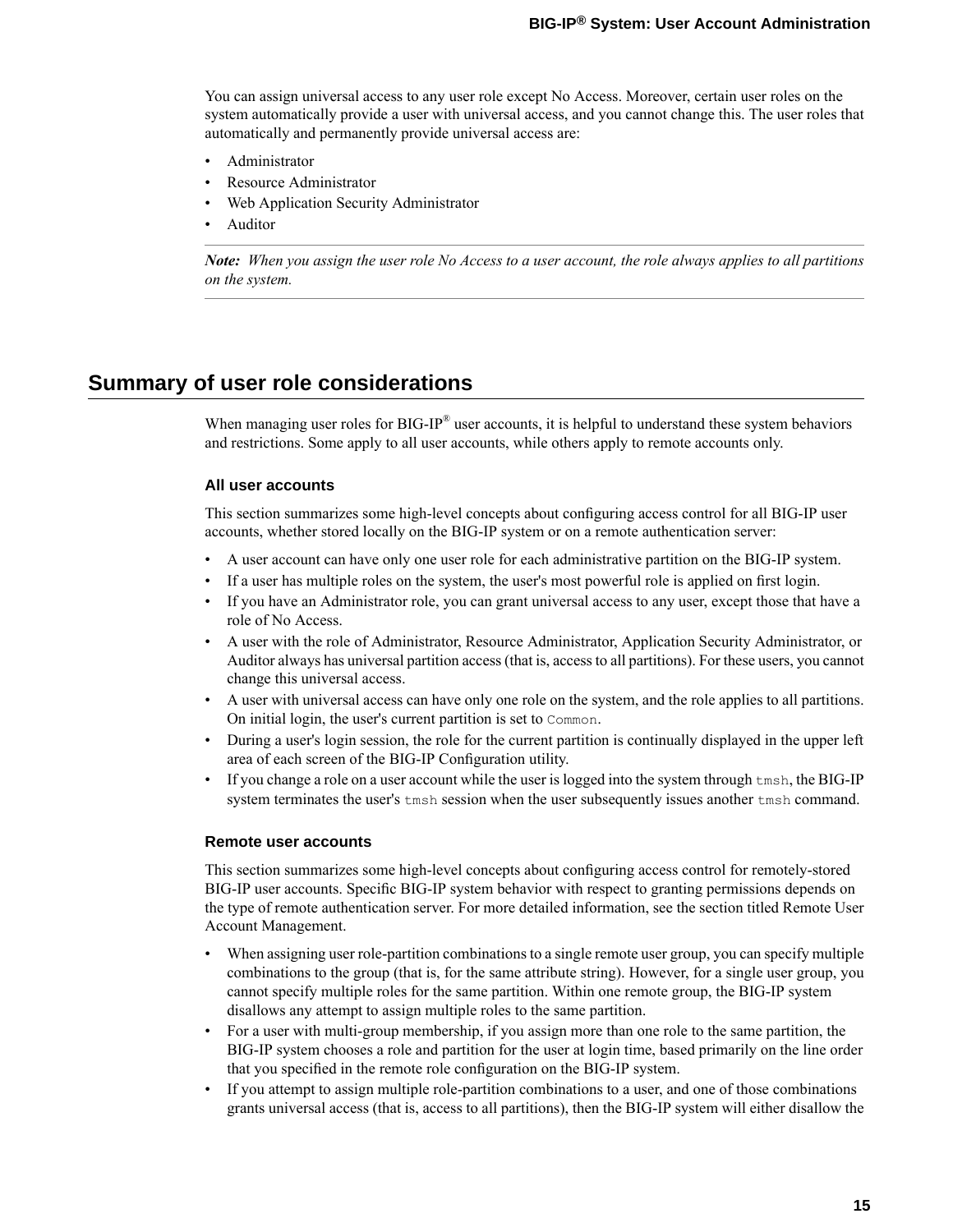You can assign universal access to any user role except No Access. Moreover, certain user roles on the system automatically provide a user with universal access, and you cannot change this. The user roles that automatically and permanently provide universal access are:

- Administrator
- Resource Administrator
- Web Application Security Administrator
- Auditor

**Note:** When you assign the user role No Access to a user account, the role always applies to all partitions *on the system.*

### <span id="page-14-0"></span>**Summary of user role considerations**

When managing user roles for BIG-IP<sup>®</sup> user accounts, it is helpful to understand these system behaviors and restrictions. Some apply to all user accounts, while others apply to remote accounts only.

#### **All user accounts**

This section summarizes some high-level concepts about configuring access control for all BIG-IP user accounts, whether stored locally on the BIG-IP system or on a remote authentication server:

- A user account can have only one user role for each administrative partition on the BIG-IP system.
- If a user has multiple roles on the system, the user's most powerful role is applied on first login.
- If you have an Administrator role, you can grant universal access to any user, except those that have a role of No Access.
- A user with the role of Administrator, Resource Administrator, Application Security Administrator, or Auditor always has universal partition access (that is, access to all partitions).For these users, you cannot change this universal access.
- A user with universal access can have only one role on the system, and the role applies to all partitions. On initial login, the user's current partition is set to Common.
- During a user's login session, the role for the current partition is continually displayed in the upper left area of each screen of the BIG-IP Configuration utility.
- If you change a role on a user account while the user is logged into the system through tmsh, the BIG-IP system terminates the user's tmsh session when the user subsequently issues another tmsh command.

#### **Remote user accounts**

This section summarizes some high-level concepts about configuring access control for remotely-stored BIG-IP user accounts. Specific BIG-IP system behavior with respect to granting permissions depends on the type of remote authentication server. For more detailed information, see the section titled Remote User Account Management.

- When assigning user role-partition combinations to a single remote user group, you can specify multiple combinations to the group (that is, for the same attribute string). However, for a single user group, you cannot specify multiple roles for the same partition. Within one remote group, the BIG-IP system disallows any attempt to assign multiple roles to the same partition.
- For a user with multi-group membership, if you assign more than one role to the same partition, the BIG-IP system chooses a role and partition for the user at login time, based primarily on the line order that you specified in the remote role configuration on the BIG-IP system.
- If you attempt to assign multiple role-partition combinations to a user, and one of those combinations grants universal access (that is, access to all partitions), then the BIG-IP system will either disallow the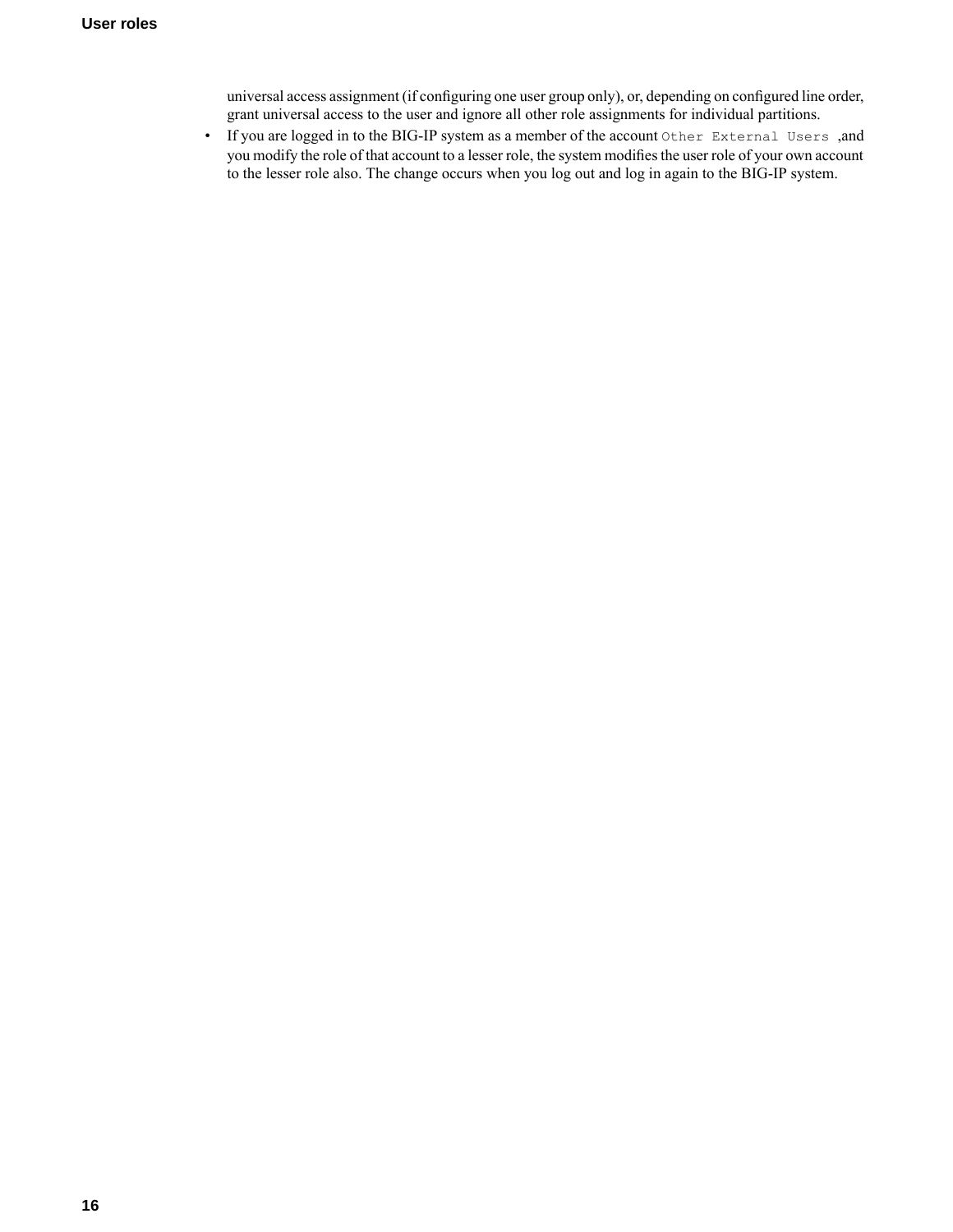universal access assignment (if configuring one user group only), or, depending on configured line order, grant universal access to the user and ignore all other role assignments for individual partitions.

• If you are logged in to the BIG-IP system as a member of the account Other External Users ,and you modify the role of that account to a lesser role, the system modifies the user role of your own account to the lesser role also. The change occurs when you log out and log in again to the BIG-IP system.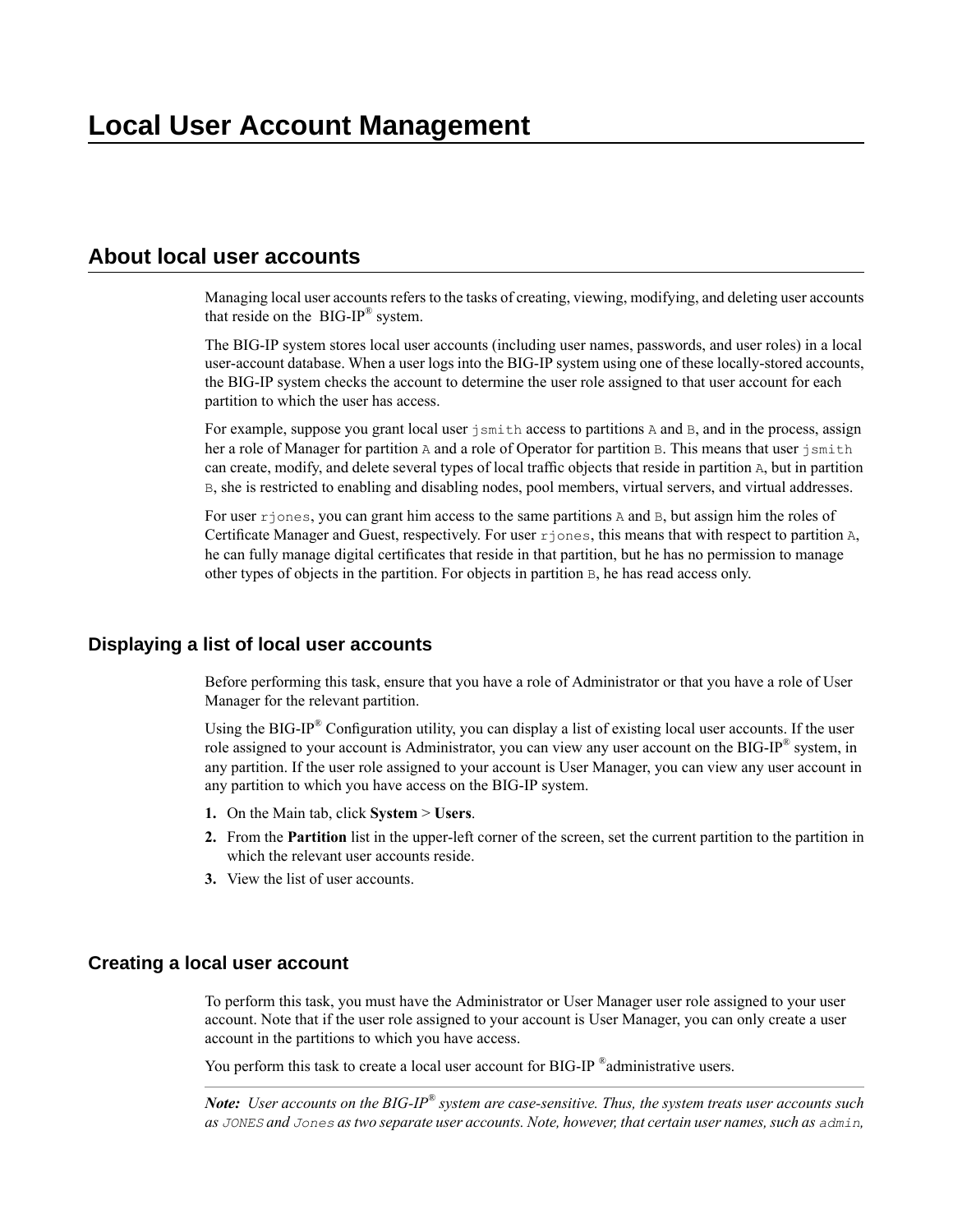# <span id="page-16-1"></span><span id="page-16-0"></span>**About local user accounts**

Managing local user accounts refers to the tasks of creating, viewing, modifying, and deleting user accounts that reside on the  $BIG-IP^{\circledR}$  system.

The BIG-IP system stores local user accounts (including user names, passwords, and user roles) in a local user-account database. When a user logs into the BIG-IP system using one of these locally-stored accounts, the BIG-IP system checks the account to determine the user role assigned to that user account for each partition to which the user has access.

For example, suppose you grant local user jsmith access to partitions A and B, and in the process, assign her a role of Manager for partition A and a role of Operator for partition B. This means that user jsmith can create, modify, and delete several types of local traffic objects that reside in partition A, but in partition B, she is restricted to enabling and disabling nodes, pool members, virtual servers, and virtual addresses.

For user  $r$  jones, you can grant him access to the same partitions A and B, but assign him the roles of Certificate Manager and Guest, respectively. For user rjones, this means that with respect to partition A, he can fully manage digital certificates that reside in that partition, but he has no permission to manage other types of objects in the partition. For objects in partition B, he has read access only.

### <span id="page-16-2"></span>**Displaying a list of local user accounts**

Before performing this task, ensure that you have a role of Administrator or that you have a role of User Manager for the relevant partition.

Using the BIG-IP<sup>®</sup> Configuration utility, you can display a list of existing local user accounts. If the user role assigned to your account is Administrator, you can view any user account on the BIG-IP® system, in any partition. If the user role assigned to your account is User Manager, you can view any user account in any partition to which you have access on the BIG-IP system.

- **1.** On the Main tab, click **System** > **Users**.
- **2.** From the **Partition** list in the upper-left corner of the screen, set the current partition to the partition in which the relevant user accounts reside.
- **3.** View the list of user accounts.

### <span id="page-16-3"></span>**Creating a local user account**

To perform this task, you must have the Administrator or User Manager user role assigned to your user account. Note that if the user role assigned to your account is User Manager, you can only create a user account in the partitions to which you have access.

You perform this task to create a local user account for BIG-IP ®administrative users.

*Note: User accounts on the BIG-IP® system are case-sensitive. Thus, the system treats user accounts such as JONES and Jones astwo separate user accounts. Note, however, that certain user names,such as admin,*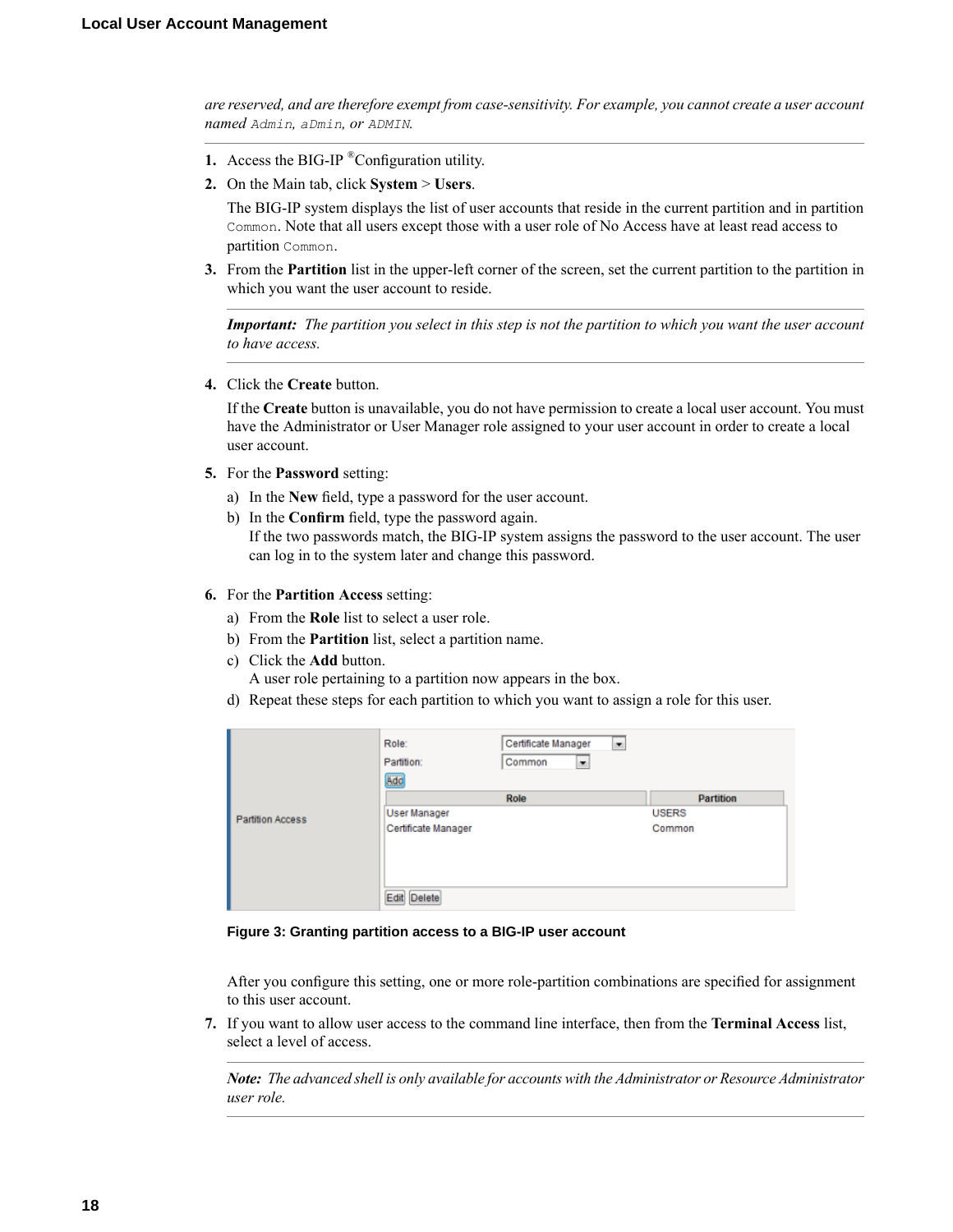*are reserved, and are therefore exempt from case-sensitivity. For example, you cannot create a user account named Admin, aDmin, or ADMIN.*

- **1.** Access the BIG-IP ®Configuration utility.
- **2.** On the Main tab, click **System** > **Users**.

The BIG-IP system displays the list of user accounts that reside in the current partition and in partition Common. Note that all users except those with a user role of No Access have at least read access to partition Common.

**3.** From the **Partition** list in the upper-left corner of the screen, set the current partition to the partition in which you want the user account to reside.

Important: The partition you select in this step is not the partition to which you want the user account *to have access.*

**4.** Click the **Create** button.

If the **Create** button is unavailable, you do not have permission to create a local user account. You must have the Administrator or User Manager role assigned to your user account in order to create a local user account.

- **5.** For the **Password** setting:
	- a) In the **New** field, type a password for the user account.
	- b) In the **Confirm** field, type the password again.

If the two passwords match, the BIG-IP system assigns the password to the user account. The user can log in to the system later and change this password.

- **6.** For the **Partition Access** setting:
	- a) From the **Role** list to select a user role.
	- b) From the **Partition** list, select a partition name.
	- c) Click the **Add** button.

A user role pertaining to a partition now appears in the box.

d) Repeat these steps for each partition to which you want to assign a role for this user.

|                         | Role:<br>Partition:<br>Add | Certificate Manager<br>٠<br>Common<br>٠ |                  |
|-------------------------|----------------------------|-----------------------------------------|------------------|
|                         |                            | Role                                    | <b>Partition</b> |
| <b>Partition Access</b> | <b>User Manager</b>        |                                         | <b>USERS</b>     |
|                         | Certificate Manager        |                                         | Common           |
|                         | Edit Delete                |                                         |                  |

**Figure 3: Granting partition access to a BIG-IP user account**

After you configure this setting, one or more role-partition combinations are specified for assignment to this user account.

**7.** If you want to allow user access to the command line interface, then from the **Terminal Access** list, select a level of access.

*Note: The advanced shell is only available for accounts with the Administrator or Resource Administrator user role.*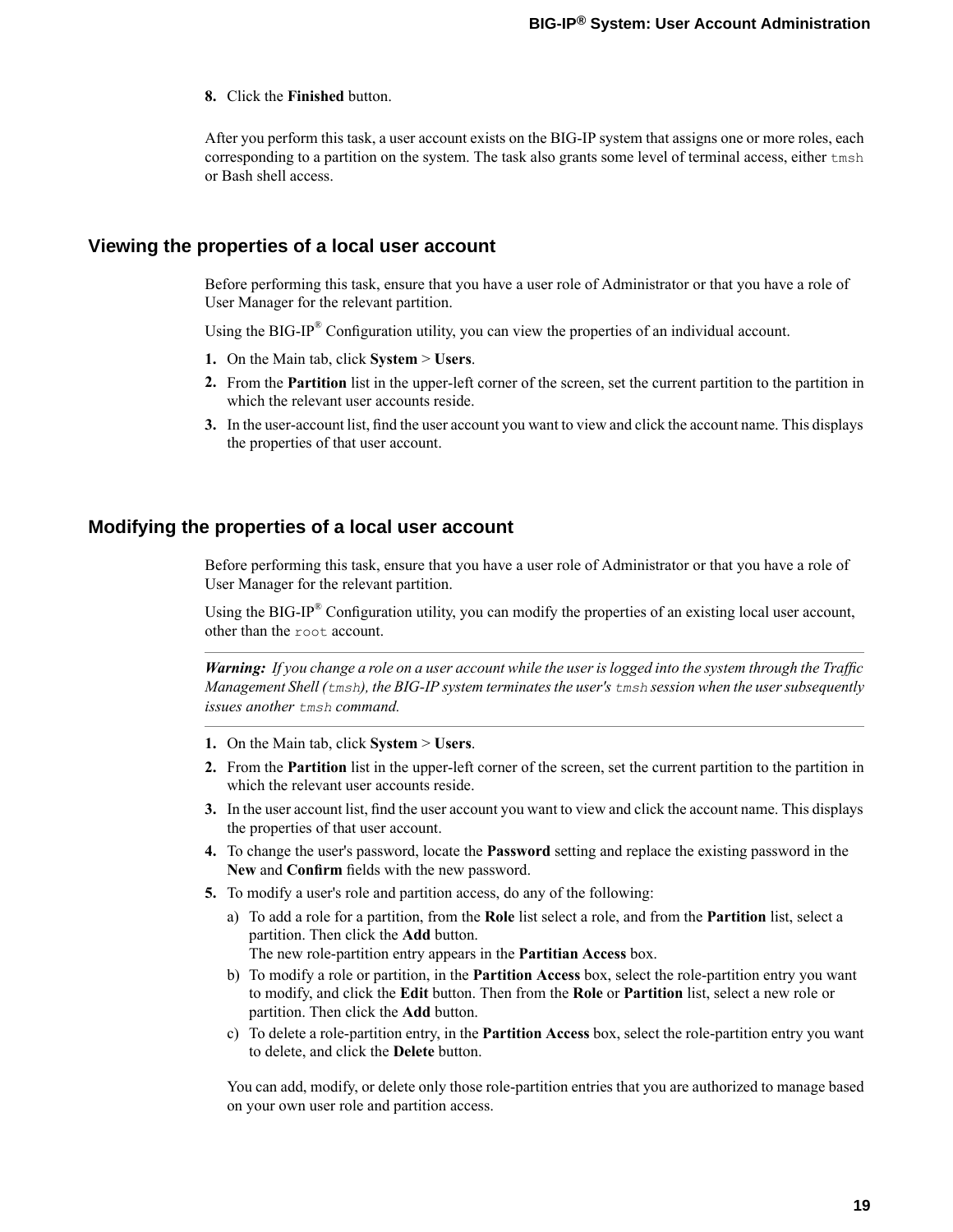**8.** Click the **Finished** button.

After you perform this task, a user account exists on the BIG-IP system that assigns one or more roles, each corresponding to a partition on the system. The task also grants some level of terminal access, either tmsh or Bash shell access.

### <span id="page-18-0"></span>**Viewing the properties of a local user account**

Before performing this task, ensure that you have a user role of Administrator or that you have a role of User Manager for the relevant partition.

Using the BIG-IP® Configuration utility, you can view the properties of an individual account.

- **1.** On the Main tab, click **System** > **Users**.
- **2.** From the **Partition** list in the upper-left corner of the screen, set the current partition to the partition in which the relevant user accounts reside.
- **3.** In the user-account list,find the user account you want to view and click the account name. This displays the properties of that user account.

### <span id="page-18-1"></span>**Modifying the properties of a local user account**

Before performing this task, ensure that you have a user role of Administrator or that you have a role of User Manager for the relevant partition.

Using the BIG-IP<sup>®</sup> Configuration utility, you can modify the properties of an existing local user account, other than the root account.

Warning: If you change a role on a user account while the user is logged into the system through the Traffic *Management Shell (tmsh), the BIG-IP system terminatesthe user's tmsh session when the usersubsequently issues another tmsh command.*

- **1.** On the Main tab, click **System** > **Users**.
- **2.** From the **Partition** list in the upper-left corner of the screen, set the current partition to the partition in which the relevant user accounts reside.
- **3.** In the user account list, find the user account you want to view and click the account name. This displays the properties of that user account.
- **4.** To change the user's password, locate the **Password** setting and replace the existing password in the **New** and **Confirm** fields with the new password.
- **5.** To modify a user's role and partition access, do any of the following:
	- a) To add a role for a partition, from the **Role** list select a role, and from the **Partition** list, select a partition. Then click the **Add** button. The new role-partition entry appears in the **Partitian Access** box.
	- b) To modify a role or partition, in the **Partition Access** box, select the role-partition entry you want to modify, and click the **Edit** button. Then from the **Role** or **Partition** list, select a new role or partition. Then click the **Add** button.
	- c) To delete a role-partition entry, in the **Partition Access** box, select the role-partition entry you want to delete, and click the **Delete** button.

You can add, modify, or delete only those role-partition entries that you are authorized to manage based on your own user role and partition access.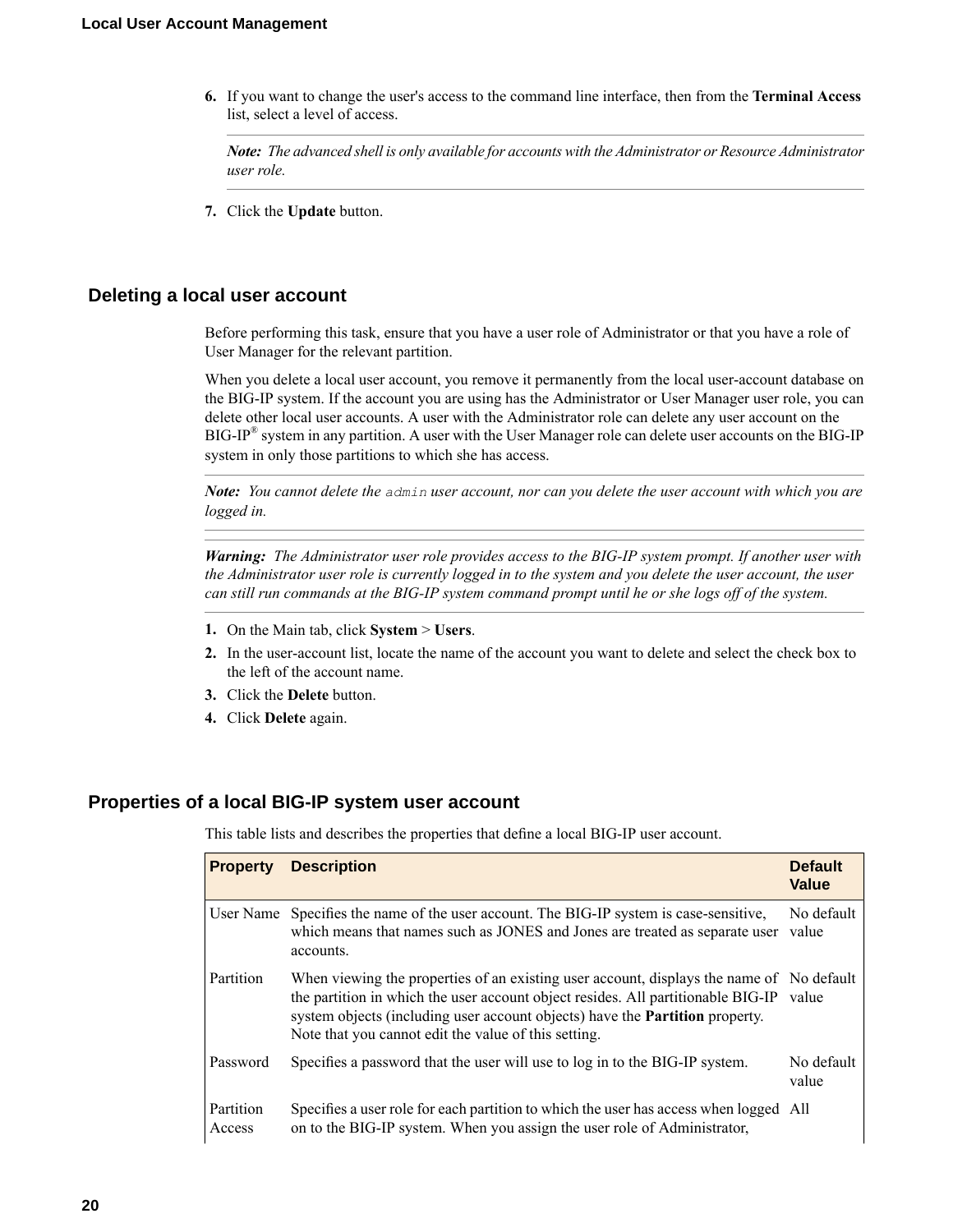**6.** If you want to change the user's access to the command line interface, then from the **Terminal Access** list, select a level of access.

*Note: The advanced shell is only available for accounts with the Administrator or Resource Administrator user role.*

**7.** Click the **Update** button.

### <span id="page-19-0"></span>**Deleting a local user account**

Before performing this task, ensure that you have a user role of Administrator or that you have a role of User Manager for the relevant partition.

When you delete a local user account, you remove it permanently from the local user-account database on the BIG-IP system. If the account you are using has the Administrator or User Manager user role, you can delete other local user accounts. A user with the Administrator role can delete any user account on the BIG-IP® system in any partition. A user with the User Manager role can delete user accounts on the BIG-IP system in only those partitions to which she has access.

**Note:** You cannot delete the admin user account, nor can you delete the user account with which you are *logged in.*

*Warning: The Administrator user role provides access to the BIG-IP system prompt. If another user with* the Administrator user role is currently logged in to the system and you delete the user account, the user can still run commands at the BIG-IP system command prompt until he or she logs off of the system.

- **1.** On the Main tab, click **System** > **Users**.
- **2.** In the user-account list, locate the name of the account you want to delete and select the check box to the left of the account name.
- **3.** Click the **Delete** button.
- **4.** Click **Delete** again.

### <span id="page-19-1"></span>**Properties of a local BIG-IP system user account**

This table lists and describes the properties that define a local BIG-IP user account.

| <b>Property</b>     | <b>Description</b>                                                                                                                                                                                                                                                                                                                | <b>Default</b><br>Value |
|---------------------|-----------------------------------------------------------------------------------------------------------------------------------------------------------------------------------------------------------------------------------------------------------------------------------------------------------------------------------|-------------------------|
|                     | User Name Specifies the name of the user account. The BIG-IP system is case-sensitive,<br>which means that names such as JONES and Jones are treated as separate user<br>accounts.                                                                                                                                                | No default<br>value     |
| Partition           | When viewing the properties of an existing user account, displays the name of No default<br>the partition in which the user account object resides. All partitionable BIG-IP value<br>system objects (including user account objects) have the <b>Partition</b> property.<br>Note that you cannot edit the value of this setting. |                         |
| Password            | Specifies a password that the user will use to log in to the BIG-IP system.                                                                                                                                                                                                                                                       | No default<br>value     |
| Partition<br>Access | Specifies a user role for each partition to which the user has access when logged All<br>on to the BIG-IP system. When you assign the user role of Administrator,                                                                                                                                                                 |                         |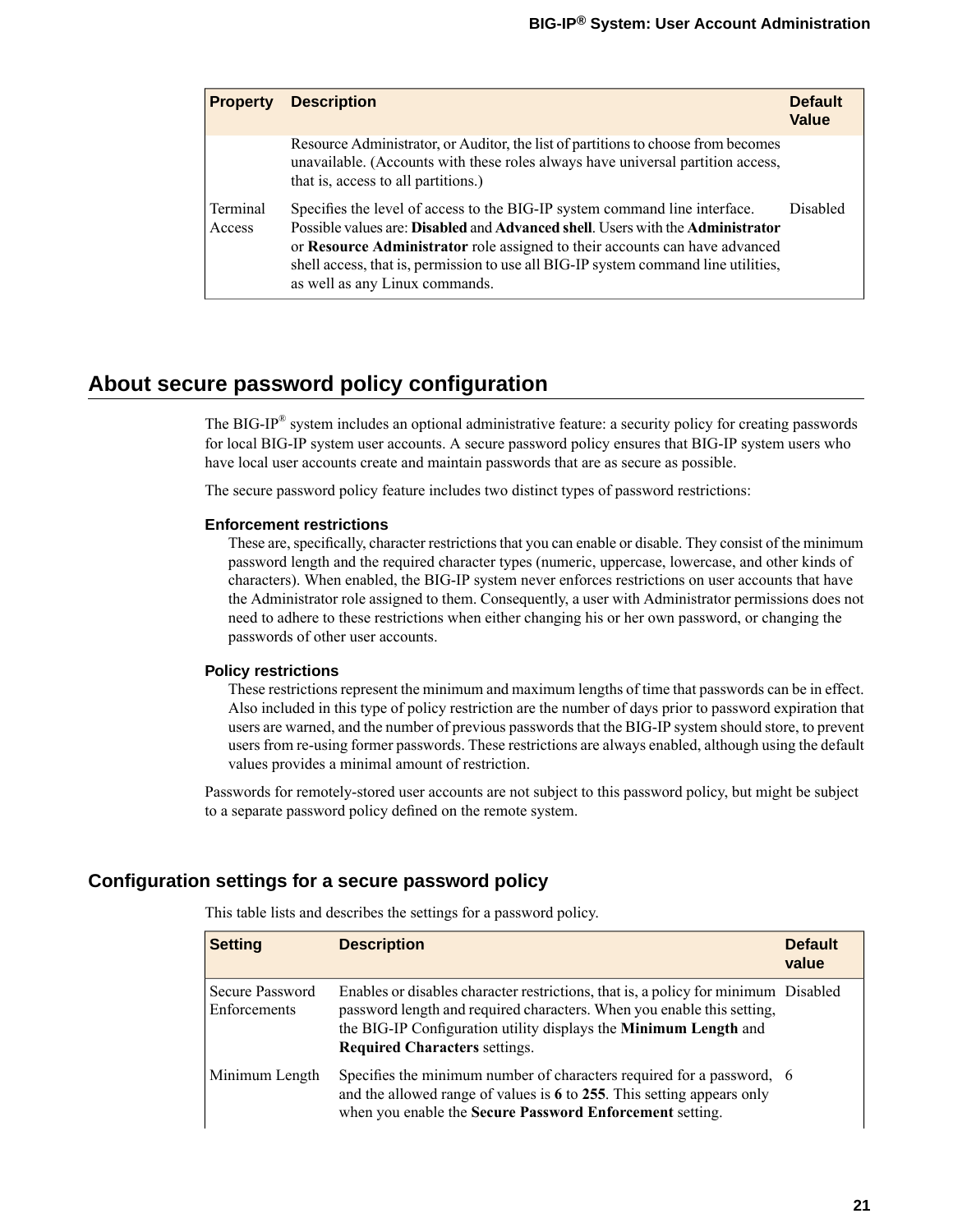| <b>Property</b>    | <b>Description</b>                                                                                                                                                                                                                                                                                                                                                  | <b>Default</b><br>Value |
|--------------------|---------------------------------------------------------------------------------------------------------------------------------------------------------------------------------------------------------------------------------------------------------------------------------------------------------------------------------------------------------------------|-------------------------|
|                    | Resource Administrator, or Auditor, the list of partitions to choose from becomes<br>unavailable. (Accounts with these roles always have universal partition access,<br>that is, access to all partitions.)                                                                                                                                                         |                         |
| Terminal<br>Access | Specifies the level of access to the BIG-IP system command line interface.<br>Possible values are: Disabled and Advanced shell. Users with the Administrator<br>or Resource Administrator role assigned to their accounts can have advanced<br>shell access, that is, permission to use all BIG-IP system command line utilities,<br>as well as any Linux commands. | <b>Disabled</b>         |

# <span id="page-20-0"></span>**About secure password policy configuration**

The BIG-IP® system includes an optional administrative feature: a security policy for creating passwords for local BIG-IP system user accounts. A secure password policy ensures that BIG-IP system users who have local user accounts create and maintain passwords that are as secure as possible.

The secure password policy feature includes two distinct types of password restrictions:

#### **Enforcement restrictions**

These are, specifically, character restrictions that you can enable or disable. They consist of the minimum password length and the required character types (numeric, uppercase, lowercase, and other kinds of characters). When enabled, the BIG-IP system never enforces restrictions on user accounts that have the Administrator role assigned to them. Consequently, a user with Administrator permissions does not need to adhere to these restrictions when either changing his or her own password, or changing the passwords of other user accounts.

#### **Policy restrictions**

These restrictions represent the minimum and maximum lengths of time that passwords can be in effect. Also included in this type of policy restriction are the number of days prior to password expiration that users are warned, and the number of previous passwords that the BIG-IP system should store, to prevent users from re-using former passwords. These restrictions are always enabled, although using the default values provides a minimal amount of restriction.

Passwords for remotely-stored user accounts are not subject to this password policy, but might be subject to a separate password policy defined on the remote system.

### <span id="page-20-1"></span>**Configuration settings for a secure password policy**

| <b>Setting</b>                  | <b>Description</b>                                                                                                                                                                                                                                                       | <b>Default</b><br>value |
|---------------------------------|--------------------------------------------------------------------------------------------------------------------------------------------------------------------------------------------------------------------------------------------------------------------------|-------------------------|
| Secure Password<br>Enforcements | Enables or disables character restrictions, that is, a policy for minimum Disabled<br>password length and required characters. When you enable this setting,<br>the BIG-IP Configuration utility displays the Minimum Length and<br><b>Required Characters settings.</b> |                         |
| Minimum Length                  | Specifies the minimum number of characters required for a password, 6<br>and the allowed range of values is $6$ to 255. This setting appears only<br>when you enable the Secure Password Enforcement setting.                                                            |                         |

This table lists and describes the settings for a password policy.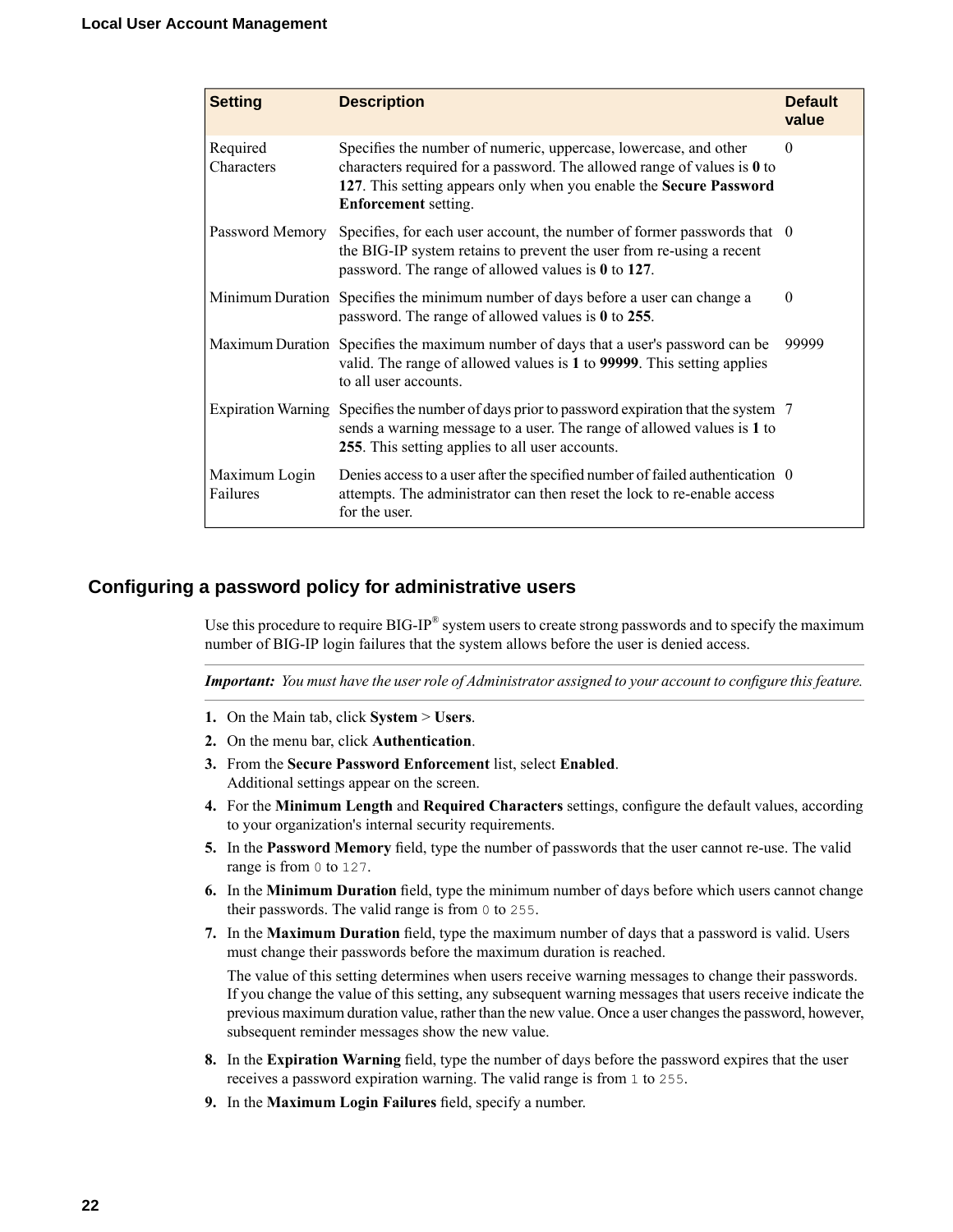| <b>Setting</b>            | <b>Description</b>                                                                                                                                                                                                                                 | <b>Default</b><br>value |
|---------------------------|----------------------------------------------------------------------------------------------------------------------------------------------------------------------------------------------------------------------------------------------------|-------------------------|
| Required<br>Characters    | Specifies the number of numeric, uppercase, lowercase, and other<br>characters required for a password. The allowed range of values is $0$ to<br>127. This setting appears only when you enable the Secure Password<br><b>Enforcement</b> setting. | $\Omega$                |
| Password Memory           | Specifies, for each user account, the number of former passwords that 0<br>the BIG-IP system retains to prevent the user from re-using a recent<br>password. The range of allowed values is $0$ to 127.                                            |                         |
|                           | Minimum Duration Specifies the minimum number of days before a user can change a<br>password. The range of allowed values is 0 to 255.                                                                                                             | $\theta$                |
|                           | Maximum Duration Specifies the maximum number of days that a user's password can be<br>valid. The range of allowed values is 1 to 99999. This setting applies<br>to all user accounts.                                                             | 99999                   |
|                           | Expiration Warning Specifies the number of days prior to password expiration that the system 7<br>sends a warning message to a user. The range of allowed values is 1 to<br>255. This setting applies to all user accounts.                        |                         |
| Maximum Login<br>Failures | Denies access to a user after the specified number of failed authentication 0<br>attempts. The administrator can then reset the lock to re-enable access<br>for the user.                                                                          |                         |

### <span id="page-21-0"></span>**Configuring a password policy for administrative users**

Use this procedure to require BIG-IP $^{\circledast}$  system users to create strong passwords and to specify the maximum number of BIG-IP login failures that the system allows before the user is denied access.

Important: You must have the user role of Administrator assigned to your account to configure this feature.

- **1.** On the Main tab, click **System** > **Users**.
- **2.** On the menu bar, click **Authentication**.
- **3.** From the **Secure Password Enforcement** list, select **Enabled**. Additional settings appear on the screen.
- **4.** For the **Minimum Length** and **Required Characters** settings, configure the default values, according to your organization's internal security requirements.
- **5.** In the **Password Memory** field, type the number of passwords that the user cannot re-use. The valid range is from 0 to 127.
- **6.** In the **Minimum Duration** field, type the minimum number of days before which users cannot change their passwords. The valid range is from 0 to 255.
- **7.** In the **Maximum Duration** field, type the maximum number of days that a password is valid. Users must change their passwords before the maximum duration is reached.

The value of this setting determines when users receive warning messages to change their passwords. If you change the value of this setting, any subsequent warning messages that users receive indicate the previous maximum duration value, rather than the new value. Once a user changesthe password, however, subsequent reminder messages show the new value.

- **8.** In the **Expiration Warning** field, type the number of days before the password expires that the user receives a password expiration warning. The valid range is from 1 to 255.
- **9.** In the **Maximum Login Failures** field, specify a number.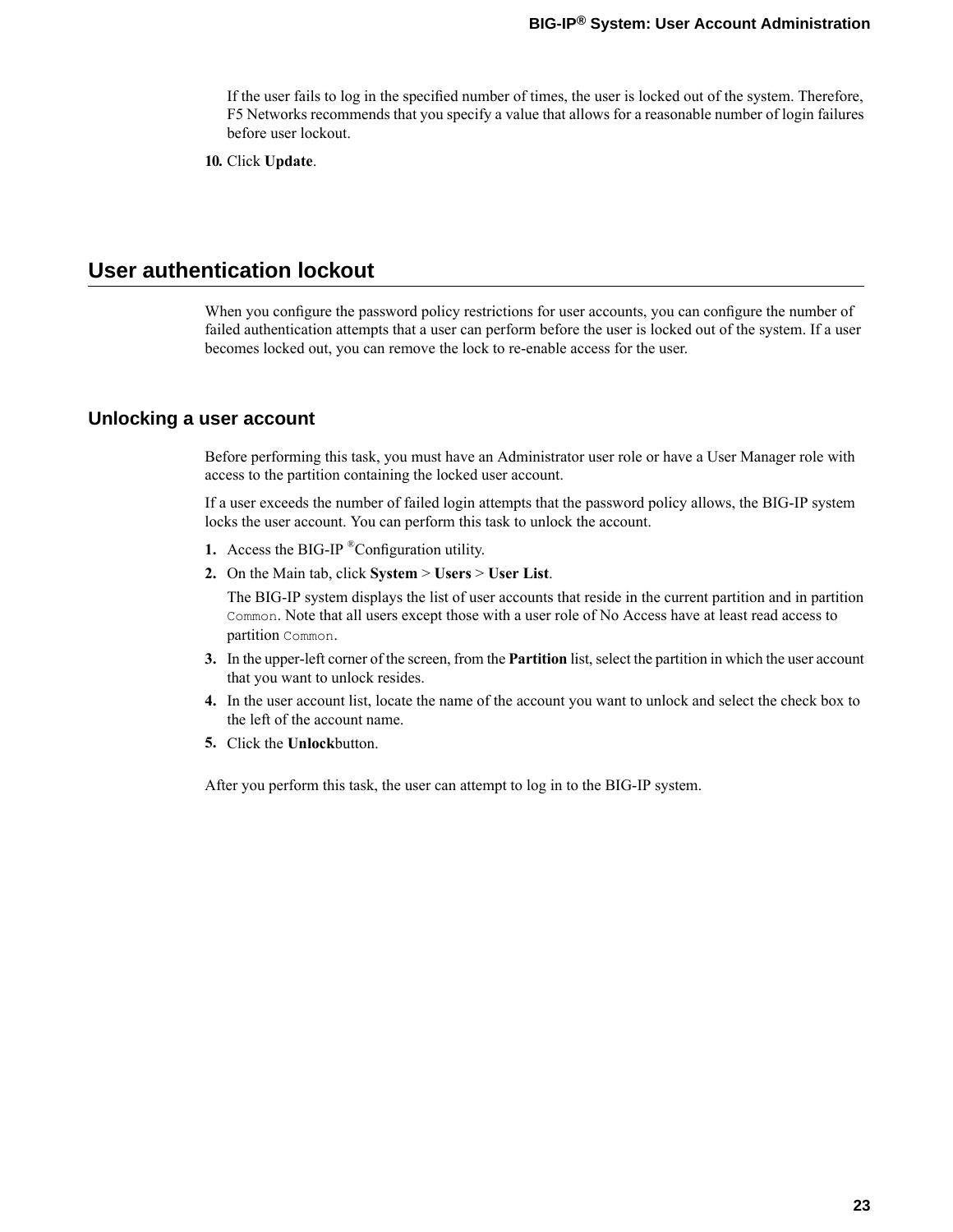If the user fails to log in the specified number of times, the user is locked out of the system. Therefore, F5 Networks recommends that you specify a value that allows for a reasonable number of login failures before user lockout.

**10.** Click **Update**.

# <span id="page-22-0"></span>**User authentication lockout**

When you configure the password policy restrictions for user accounts, you can configure the number of failed authentication attempts that a user can perform before the user is locked out of the system. If a user becomes locked out, you can remove the lock to re-enable access for the user.

### <span id="page-22-1"></span>**Unlocking a user account**

Before performing this task, you must have an Administrator user role or have a User Manager role with access to the partition containing the locked user account.

If a user exceeds the number of failed login attempts that the password policy allows, the BIG-IP system locks the user account. You can perform this task to unlock the account.

- **1.** Access the BIG-IP ®Configuration utility.
- **2.** On the Main tab, click **System** > **Users** > **User List**.

The BIG-IP system displays the list of user accounts that reside in the current partition and in partition Common. Note that all users except those with a user role of No Access have at least read access to partition Common.

- **3.** In the upper-left corner of the screen, from the **Partition** list, select the partition in which the user account that you want to unlock resides.
- **4.** In the user account list, locate the name of the account you want to unlock and select the check box to the left of the account name.
- **5.** Click the **Unlock**button.

After you perform this task, the user can attempt to log in to the BIG-IP system.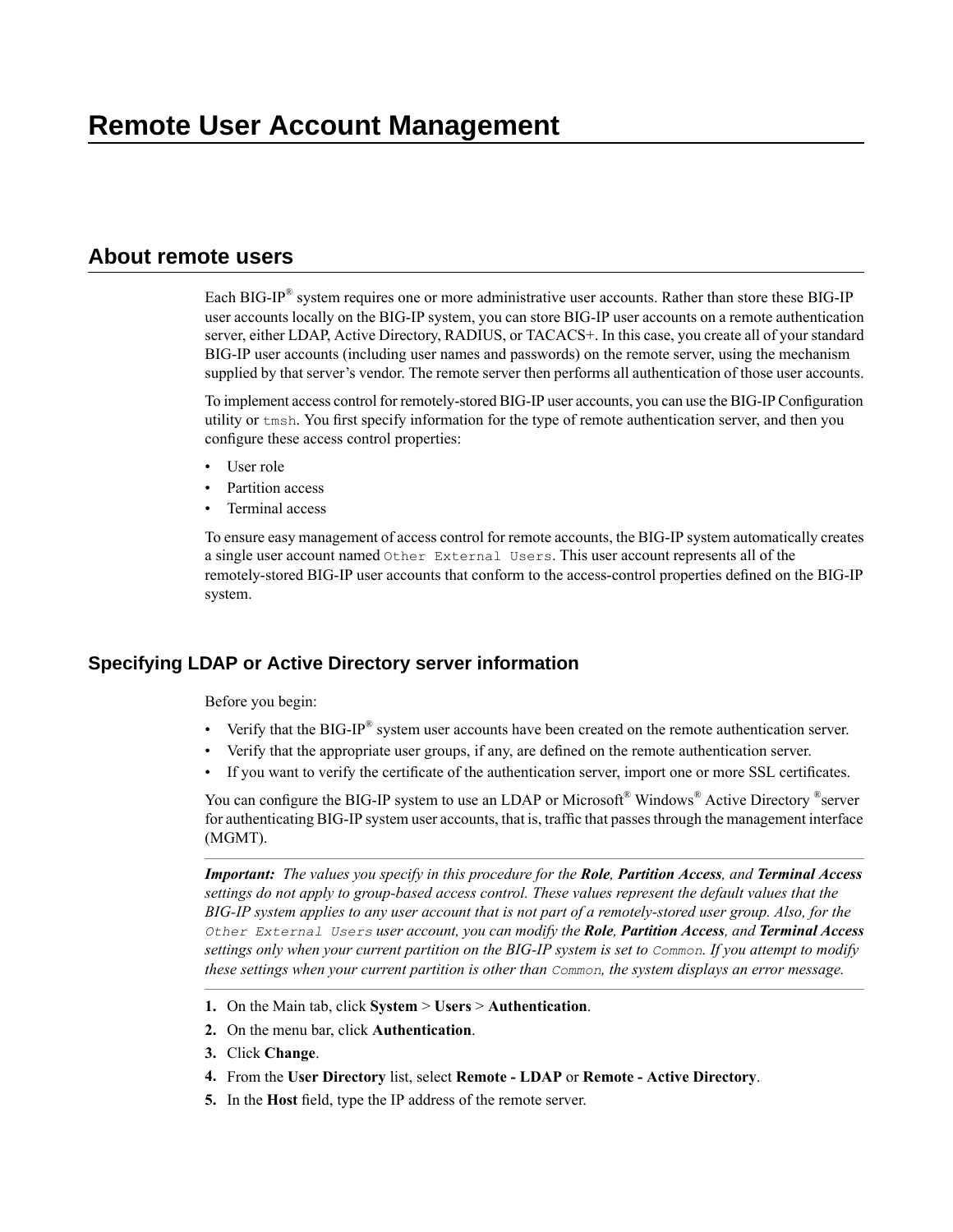# <span id="page-24-1"></span><span id="page-24-0"></span>**About remote users**

Each BIG-IP® system requires one or more administrative user accounts. Rather than store these BIG-IP user accounts locally on the BIG-IP system, you can store BIG-IP user accounts on a remote authentication server, either LDAP, Active Directory, RADIUS, or TACACS+. In this case, you create all of your standard BIG-IP user accounts (including user names and passwords) on the remote server, using the mechanism supplied by that server's vendor. The remote server then performs all authentication of those user accounts.

To implement access control for remotely-stored BIG-IP user accounts, you can use the BIG-IP Configuration utility or tmsh. You first specify information for the type of remote authentication server, and then you configure these access control properties:

- User role
- Partition access
- Terminal access

To ensure easy management of access control for remote accounts, the BIG-IP system automatically creates a single user account named Other External Users. This user account represents all of the remotely-stored BIG-IP user accounts that conform to the access-control properties defined on the BIG-IP system.

### <span id="page-24-2"></span>**Specifying LDAP or Active Directory server information**

Before you begin:

- Verify that the BIG-IP<sup>®</sup> system user accounts have been created on the remote authentication server.
- Verify that the appropriate user groups, if any, are defined on the remote authentication server.
- If you want to verify the certificate of the authentication server, import one or more SSL certificates.

You can configure the BIG-IP system to use an LDAP or Microsoft® Windows® Active Directory ®server for authenticating BIG-IP system user accounts, that is, traffic that passes through the management interface (MGMT).

Important: The values you specify in this procedure for the Role, Partition Access, and Terminal Access *settings do not apply to group-based access control. These values represent the default values that the* BIG-IP system applies to any user account that is not part of a remotely-stored user group. Also, for the *Other External Users user account, you can modify the Role, Partition Access, and Terminal Access* settings only when your current partition on the BIG-IP system is set to Common. If you attempt to modify *these settings when your current partition is other than Common, the system displays an error message.*

- **1.** On the Main tab, click **System** > **Users** > **Authentication**.
- **2.** On the menu bar, click **Authentication**.
- **3.** Click **Change**.
- **4.** From the **User Directory** list, select **Remote - LDAP** or **Remote - Active Directory**.
- **5.** In the **Host** field, type the IP address of the remote server.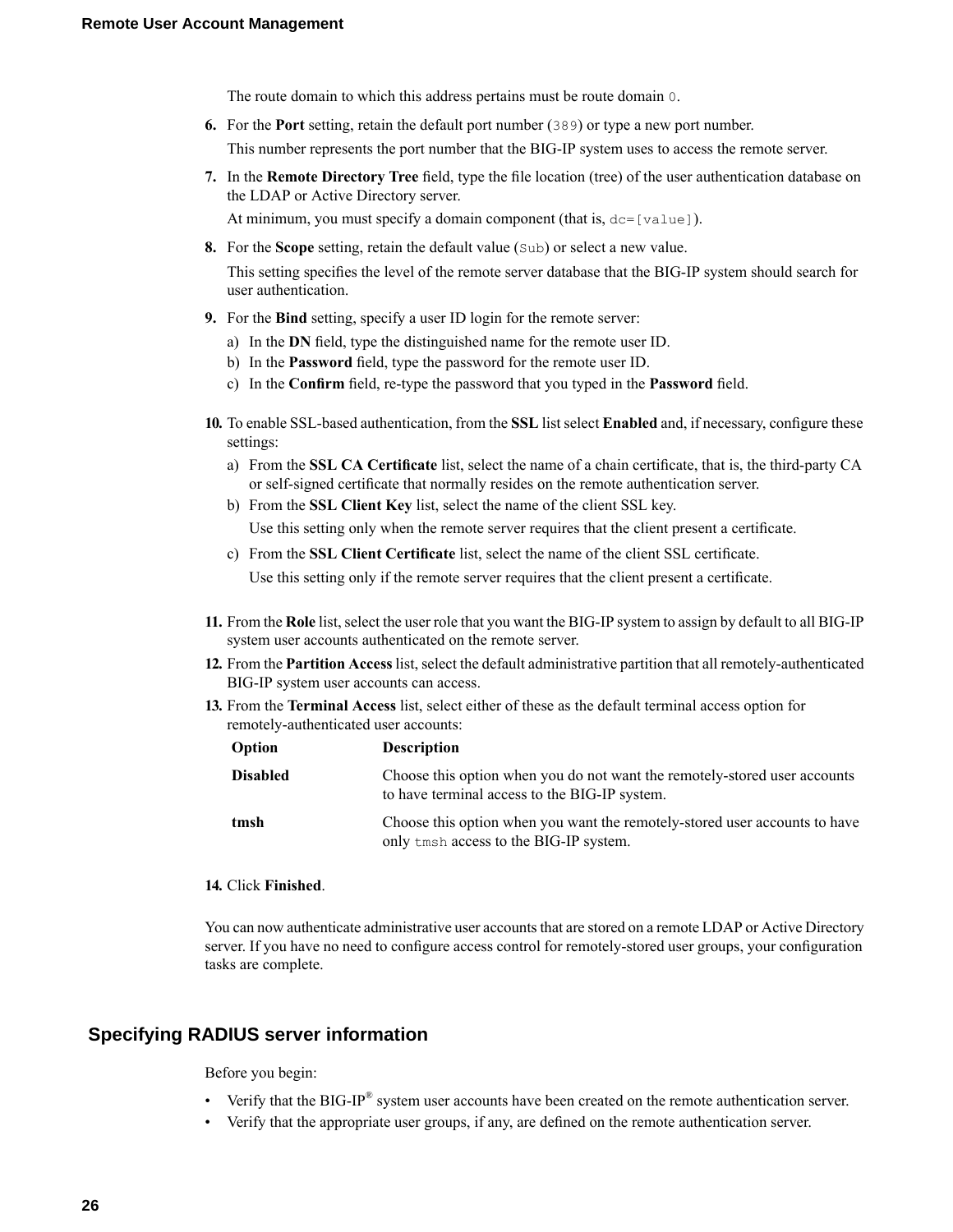The route domain to which this address pertains must be route domain 0.

- **6.** For the **Port** setting, retain the default port number (389) or type a new port number. This number represents the port number that the BIG-IP system uses to access the remote server.
- **7.** In the **Remote Directory Tree** field, type the file location (tree) of the user authentication database on the LDAP or Active Directory server.

At minimum, you must specify a domain component (that is,  $dc=[value]$ ).

**8.** For the **Scope** setting, retain the default value (Sub) or select a new value.

This setting specifies the level of the remote server database that the BIG-IP system should search for user authentication.

- **9.** For the **Bind** setting, specify a user ID login for the remote server:
	- a) In the **DN** field, type the distinguished name for the remote user ID.
	- b) In the **Password** field, type the password for the remote user ID.
	- c) In the **Confirm** field, re-type the password that you typed in the **Password** field.
- **10.** To enableSSL-based authentication, from the**SSL** list select **Enabled**and, if necessary, configure these settings:
	- a) From the **SSL CA Certificate** list, select the name of a chain certificate, that is, the third-party CA or self-signed certificate that normally resides on the remote authentication server.
	- b) From the **SSL Client Key** list, select the name of the client SSL key.

Use this setting only when the remote server requires that the client present a certificate.

c) From the **SSL Client Certificate** list, select the name of the client SSL certificate.

Use this setting only if the remote server requires that the client present a certificate.

- **11.** From the Role list, select the user role that you want the BIG-IP system to assign by default to all BIG-IP system user accounts authenticated on the remote server.
- **12.** From the **Partition Access** list, select the default administrative partition that all remotely-authenticated BIG-IP system user accounts can access.
- **13.** From the **Terminal Access** list, select either of these as the default terminal access option for remotely-authenticated user accounts:

| Option          | <b>Description</b>                                                                                                         |
|-----------------|----------------------------------------------------------------------------------------------------------------------------|
| <b>Disabled</b> | Choose this option when you do not want the remotely-stored user accounts<br>to have terminal access to the BIG-IP system. |
| tmsh            | Choose this option when you want the remotely-stored user accounts to have<br>only tmsh access to the BIG-IP system.       |

### **14.** Click **Finished**.

You can now authenticate administrative user accounts that are stored on a remote LDAP or Active Directory server. If you have no need to configure access control for remotely-stored user groups, your configuration tasks are complete.

### <span id="page-25-0"></span>**Specifying RADIUS server information**

Before you begin:

- Verify that the BIG-IP<sup>®</sup> system user accounts have been created on the remote authentication server.
- Verify that the appropriate user groups, if any, are defined on the remote authentication server.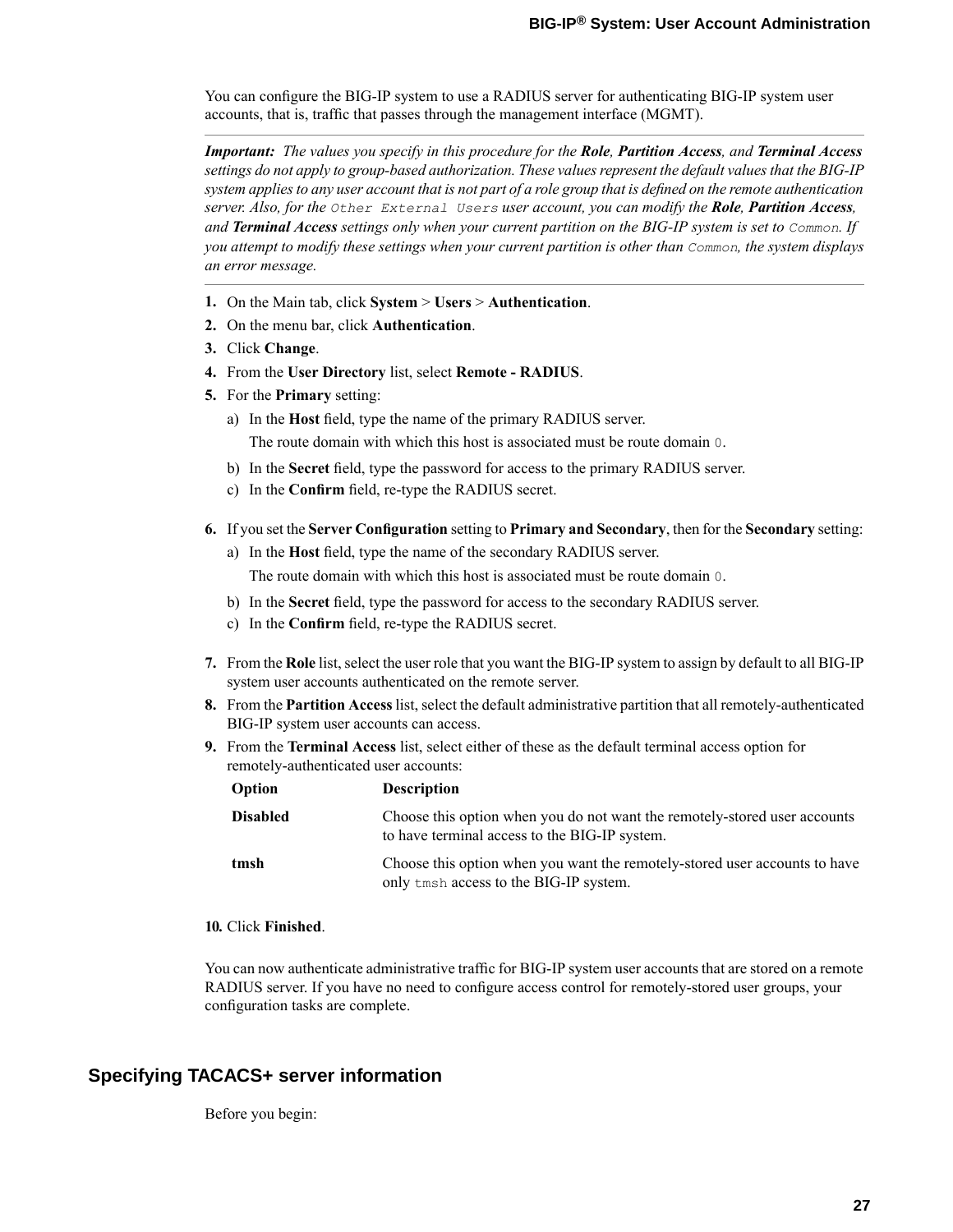You can configure the BIG-IP system to use a RADIUS server for authenticating BIG-IP system user accounts, that is, traffic that passes through the management interface (MGMT).

Important: The values you specify in this procedure for the Role, Partition Access, and Terminal Access *settings do not apply to group-based authorization.These valuesrepresent the default valuesthat the BIG-IP* system applies to any user account that is not part of a role group that is defined on the remote authentication server. Also, for the Other External Users user account, you can modify the Role, Partition Access, and Terminal Access settings only when your current partition on the BIG-IP system is set to Common. If you attempt to modify these settings when your current partition is other than Common, the system displays *an error message.*

- **1.** On the Main tab, click **System** > **Users** > **Authentication**.
- **2.** On the menu bar, click **Authentication**.
- **3.** Click **Change**.
- **4.** From the **User Directory** list, select **Remote - RADIUS**.
- **5.** For the **Primary** setting:
	- a) In the **Host** field, type the name of the primary RADIUS server.

The route domain with which this host is associated must be route domain 0.

- b) In the **Secret** field, type the password for access to the primary RADIUS server.
- c) In the **Confirm** field, re-type the RADIUS secret.
- **6.** If you set the Server Configuration setting to Primary and Secondary, then for the Secondary setting:
	- a) In the **Host** field, type the name of the secondary RADIUS server.

The route domain with which this host is associated must be route domain 0.

- b) In the **Secret** field, type the password for access to the secondary RADIUS server.
- c) In the **Confirm** field, re-type the RADIUS secret.
- **7.** From the **Role** list, select the user role that you want the BIG-IP system to assign by default to all BIG-IP system user accounts authenticated on the remote server.
- **8.** From the **Partition Access** list, select the default administrative partition that all remotely-authenticated BIG-IP system user accounts can access.
- **9.** From the **Terminal Access** list, select either of these as the default terminal access option for remotely-authenticated user accounts:

| Option          | <b>Description</b>                                                                                                         |
|-----------------|----------------------------------------------------------------------------------------------------------------------------|
| <b>Disabled</b> | Choose this option when you do not want the remotely-stored user accounts<br>to have terminal access to the BIG-IP system. |
| tmsh            | Choose this option when you want the remotely-stored user accounts to have<br>only tmsh access to the BIG-IP system.       |

#### **10.** Click **Finished**.

You can now authenticate administrative traffic for BIG-IP system user accounts that are stored on a remote RADIUS server. If you have no need to configure access control for remotely-stored user groups, your configuration tasks are complete.

### <span id="page-26-0"></span>**Specifying TACACS+ server information**

Before you begin: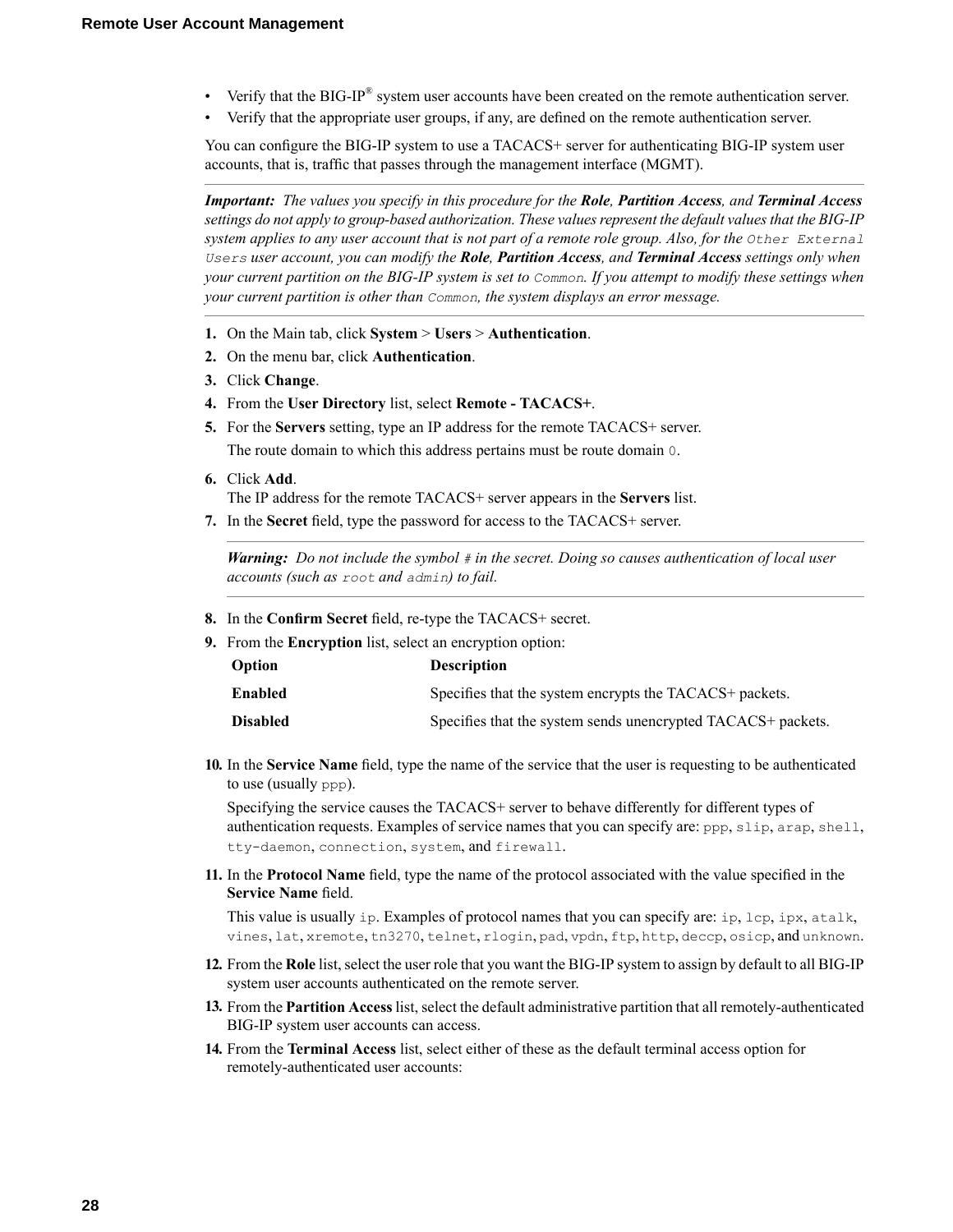- Verify that the BIG-IP<sup>®</sup> system user accounts have been created on the remote authentication server.
- Verify that the appropriate user groups, if any, are defined on the remote authentication server.

You can configure the BIG-IP system to use a TACACS+ server for authenticating BIG-IP system user accounts, that is, traffic that passes through the management interface (MGMT).

**Important:** The values you specify in this procedure for the **Role**, Partition Access, and Terminal Access *settings do not apply to group-based authorization.These valuesrepresent the default valuesthat the BIG-IP* system applies to any user account that is not part of a remote role group. Also, for the Other External Users user account, you can modify the Role, Partition Access, and Terminal Access settings only when your current partition on the BIG-IP system is set to Common. If you attempt to modify these settings when *your current partition is other than Common, the system displays an error message.*

- **1.** On the Main tab, click **System** > **Users** > **Authentication**.
- **2.** On the menu bar, click **Authentication**.
- **3.** Click **Change**.
- **4.** From the **User Directory** list, select **Remote - TACACS+**.
- **5.** For the **Servers** setting, type an IP address for the remote TACACS+ server. The route domain to which this address pertains must be route domain 0.
- **6.** Click **Add**.

The IP address for the remote TACACS+ server appears in the **Servers** list.

**7.** In the **Secret** field, type the password for access to the TACACS+ server.

*Warning: Do not include the symbol # in the secret. Doing so causes authentication of local user accounts (such as root and admin) to fail.*

- **8.** In the **Confirm Secret** field, re-type the TACACS+ secret.
- **9.** From the **Encryption** list, select an encryption option:

| Option          | <b>Description</b>                                           |
|-----------------|--------------------------------------------------------------|
| <b>Enabled</b>  | Specifies that the system encrypts the TACACS+ packets.      |
| <b>Disabled</b> | Specifies that the system sends unencrypted TACACS+ packets. |

**10.** In the **Service Name** field, type the name of the service that the user is requesting to be authenticated to use (usually ppp).

Specifying the service causes the TACACS+ server to behave differently for different types of authentication requests. Examples of service names that you can specify are: ppp, slip, arap, shell, tty-daemon, connection, system, and firewall.

**11.** In the **Protocol Name** field, type the name of the protocol associated with the value specified in the **Service Name** field.

This value is usually ip. Examples of protocol names that you can specify are: ip, lcp, ipx, atalk, vines, lat, xremote, tn3270, telnet, rlogin, pad, vpdn, ftp, http, deccp, osicp, and unknown.

- **12.** From the Role list, select the user role that you want the BIG-IP system to assign by default to all BIG-IP system user accounts authenticated on the remote server.
- **13.** From the **Partition Access** list, select the default administrative partition that all remotely-authenticated BIG-IP system user accounts can access.
- **14.** From the **Terminal Access** list, select either of these as the default terminal access option for remotely-authenticated user accounts: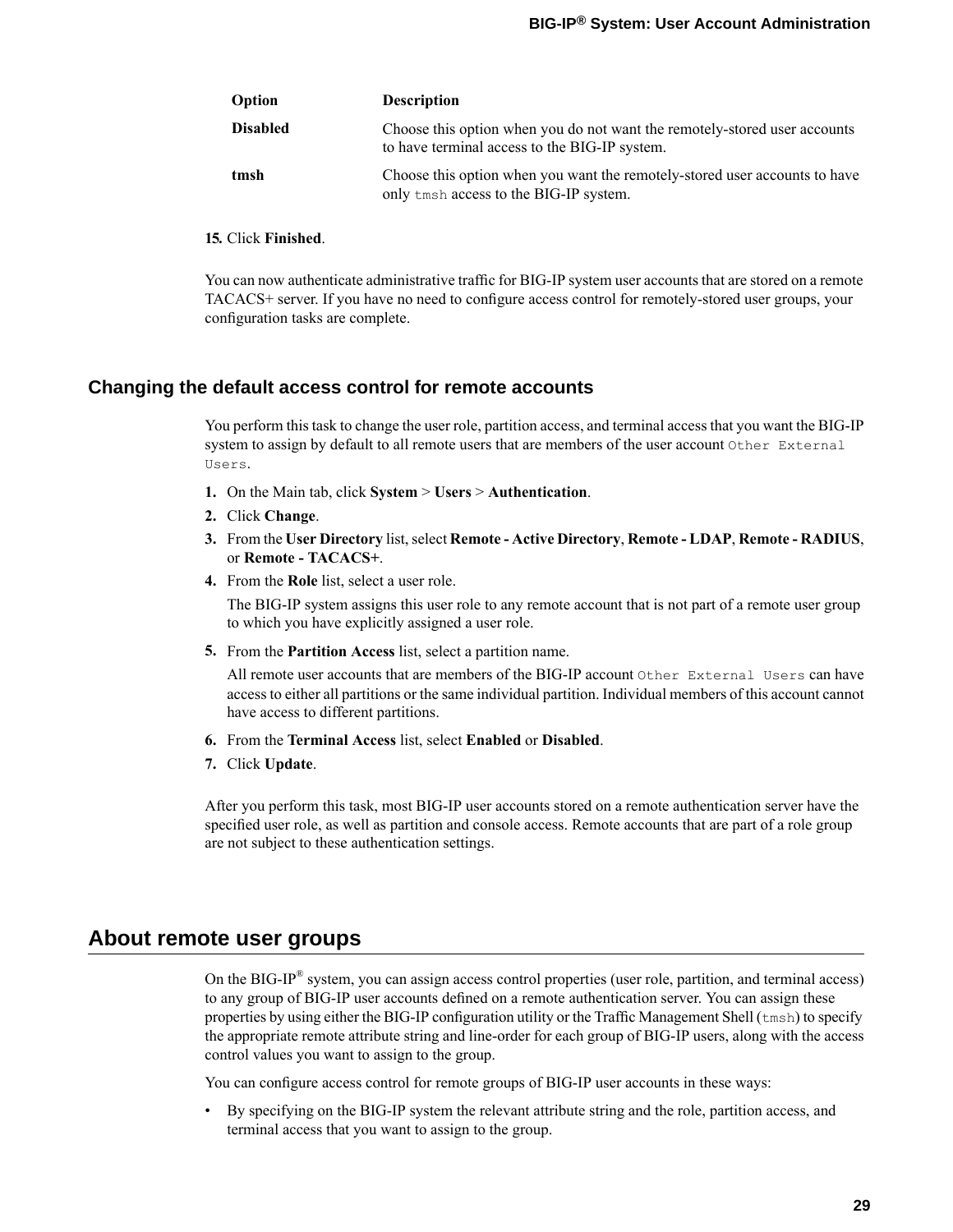| Option          | <b>Description</b>                                                                                                         |
|-----------------|----------------------------------------------------------------------------------------------------------------------------|
| <b>Disabled</b> | Choose this option when you do not want the remotely-stored user accounts<br>to have terminal access to the BIG-IP system. |
| tmsh            | Choose this option when you want the remotely-stored user accounts to have<br>only tmsh access to the BIG-IP system.       |

#### **15.** Click **Finished**.

You can now authenticate administrative traffic for BIG-IP system user accounts that are stored on a remote TACACS+ server. If you have no need to configure access control for remotely-stored user groups, your configuration tasks are complete.

### <span id="page-28-0"></span>**Changing the default access control for remote accounts**

You perform this task to change the user role, partition access, and terminal access that you want the BIG-IP system to assign by default to all remote users that are members of the user account Other External Users.

- **1.** On the Main tab, click **System** > **Users** > **Authentication**.
- **2.** Click **Change**.
- **3.** From the **User Directory** list,select **Remote - Active Directory**, **Remote - LDAP**, **Remote - RADIUS**, or **Remote - TACACS+**.
- **4.** From the **Role** list, select a user role.

The BIG-IP system assigns this user role to any remote account that is not part of a remote user group to which you have explicitly assigned a user role.

**5.** From the **Partition Access** list, select a partition name.

All remote user accounts that are members of the BIG-IP account Other External Users can have access to either all partitions or the same individual partition. Individual members of this account cannot have access to different partitions.

- **6.** From the **Terminal Access** list, select **Enabled** or **Disabled**.
- **7.** Click **Update**.

After you perform this task, most BIG-IP user accounts stored on a remote authentication server have the specified user role, as well as partition and console access. Remote accounts that are part of a role group are not subject to these authentication settings.

### <span id="page-28-1"></span>**About remote user groups**

On the BIG-IP® system, you can assign access control properties (user role, partition, and terminal access) to any group of BIG-IP user accounts defined on a remote authentication server. You can assign these properties by using either the BIG-IP configuration utility or the Traffic Management Shell (tmsh) to specify the appropriate remote attribute string and line-order for each group of BIG-IP users, along with the access control values you want to assign to the group.

You can configure access control for remote groups of BIG-IP user accounts in these ways:

• By specifying on the BIG-IP system the relevant attribute string and the role, partition access, and terminal access that you want to assign to the group.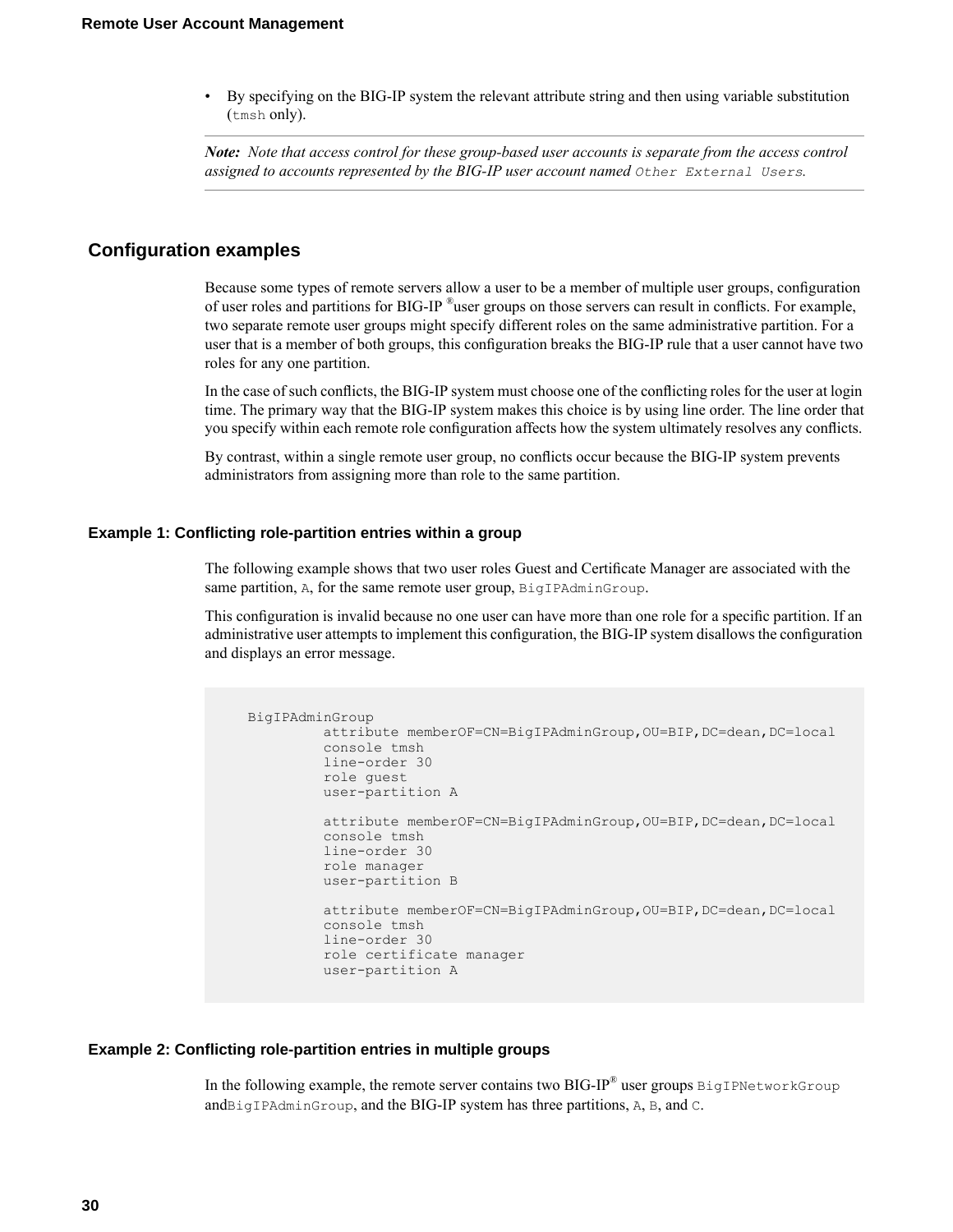• By specifying on the BIG-IP system the relevant attribute string and then using variable substitution (tmsh only).

*Note: Note that access control for these group-based user accounts is separate from the access control assigned to accounts represented by the BIG-IP user account named Other External Users.*

### <span id="page-29-0"></span>**Configuration examples**

Because some types of remote servers allow a user to be a member of multiple user groups, configuration of user roles and partitions for BIG-IP ®user groups on those servers can result in conflicts. For example, two separate remote user groups might specify different roles on the same administrative partition. For a user that is a member of both groups, this configuration breaks the BIG-IP rule that a user cannot have two roles for any one partition.

In the case of such conflicts, the BIG-IPsystem must choose one of the conflicting roles for the user at login time. The primary way that the BIG-IP system makes this choice is by using line order. The line order that you specify within each remote role configuration affects how the system ultimately resolves any conflicts.

By contrast, within a single remote user group, no conflicts occur because the BIG-IP system prevents administrators from assigning more than role to the same partition.

#### <span id="page-29-2"></span>**Example 1: Conflicting role-partition entries within a group**

The following example shows that two user roles Guest and Certificate Manager are associated with the same partition, A, for the same remote user group, BigIPAdminGroup.

This configuration is invalid because no one user can have more than one role for a specific partition. If an administrative user attempts to implement this configuration, the BIG-IPsystem disallows the configuration and displays an error message.

```
BigIPAdminGroup
         attribute memberOF=CN=BigIPAdminGroup,OU=BIP,DC=dean,DC=local
         console tmsh
         line-order 30
         role guest
         user-partition A
         attribute memberOF=CN=BigIPAdminGroup, OU=BIP, DC=dean, DC=local
         console tmsh
         line-order 30
         role manager
         user-partition B
         attribute memberOF=CN=BigIPAdminGroup,OU=BIP,DC=dean,DC=local
         console tmsh
         line-order 30
         role certificate manager
         user-partition A
```
#### <span id="page-29-1"></span>**Example 2: Conflicting role-partition entries in multiple groups**

In the following example, the remote server contains two BIG-IP® user groups  $\texttt{BigDWetworkGroup}$ andBigIPAdminGroup, and the BIG-IP system has three partitions, A, B, and C.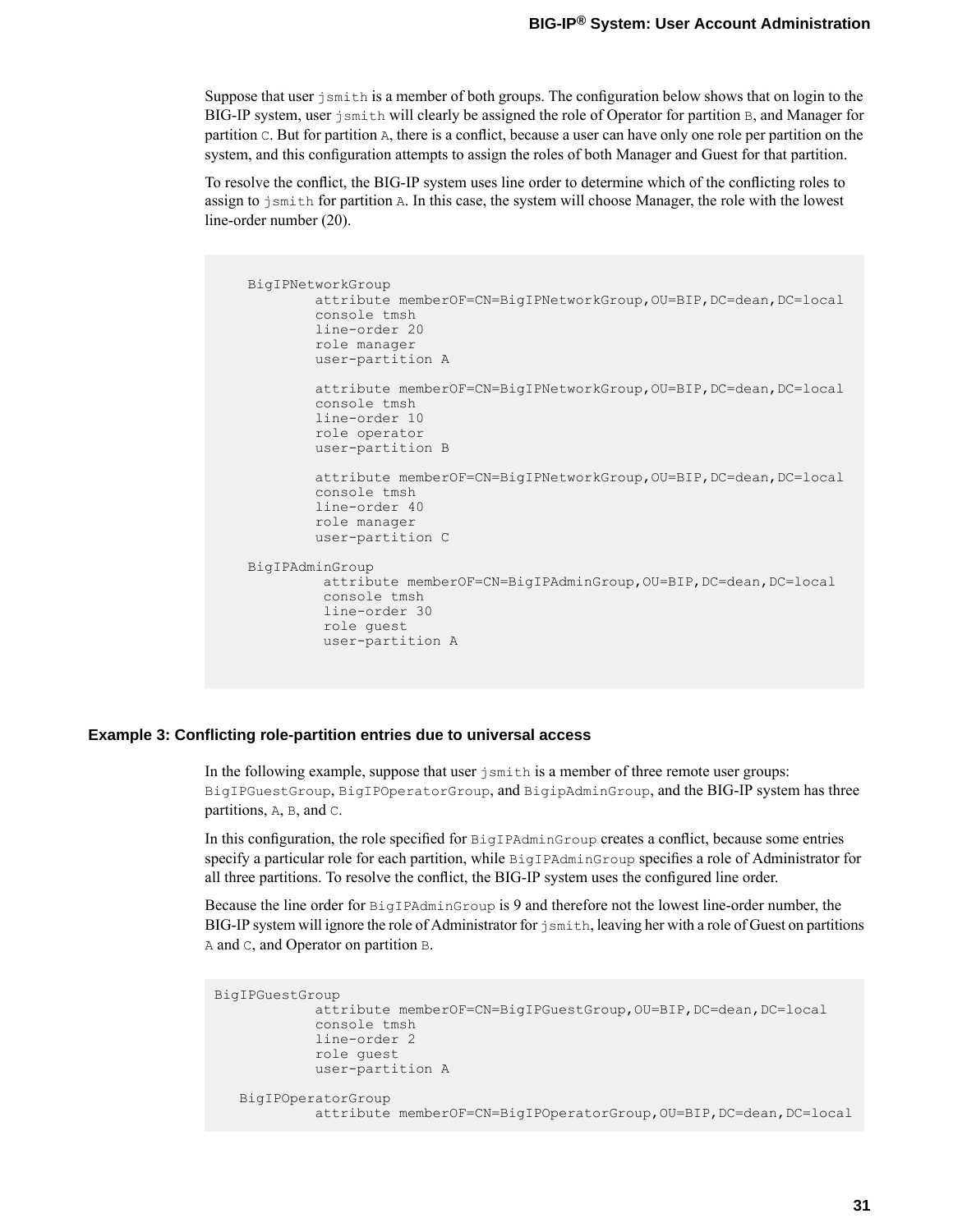Suppose that user  $\frac{1}{2}$  smith is a member of both groups. The configuration below shows that on login to the BIG-IP system, user jsmith will clearly be assigned the role of Operator for partition B, and Manager for partition C. But for partition A, there is a conflict, because a user can have only one role per partition on the system, and this configuration attempts to assign the roles of both Manager and Guest for that partition.

To resolve the conflict, the BIG-IP system uses line order to determine which of the conflicting roles to assign to jsmith for partition A. In this case, the system will choose Manager, the role with the lowest line-order number (20).

```
BigIPNetworkGroup
        attribute memberOF=CN=BigIPNetworkGroup,OU=BIP,DC=dean,DC=local
        console tmsh
        line-order 20
        role manager
        user-partition A
        attribute memberOF=CN=BigIPNetworkGroup,OU=BIP,DC=dean,DC=local
        console tmsh
        line-order 10
        role operator
       user-partition B
       attribute memberOF=CN=BigIPNetworkGroup,OU=BIP,DC=dean,DC=local
        console tmsh
        line-order 40
       role manager
       user-partition C
BigIPAdminGroup
        attribute memberOF=CN=BigIPAdminGroup,OU=BIP,DC=dean,DC=local
         console tmsh
        line-order 30
        role guest
         user-partition A
```
### **Example 3: Conflicting role-partition entries due to universal access**

In the following example, suppose that user  $j$  smith is a member of three remote user groups: BigIPGuestGroup, BigIPOperatorGroup, and BigipAdminGroup, and the BIG-IP system has three partitions, A, B, and C.

In this configuration, the role specified for BigIPAdminGroup creates a conflict, because some entries specify a particular role for each partition, while BigIPAdminGroup specifies a role of Administrator for all three partitions. To resolve the conflict, the BIG-IP system uses the configured line order.

Because the line order for BigIPAdminGroup is 9 and therefore not the lowest line-order number, the BIG-IP system will ignore the role of Administrator for jsmith, leaving her with a role of Guest on partitions A and C, and Operator on partition B.

```
BigIPGuestGroup
            attribute memberOF=CN=BigIPGuestGroup,OU=BIP,DC=dean,DC=local
            console tmsh
            line-order 2
            role guest
            user-partition A
   BigIPOperatorGroup
            attribute memberOF=CN=BigIPOperatorGroup,OU=BIP,DC=dean,DC=local
```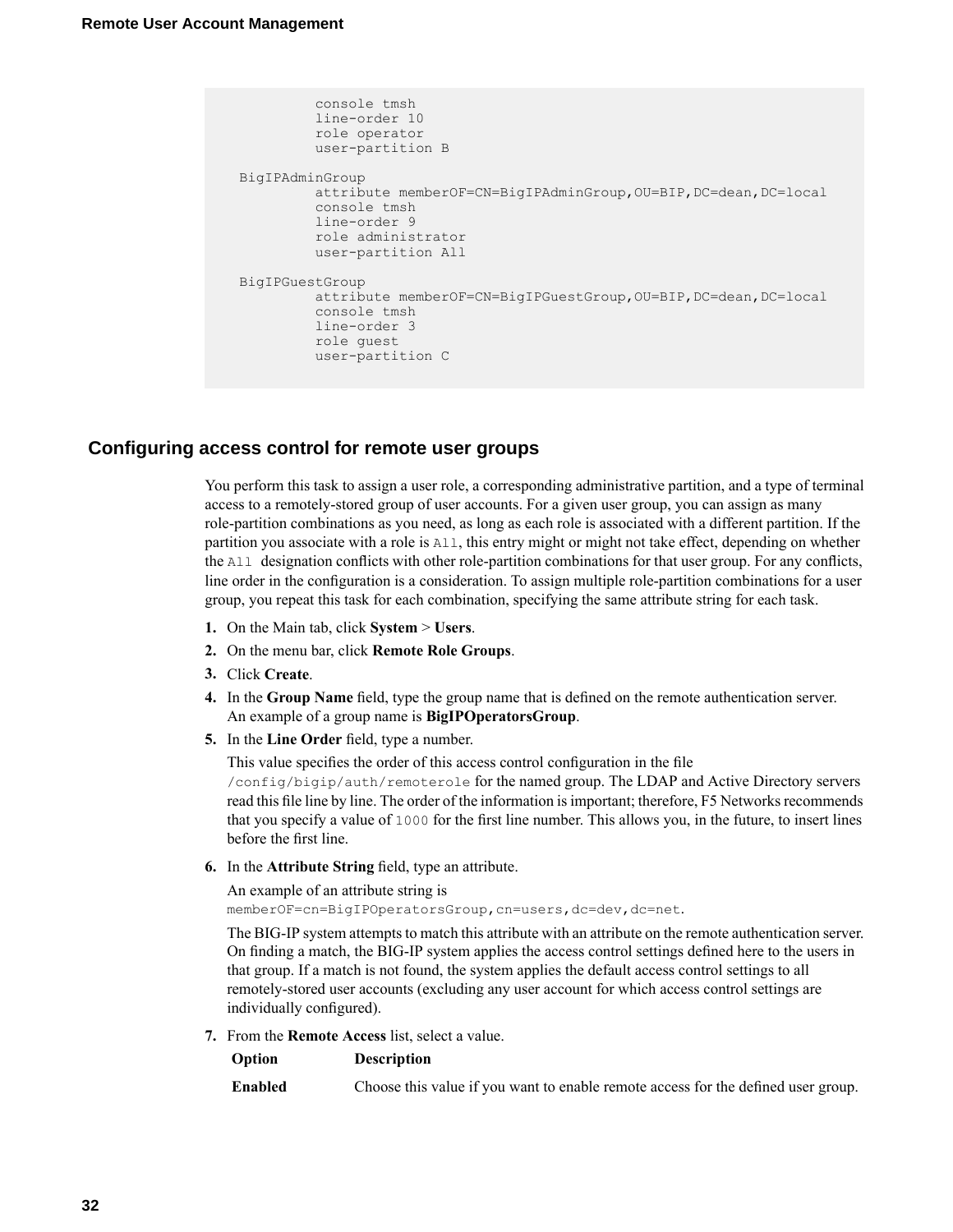```
console tmsh
        line-order 10
         role operator
         user-partition B
BigIPAdminGroup
        attribute memberOF=CN=BigIPAdminGroup,OU=BIP,DC=dean,DC=local
         console tmsh
         line-order 9
         role administrator
         user-partition All
BigIPGuestGroup
        attribute memberOF=CN=BigIPGuestGroup,OU=BIP,DC=dean,DC=local
         console tmsh
         line-order 3
        role guest
         user-partition C
```
### <span id="page-31-0"></span>**Configuring access control for remote user groups**

You perform this task to assign a user role, a corresponding administrative partition, and a type of terminal access to a remotely-stored group of user accounts. For a given user group, you can assign as many role-partition combinations as you need, as long as each role is associated with a different partition. If the partition you associate with a role is All, this entry might or might not take effect, depending on whether the All designation conflicts with other role-partition combinations for that user group. For any conflicts, line order in the configuration is a consideration. To assign multiple role-partition combinations for a user group, you repeat this task for each combination, specifying the same attribute string for each task.

- **1.** On the Main tab, click **System** > **Users**.
- **2.** On the menu bar, click **Remote Role Groups**.
- **3.** Click **Create**.
- **4.** In the **Group Name** field, type the group name that is defined on the remote authentication server. An example of a group name is **BigIPOperatorsGroup**.
- **5.** In the **Line Order** field, type a number.

This value specifies the order of this access control configuration in the file

/config/bigip/auth/remoterole for the named group. The LDAP and Active Directory servers read this file line by line. The order of the information is important; therefore, F5 Networks recommends that you specify a value of 1000 for the first line number. This allows you, in the future, to insert lines before the first line.

**6.** In the **Attribute String** field, type an attribute.

An example of an attribute string is

memberOF=cn=BigIPOperatorsGroup, cn=users, dc=dev, dc=net.

The BIG-IP system attempts to match this attribute with an attribute on the remote authentication server. On finding a match, the BIG-IP system applies the access control settings defined here to the users in that group. If a match is not found, the system applies the default access control settings to all remotely-stored user accounts (excluding any user account for which access control settings are individually configured).

**7.** From the **Remote Access** list, select a value.

| <b>Description</b> |
|--------------------|
|                    |

| Enabled<br>Choose this value if you want to enable remote access for the defined user group. |  |
|----------------------------------------------------------------------------------------------|--|
|----------------------------------------------------------------------------------------------|--|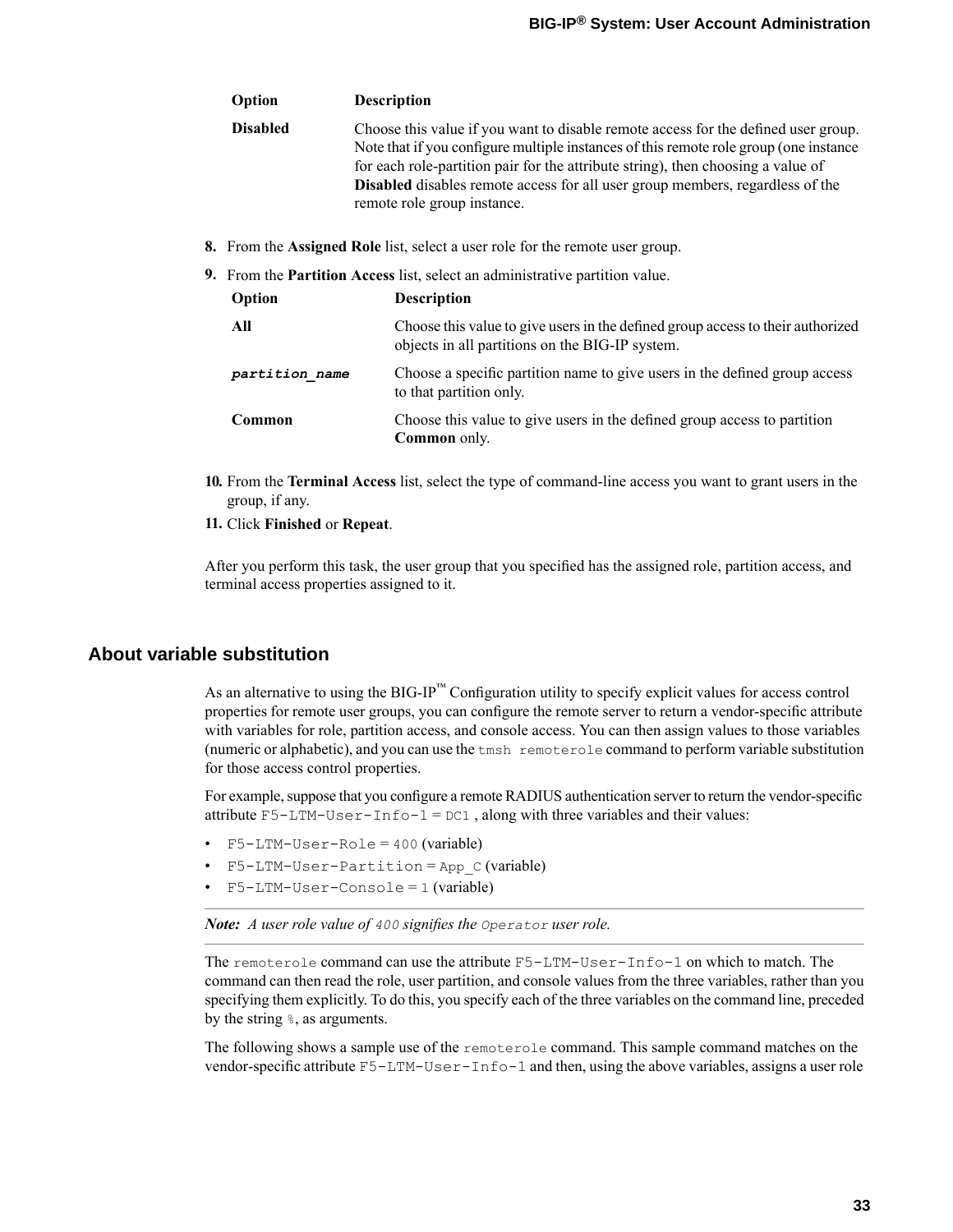| Option          | <b>Description</b>                                                                                                                                                                                                                                                                                                                                                                     |
|-----------------|----------------------------------------------------------------------------------------------------------------------------------------------------------------------------------------------------------------------------------------------------------------------------------------------------------------------------------------------------------------------------------------|
| <b>Disabled</b> | Choose this value if you want to disable remote access for the defined user group.<br>Note that if you configure multiple instances of this remote role group (one instance<br>for each role-partition pair for the attribute string), then choosing a value of<br><b>Disabled</b> disables remote access for all user group members, regardless of the<br>remote role group instance. |

**8.** From the **Assigned Role** list, select a user role for the remote user group.

| <b>9.</b> From the <b>Partition Access</b> list, select an administrative partition value. |                                                                                                                                    |  |
|--------------------------------------------------------------------------------------------|------------------------------------------------------------------------------------------------------------------------------------|--|
| Option                                                                                     | <b>Description</b>                                                                                                                 |  |
| All                                                                                        | Choose this value to give users in the defined group access to their authorized<br>objects in all partitions on the BIG-IP system. |  |
| partition name                                                                             | Choose a specific partition name to give users in the defined group access<br>to that partition only.                              |  |
| Common                                                                                     | Choose this value to give users in the defined group access to partition<br><b>Common</b> only.                                    |  |
|                                                                                            |                                                                                                                                    |  |

- **10.** From the **Terminal Access** list, select the type of command-line access you want to grant users in the group, if any.
- **11.** Click **Finished** or **Repeat**.

After you perform this task, the user group that you specified has the assigned role, partition access, and terminal access properties assigned to it.

### <span id="page-32-0"></span>**About variable substitution**

As an alternative to using the BIG-IP<sup>™</sup> Configuration utility to specify explicit values for access control properties for remote user groups, you can configure the remote server to return a vendor-specific attribute with variables for role, partition access, and console access. You can then assign values to those variables (numeric or alphabetic), and you can use the tmsh remoterole command to perform variable substitution for those access control properties.

For example, suppose that you configure a remote RADIUS authentication server to return the vendor-specific attribute  $F5-LTM-User-Info-1 = DC1$ , along with three variables and their values:

- F5-LTM-User-Role = 400 (variable)
- $F5-LTM-User-Partition = App C (variable)$
- $F5-LTM-User-Console = 1 (variable)$

*Note: A user role value of 400 signifies the Operator user role.*

The remoterole command can use the attribute F5-LTM-User-Info-1 on which to match. The command can then read the role, user partition, and console values from the three variables, rather than you specifying them explicitly. To do this, you specify each of the three variables on the command line, preceded by the string %, as arguments.

The following shows a sample use of the remoterole command. This sample command matches on the vendor-specific attribute F5-LTM-User-Info-1 and then, using the above variables, assigns a user role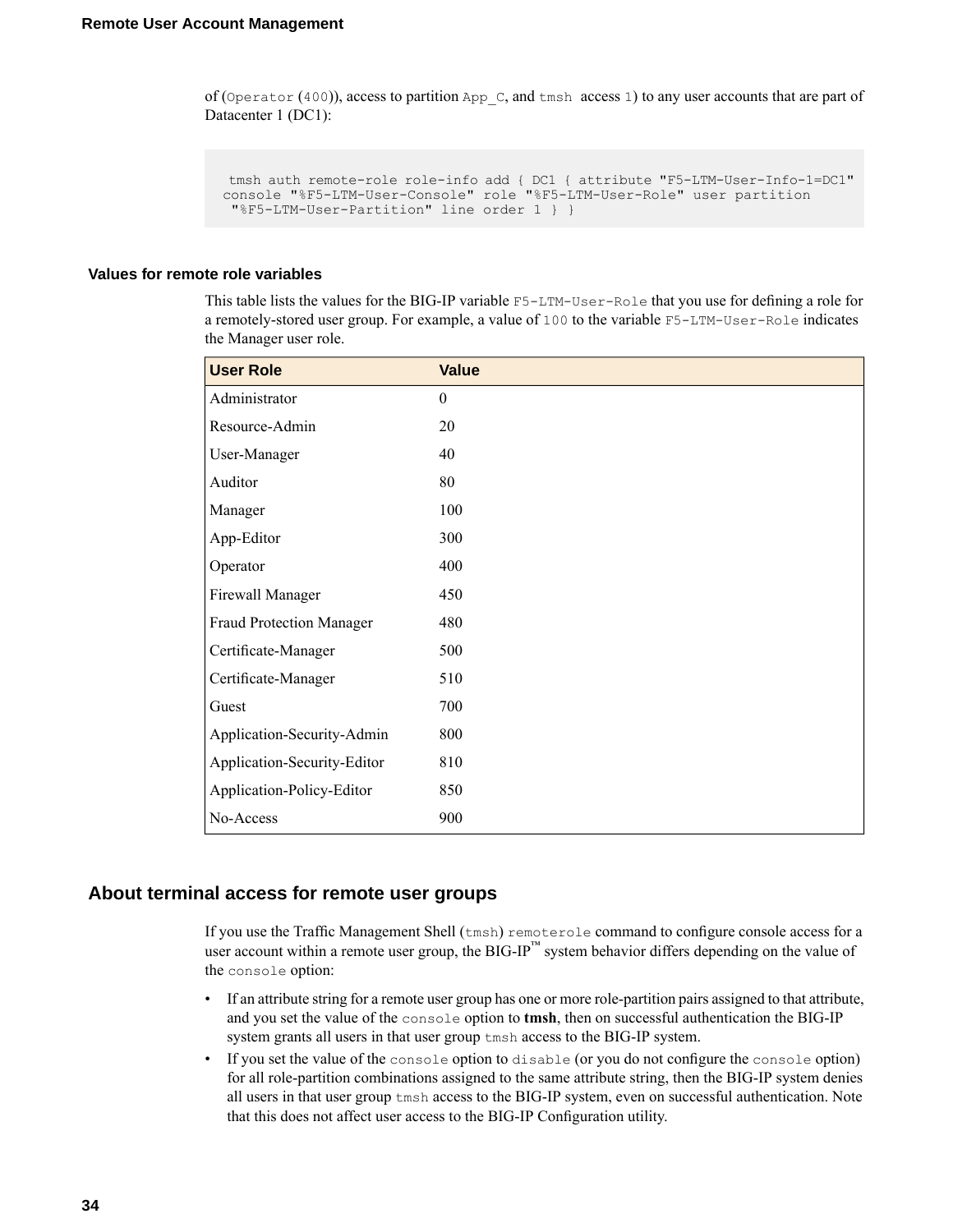of (Operator (400)), access to partition App  $C$ , and tmsh access 1) to any user accounts that are part of Datacenter 1 (DC1):

```
tmsh auth remote-role role-info add { DC1 { attribute "F5-LTM-User-Info-1=DC1"
console "%F5-LTM-User-Console" role "%F5-LTM-User-Role" user partition
 "%F5-LTM-User-Partition" line order 1 } }
```
#### <span id="page-33-1"></span>**Values for remote role variables**

This table lists the values for the BIG-IP variable F5-LTM-User-Role that you use for defining a role for a remotely-stored user group. For example, a value of 100 to the variable F5-LTM-User-Role indicates the Manager user role.

| <b>User Role</b>            | <b>Value</b>     |
|-----------------------------|------------------|
| Administrator               | $\boldsymbol{0}$ |
| Resource-Admin              | 20               |
| User-Manager                | 40               |
| Auditor                     | 80               |
| Manager                     | 100              |
| App-Editor                  | 300              |
| Operator                    | 400              |
| Firewall Manager            | 450              |
| Fraud Protection Manager    | 480              |
| Certificate-Manager         | 500              |
| Certificate-Manager         | 510              |
| Guest                       | 700              |
| Application-Security-Admin  | 800              |
| Application-Security-Editor | 810              |
| Application-Policy-Editor   | 850              |
| No-Access                   | 900              |

### <span id="page-33-0"></span>**About terminal access for remote user groups**

If you use the Traffic Management Shell (tmsh) remoterole command to configure console access for a user account within a remote user group, the BIG-IP<sup>™</sup> system behavior differs depending on the value of the console option:

- If an attribute string for a remote user group has one or more role-partition pairs assigned to that attribute, and you set the value of the console option to **tmsh**, then on successful authentication the BIG-IP system grants all users in that user group tmsh access to the BIG-IP system.
- If you set the value of the console option to disable (or you do not configure the console option) for all role-partition combinations assigned to the same attribute string, then the BIG-IP system denies all users in that user group tmsh access to the BIG-IP system, even on successful authentication. Note that this does not affect user access to the BIG-IP Configuration utility.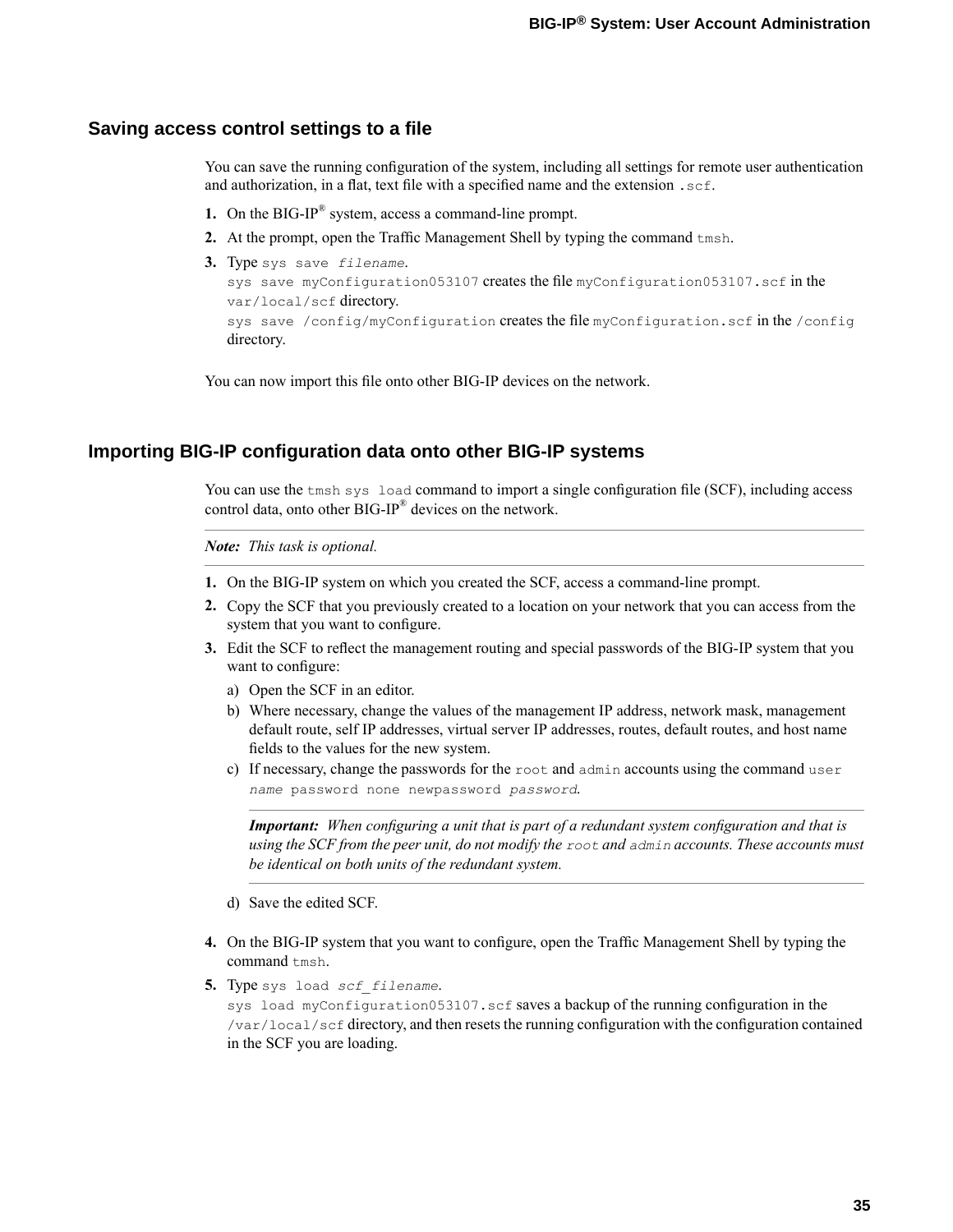### <span id="page-34-0"></span>**Saving access control settings to a file**

You can save the running configuration of the system, including all settings for remote user authentication and authorization, in a flat, text file with a specified name and the extension  $\cdot$  scf.

- **1.** On the BIG-IP® system, access a command-line prompt.
- **2.** At the prompt, open the Traffic Management Shell by typing the command tmsh.
- **3.** Type sys save *filename*.

```
sys save myConfiguration053107 creates the file myConfiguration053107.scf in the
var/local/scf directory.
sys save /config/myConfiguration creates the file myConfiguration.scf in the /config
directory.
```
You can now import this file onto other BIG-IP devices on the network.

### <span id="page-34-1"></span>**Importing BIG-IP configuration data onto other BIG-IP systems**

You can use the tmsh sys load command to import a single configuration file (SCF), including access control data, onto other BIG-IP® devices on the network.

*Note: This task is optional.*

- **1.** On the BIG-IP system on which you created the SCF, access a command-line prompt.
- **2.** Copy the SCF that you previously created to a location on your network that you can access from the system that you want to configure.
- **3.** Edit the SCF to reflect the management routing and special passwords of the BIG-IP system that you want to configure:
	- a) Open the SCF in an editor.
	- b) Where necessary, change the values of the management IP address, network mask, management default route, self IP addresses, virtual server IP addresses, routes, default routes, and host name fields to the values for the new system.
	- c) If necessary, change the passwords for the root and admin accounts using the command user *name* password none newpassword *password*.

*Important: When configuring a unit that is part of a redundant system configuration and that is using the SCF from the peer unit, do not modify the root and admin accounts. These accounts must be identical on both units of the redundant system.*

- d) Save the edited SCF.
- **4.** On the BIG-IP system that you want to configure, open the Traffic Management Shell by typing the command tmsh.
- **5.** Type sys load *scf\_filename*.

sys load myConfiguration053107.scf saves a backup of the running configuration in the /var/local/scf directory, and then resets the running configuration with the configuration contained in the SCF you are loading.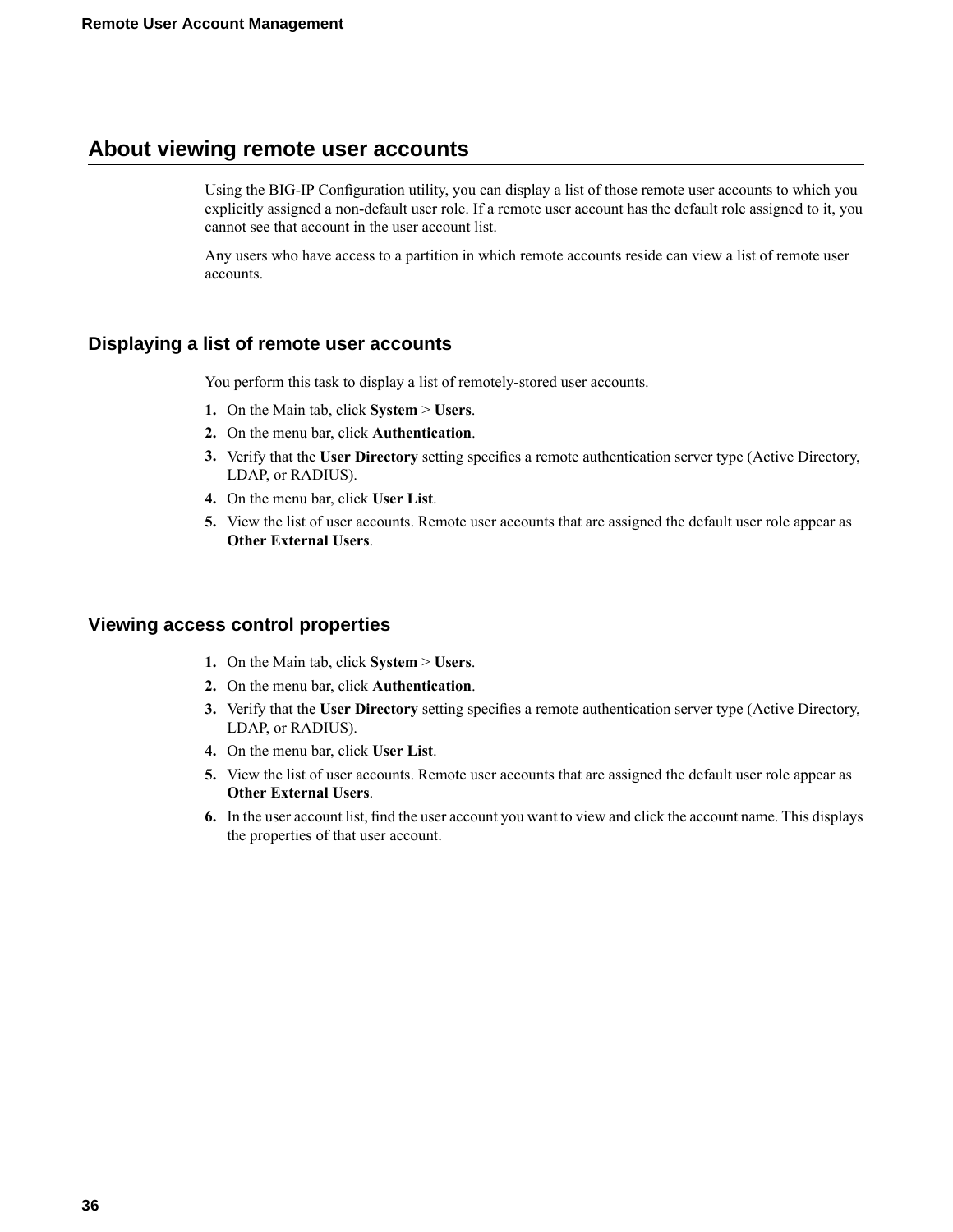# <span id="page-35-0"></span>**About viewing remote user accounts**

Using the BIG-IP Configuration utility, you can display a list of those remote user accounts to which you explicitly assigned a non-default user role. If a remote user account has the default role assigned to it, you cannot see that account in the user account list.

Any users who have access to a partition in which remote accounts reside can view a list of remote user accounts.

### <span id="page-35-1"></span>**Displaying a list of remote user accounts**

You perform this task to display a list of remotely-stored user accounts.

- **1.** On the Main tab, click **System** > **Users**.
- **2.** On the menu bar, click **Authentication**.
- **3.** Verify that the **User Directory** setting specifies a remote authentication server type (Active Directory, LDAP, or RADIUS).
- **4.** On the menu bar, click **User List**.
- **5.** View the list of user accounts. Remote user accounts that are assigned the default user role appear as **Other External Users**.

### <span id="page-35-2"></span>**Viewing access control properties**

- **1.** On the Main tab, click **System** > **Users**.
- **2.** On the menu bar, click **Authentication**.
- **3.** Verify that the **User Directory** setting specifies a remote authentication server type (Active Directory, LDAP, or RADIUS).
- **4.** On the menu bar, click **User List**.
- **5.** View the list of user accounts. Remote user accounts that are assigned the default user role appear as **Other External Users**.
- **6.** In the user account list, find the user account you want to view and click the account name. This displays the properties of that user account.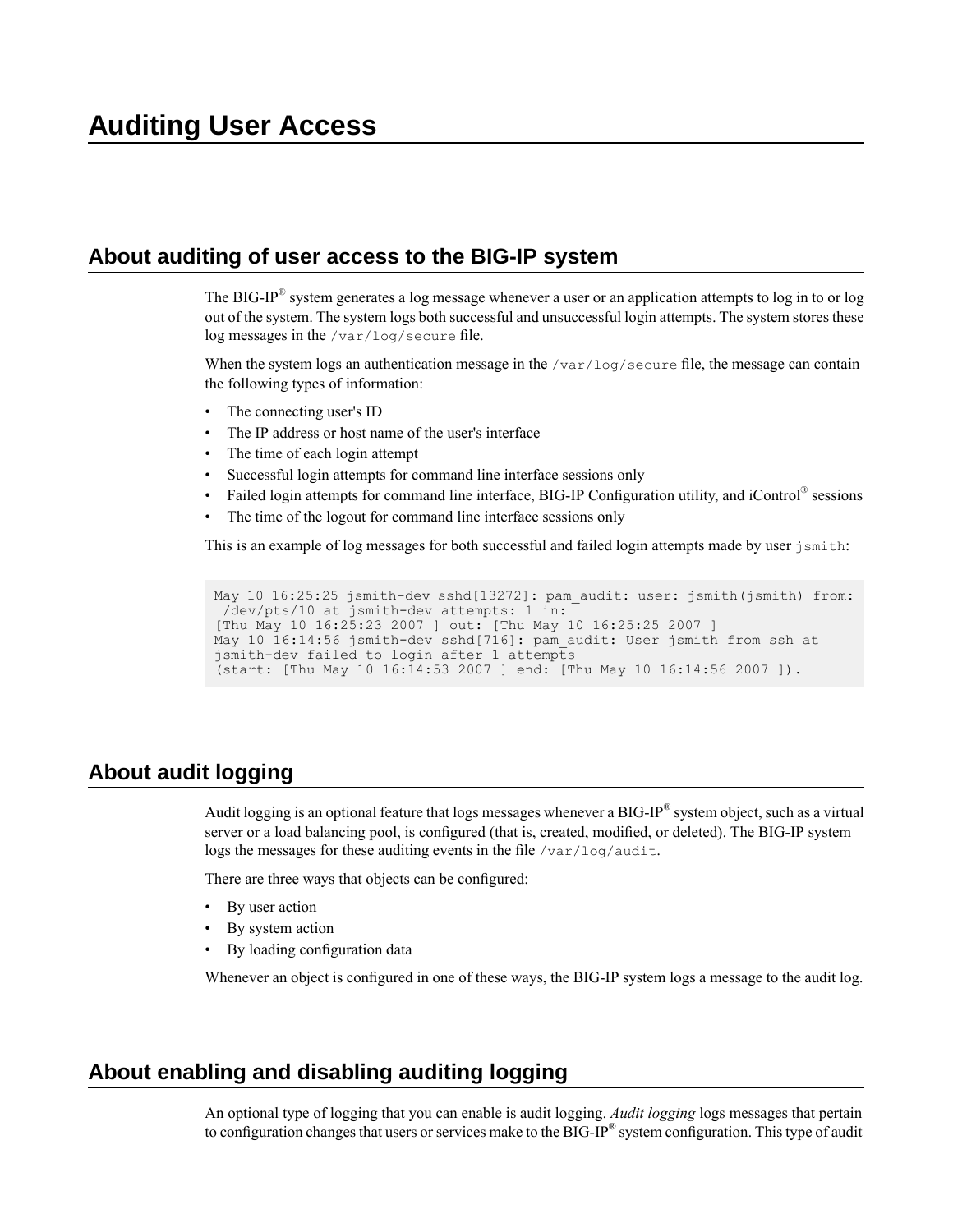# <span id="page-36-1"></span><span id="page-36-0"></span>**About auditing of user access to the BIG-IP system**

The BIG-IP® system generates a log message whenever a user or an application attempts to log in to or log out of the system. The system logs both successful and unsuccessful login attempts. The system stores these log messages in the /var/log/secure file.

When the system logs an authentication message in the  $/\text{var}/\text{log}/\text{secure}$  file, the message can contain the following types of information:

- The connecting user's ID
- The IP address or host name of the user's interface
- The time of each login attempt
- Successful login attempts for command line interface sessions only
- Failed login attempts for command line interface, BIG-IP Configuration utility, and iControl® sessions
- The time of the logout for command line interface sessions only

This is an example of log messages for both successful and failed login attempts made by user jsmith:

```
May 10 16:25:25 jsmith-dev sshd[13272]: pam_audit: user: jsmith(jsmith) from:
 /dev/pts/10 at jsmith-dev attempts: 1 in:
[Thu May 10 16:25:23 2007 ] out: [Thu May 10 16:25:25 2007 ]
May 10 16:14:56 jsmith-dev sshd[716]: pam_audit: User jsmith from ssh at
jsmith-dev failed to login after 1 attempts
(start: [Thu May 10 16:14:53 2007 ] end: [Thu May 10 16:14:56 2007 ]).
```
# <span id="page-36-2"></span>**About audit logging**

Audit logging is an optional feature that logs messages whenever a BIG-IP $^{\circledast}$  system object, such as a virtual server or a load balancing pool, is configured (that is, created, modified, or deleted). The BIG-IP system logs the messages for these auditing events in the file /var/log/audit.

There are three ways that objects can be configured:

- By user action
- By system action
- By loading configuration data

Whenever an object is configured in one of these ways, the BIG-IP system logs a message to the audit log.

# <span id="page-36-3"></span>**About enabling and disabling auditing logging**

An optional type of logging that you can enable is audit logging. *Audit logging* logs messages that pertain to configuration changes that users or services make to the BIG-IP $^{\circledast}$  system configuration. This type of audit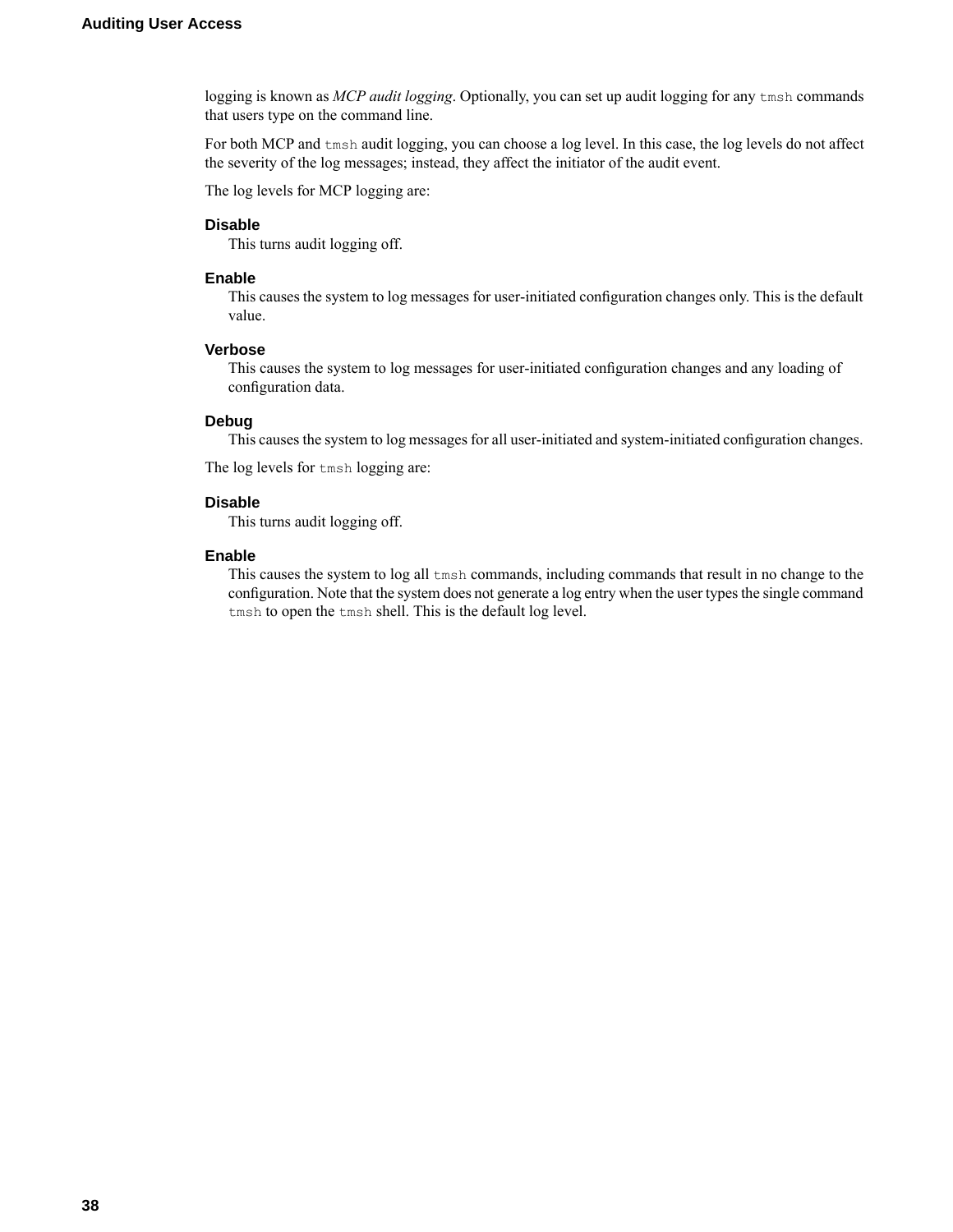logging is known as *MCP audit logging*. Optionally, you can set up audit logging for any tmsh commands that users type on the command line.

For both MCP and tmsh audit logging, you can choose a log level. In this case, the log levels do not affect the severity of the log messages; instead, they affect the initiator of the audit event.

The log levels for MCP logging are:

#### **Disable**

This turns audit logging off.

#### **Enable**

This causes the system to log messages for user-initiated configuration changes only. This is the default value.

#### **Verbose**

This causes the system to log messages for user-initiated configuration changes and any loading of configuration data.

### **Debug**

This causes the system to log messages for all user-initiated and system-initiated configuration changes.

The log levels for tmsh logging are:

### **Disable**

This turns audit logging off.

#### **Enable**

This causes the system to log all tmsh commands, including commands that result in no change to the configuration. Note that the system does not generate a log entry when the user types the single command tmsh to open the tmsh shell. This is the default log level.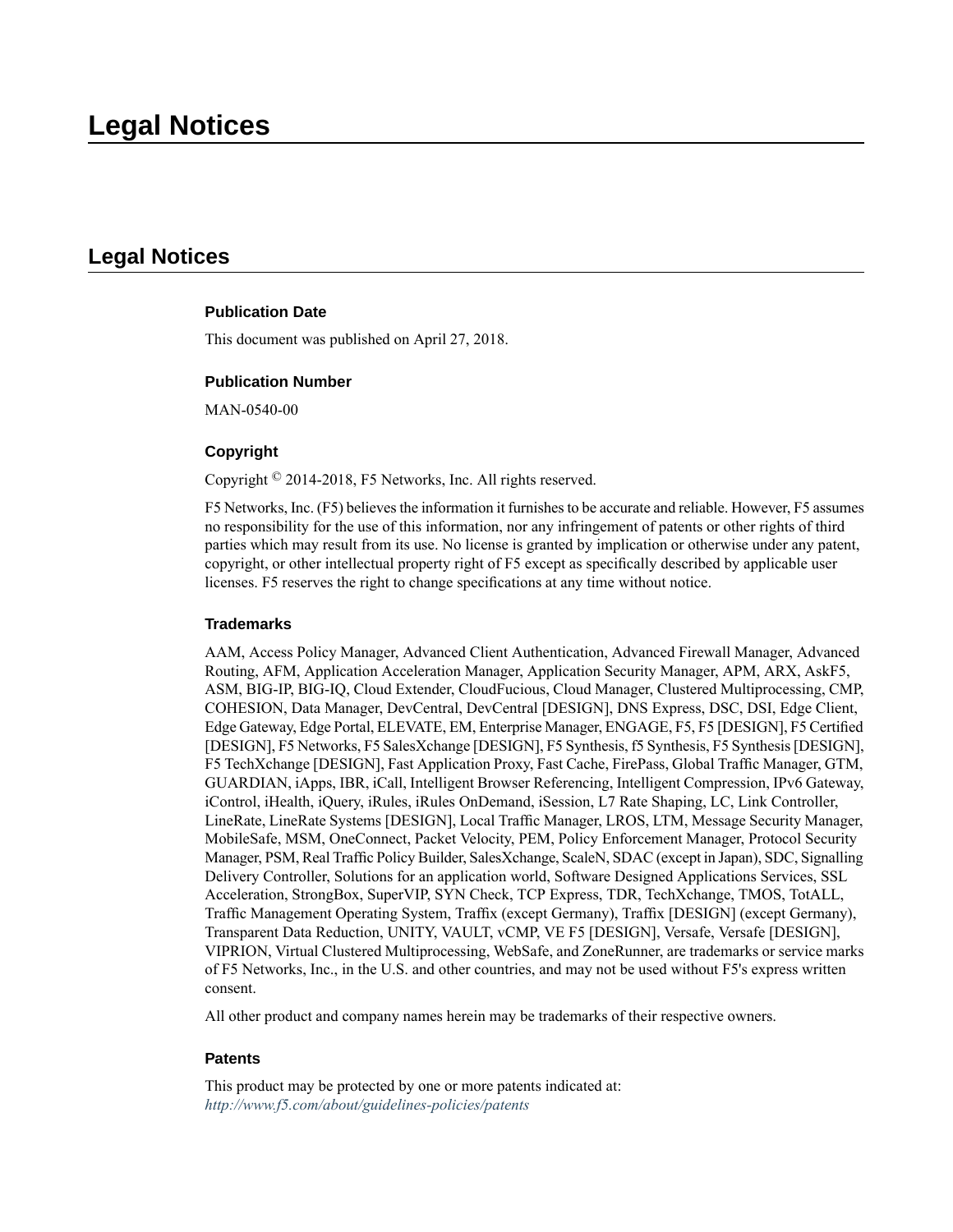# <span id="page-38-1"></span><span id="page-38-0"></span>**Legal Notices**

### **Publication Date**

This document was published on April 27, 2018.

### **Publication Number**

MAN-0540-00

### **Copyright**

Copyright © 2014-2018, F5 Networks, Inc. All rights reserved.

F5 Networks, Inc. (F5) believes the information it furnishes to be accurate and reliable. However, F5 assumes no responsibility for the use of this information, nor any infringement of patents or other rights of third parties which may result from its use. No license is granted by implication or otherwise under any patent, copyright, or other intellectual property right of F5 except as specifically described by applicable user licenses. F5 reserves the right to change specifications at any time without notice.

#### **Trademarks**

AAM, Access Policy Manager, Advanced Client Authentication, Advanced Firewall Manager, Advanced Routing, AFM, Application Acceleration Manager, Application Security Manager, APM, ARX, AskF5, ASM, BIG-IP, BIG-IQ, Cloud Extender, CloudFucious, Cloud Manager, Clustered Multiprocessing, CMP, COHESION, Data Manager, DevCentral, DevCentral [DESIGN], DNS Express, DSC, DSI, Edge Client, Edge Gateway, EdgePortal, ELEVATE, EM, Enterprise Manager, ENGAGE,F5,F5 [DESIGN],F5 Certified [DESIGN],F5 Networks,F5SalesXchange [DESIGN],F5Synthesis, f5Synthesis,F5Synthesis[DESIGN], F5 TechXchange [DESIGN], Fast Application Proxy, Fast Cache, FirePass, Global Traffic Manager, GTM, GUARDIAN, iApps, IBR, iCall, Intelligent Browser Referencing, Intelligent Compression, IPv6 Gateway, iControl, iHealth, iQuery, iRules, iRules OnDemand, iSession, L7 Rate Shaping, LC, Link Controller, LineRate, LineRate Systems [DESIGN], Local Traffic Manager, LROS, LTM, Message Security Manager, MobileSafe, MSM, OneConnect, Packet Velocity, PEM, Policy Enforcement Manager, Protocol Security Manager, PSM, Real Traffic Policy Builder, SalesXchange, ScaleN, SDAC (except in Japan), SDC, Signalling Delivery Controller, Solutions for an application world, Software Designed Applications Services, SSL Acceleration, StrongBox, SuperVIP, SYN Check, TCP Express, TDR, TechXchange, TMOS, TotALL, Traffic Management Operating System, Traffix (except Germany), Traffix [DESIGN] (except Germany), Transparent Data Reduction, UNITY, VAULT, vCMP, VE F5 [DESIGN], Versafe, Versafe [DESIGN], VIPRION, Virtual Clustered Multiprocessing, WebSafe, and ZoneRunner, are trademarks or service marks of F5 Networks, Inc., in the U.S. and other countries, and may not be used without F5's express written consent.

All other product and company names herein may be trademarks of their respective owners.

#### **Patents**

This product may be protected by one or more patents indicated at: *<http://www.f5.com/about/guidelines-policies/patents>*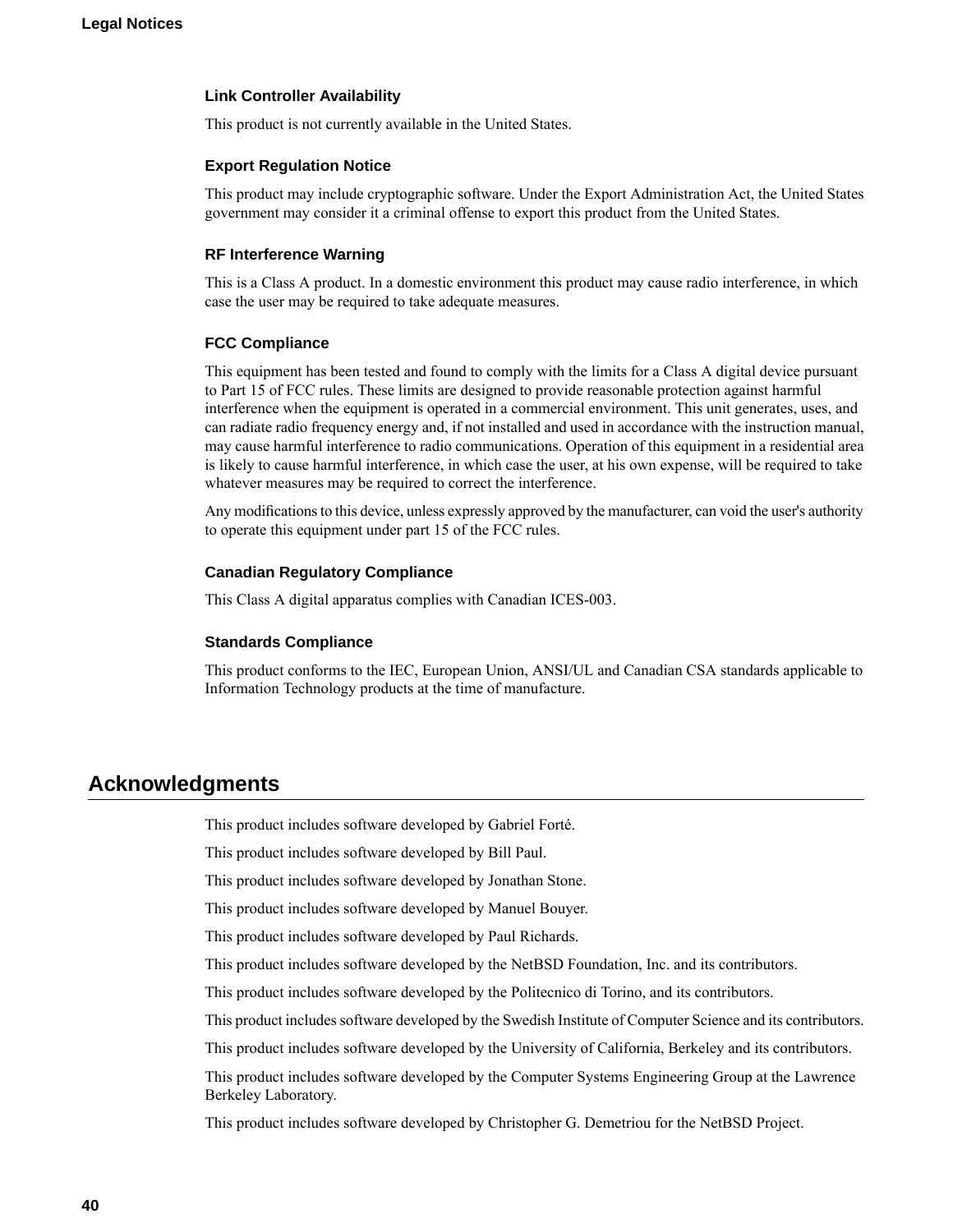#### **Link Controller Availability**

This product is not currently available in the United States.

#### **Export Regulation Notice**

This product may include cryptographic software. Under the Export Administration Act, the United States government may consider it a criminal offense to export this product from the United States.

#### **RF Interference Warning**

This is a Class A product. In a domestic environment this product may cause radio interference, in which case the user may be required to take adequate measures.

#### **FCC Compliance**

This equipment has been tested and found to comply with the limits for a Class A digital device pursuant to Part 15 of FCC rules. These limits are designed to provide reasonable protection against harmful interference when the equipment is operated in a commercial environment. This unit generates, uses, and can radiate radio frequency energy and, if not installed and used in accordance with the instruction manual, may cause harmful interference to radio communications. Operation of this equipment in a residential area is likely to cause harmful interference, in which case the user, at his own expense, will be required to take whatever measures may be required to correct the interference.

Any modifications to this device, unless expressly approved by the manufacturer, can void the user's authority to operate this equipment under part 15 of the FCC rules.

### **Canadian Regulatory Compliance**

This Class A digital apparatus complies with Canadian ICES-003.

#### **Standards Compliance**

This product conforms to the IEC, European Union, ANSI/UL and Canadian CSA standards applicable to Information Technology products at the time of manufacture.

### <span id="page-39-0"></span>**Acknowledgments**

This product includes software developed by Gabriel Forté.

This product includes software developed by Bill Paul.

This product includes software developed by Jonathan Stone.

This product includes software developed by Manuel Bouyer.

This product includes software developed by Paul Richards.

This product includes software developed by the NetBSD Foundation, Inc. and its contributors.

This product includes software developed by the Politecnico di Torino, and its contributors.

This product includes software developed by the Swedish Institute of Computer Science and its contributors.

This product includes software developed by the University of California, Berkeley and its contributors.

This product includes software developed by the Computer Systems Engineering Group at the Lawrence Berkeley Laboratory.

This product includes software developed by Christopher G. Demetriou for the NetBSD Project.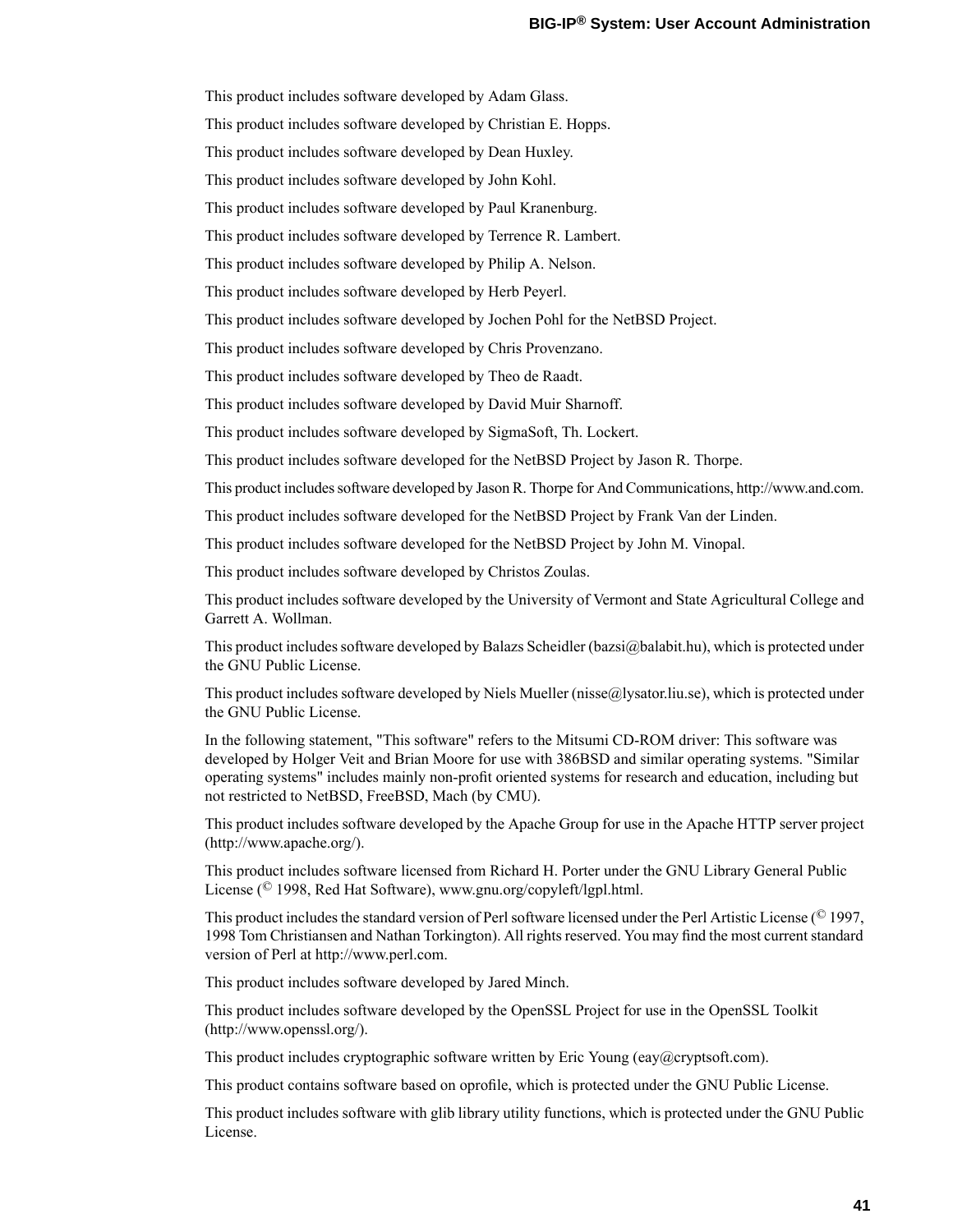This product includes software developed by Adam Glass.

This product includes software developed by Christian E. Hopps.

This product includes software developed by Dean Huxley.

This product includes software developed by John Kohl.

This product includes software developed by Paul Kranenburg.

This product includes software developed by Terrence R. Lambert.

This product includes software developed by Philip A. Nelson.

This product includes software developed by Herb Peyerl.

This product includes software developed by Jochen Pohl for the NetBSD Project.

This product includes software developed by Chris Provenzano.

This product includes software developed by Theo de Raadt.

This product includes software developed by David Muir Sharnoff.

This product includes software developed by SigmaSoft, Th. Lockert.

This product includes software developed for the NetBSD Project by Jason R. Thorpe.

This product includessoftware developed by Jason R. Thorpe for And Communications, http://www.and.com.

This product includes software developed for the NetBSD Project by Frank Van der Linden.

This product includes software developed for the NetBSD Project by John M. Vinopal.

This product includes software developed by Christos Zoulas.

This product includes software developed by the University of Vermont and State Agricultural College and Garrett A. Wollman.

This product includes software developed by Balazs Scheidler (bazsi $@$ balabit.hu), which is protected under the GNU Public License.

This product includes software developed by Niels Mueller (nisse@lysator.liu.se), which is protected under the GNU Public License.

In the following statement, "This software" refers to the Mitsumi CD-ROM driver: This software was developed by Holger Veit and Brian Moore for use with 386BSD and similar operating systems. "Similar operating systems" includes mainly non-profit oriented systems for research and education, including but not restricted to NetBSD, FreeBSD, Mach (by CMU).

This product includes software developed by the Apache Group for use in the Apache HTTP server project (http://www.apache.org/).

This product includes software licensed from Richard H. Porter under the GNU Library General Public License (© 1998, Red Hat Software), www.gnu.org/copyleft/lgpl.html.

This product includes the standard version of Perl software licensed under the Perl Artistic License ( $\degree$  1997, 1998 Tom Christiansen and Nathan Torkington). All rights reserved. You may find the most current standard version of Perl at http://www.perl.com.

This product includes software developed by Jared Minch.

This product includes software developed by the OpenSSL Project for use in the OpenSSL Toolkit (http://www.openssl.org/).

This product includes cryptographic software written by Eric Young (eay $@c$ ryptsoft.com).

This product contains software based on oprofile, which is protected under the GNU Public License.

This product includes software with glib library utility functions, which is protected under the GNU Public License.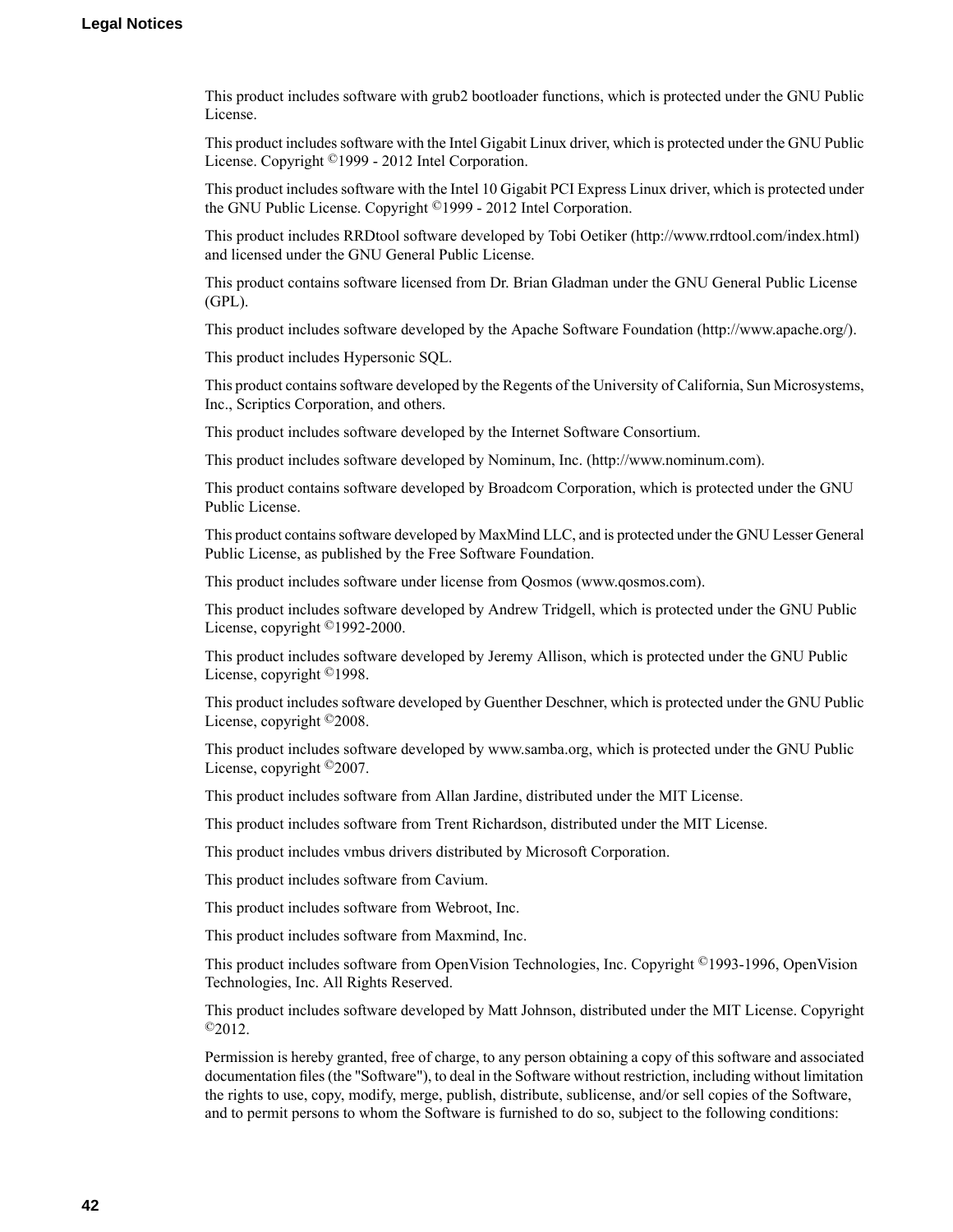This product includes software with grub2 bootloader functions, which is protected under the GNU Public License.

This product includes software with the Intel Gigabit Linux driver, which is protected under the GNU Public License. Copyright ©1999 - 2012 Intel Corporation.

This product includes software with the Intel 10 Gigabit PCI Express Linux driver, which is protected under the GNU Public License. Copyright ©1999 - 2012 Intel Corporation.

This product includes RRDtool software developed by Tobi Oetiker (http://www.rrdtool.com/index.html) and licensed under the GNU General Public License.

This product contains software licensed from Dr. Brian Gladman under the GNU General Public License (GPL).

This product includes software developed by the Apache Software Foundation (http://www.apache.org/).

This product includes Hypersonic SQL.

This product contains software developed by the Regents of the University of California, Sun Microsystems, Inc., Scriptics Corporation, and others.

This product includes software developed by the Internet Software Consortium.

This product includes software developed by Nominum, Inc. (http://www.nominum.com).

This product contains software developed by Broadcom Corporation, which is protected under the GNU Public License.

This product containssoftware developed by MaxMind LLC, and is protected under the GNU Lesser General Public License, as published by the Free Software Foundation.

This product includes software under license from Qosmos (www.qosmos.com).

This product includes software developed by Andrew Tridgell, which is protected under the GNU Public License, copyright ©1992-2000.

This product includes software developed by Jeremy Allison, which is protected under the GNU Public License, copyright ©1998.

This product includes software developed by Guenther Deschner, which is protected under the GNU Public License, copyright ©2008.

This product includes software developed by www.samba.org, which is protected under the GNU Public License, copyright ©2007.

This product includes software from Allan Jardine, distributed under the MIT License.

This product includes software from Trent Richardson, distributed under the MIT License.

This product includes vmbus drivers distributed by Microsoft Corporation.

This product includes software from Cavium.

This product includes software from Webroot, Inc.

This product includes software from Maxmind, Inc.

This product includes software from OpenVision Technologies, Inc. Copyright ©1993-1996, OpenVision Technologies, Inc. All Rights Reserved.

This product includes software developed by Matt Johnson, distributed under the MIT License. Copyright  $^{\circ}2012$ .

Permission is hereby granted, free of charge, to any person obtaining a copy of this software and associated documentation files (the "Software"), to deal in the Software without restriction, including without limitation the rights to use, copy, modify, merge, publish, distribute, sublicense, and/or sell copies of the Software, and to permit persons to whom the Software is furnished to do so, subject to the following conditions: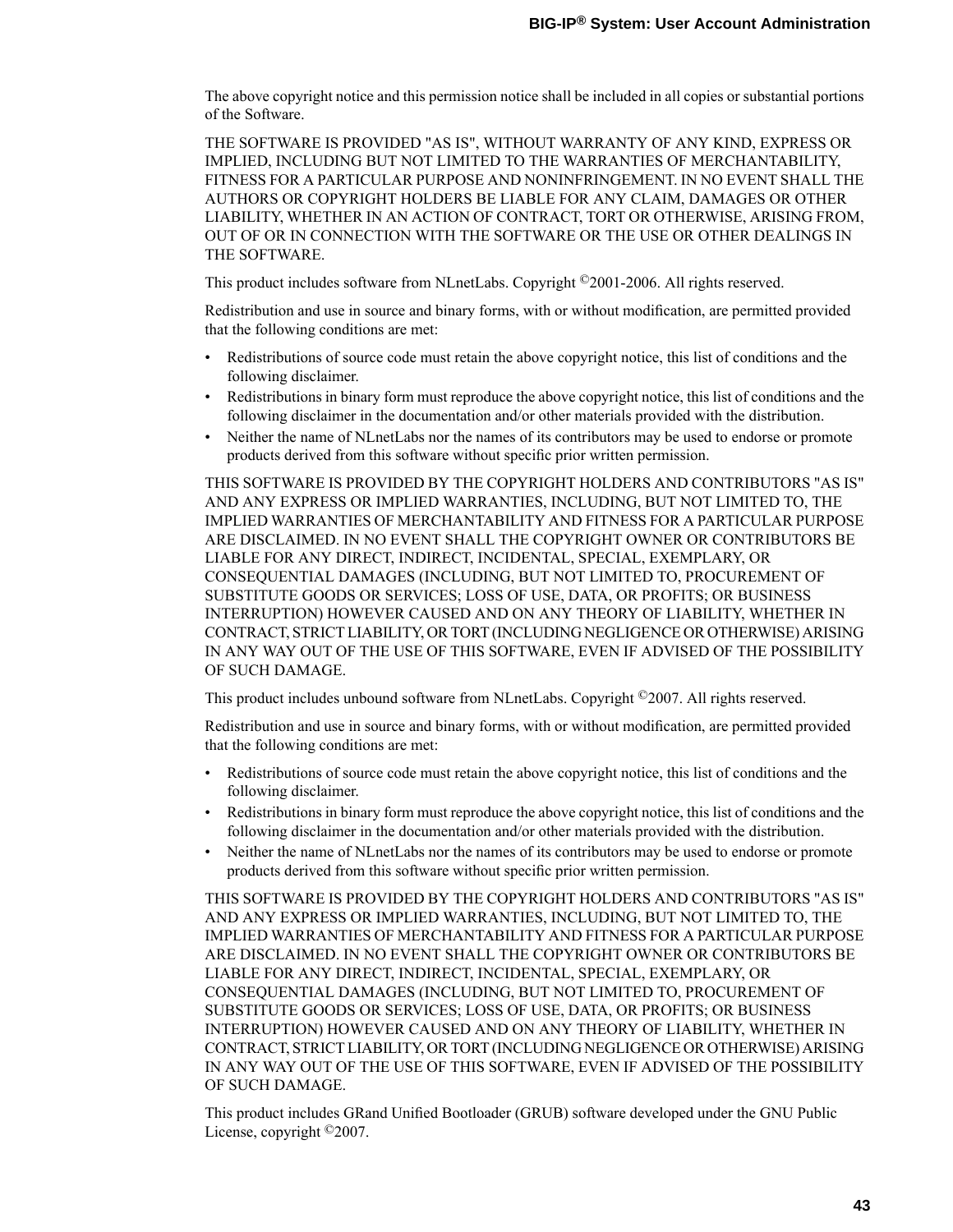The above copyright notice and this permission notice shall be included in all copies or substantial portions of the Software.

THE SOFTWARE IS PROVIDED "AS IS", WITHOUT WARRANTY OF ANY KIND, EXPRESS OR IMPLIED, INCLUDING BUT NOT LIMITED TO THE WARRANTIES OF MERCHANTABILITY, FITNESS FOR A PARTICULAR PURPOSE AND NONINFRINGEMENT. IN NO EVENT SHALL THE AUTHORS OR COPYRIGHT HOLDERS BE LIABLE FOR ANY CLAIM, DAMAGES OR OTHER LIABILITY, WHETHER IN AN ACTION OF CONTRACT, TORT OR OTHERWISE, ARISING FROM, OUT OF OR IN CONNECTION WITH THE SOFTWARE OR THE USE OR OTHER DEALINGS IN THE SOFTWARE.

This product includes software from NLnetLabs. Copyright ©2001-2006. All rights reserved.

Redistribution and use in source and binary forms, with or without modification, are permitted provided that the following conditions are met:

- Redistributions of source code must retain the above copyright notice, this list of conditions and the following disclaimer.
- Redistributions in binary form must reproduce the above copyright notice, this list of conditions and the following disclaimer in the documentation and/or other materials provided with the distribution.
- Neither the name of NLnetLabs nor the names of its contributors may be used to endorse or promote products derived from this software without specific prior written permission.

THIS SOFTWARE IS PROVIDED BY THE COPYRIGHT HOLDERS AND CONTRIBUTORS "AS IS" AND ANY EXPRESS OR IMPLIED WARRANTIES, INCLUDING, BUT NOT LIMITED TO, THE IMPLIED WARRANTIES OF MERCHANTABILITY AND FITNESSFOR A PARTICULAR PURPOSE ARE DISCLAIMED. IN NO EVENT SHALL THE COPYRIGHT OWNER OR CONTRIBUTORS BE LIABLE FOR ANY DIRECT, INDIRECT, INCIDENTAL, SPECIAL, EXEMPLARY, OR CONSEQUENTIAL DAMAGES (INCLUDING, BUT NOT LIMITED TO, PROCUREMENT OF SUBSTITUTE GOODS OR SERVICES; LOSS OF USE, DATA, OR PROFITS; OR BUSINESS INTERRUPTION) HOWEVER CAUSED AND ON ANY THEORY OF LIABILITY, WHETHER IN CONTRACT,STRICT LIABILITY, ORTORT (INCLUDING NEGLIGENCE OR OTHERWISE) ARISING IN ANY WAY OUT OF THE USE OF THIS SOFTWARE, EVEN IF ADVISED OF THE POSSIBILITY OF SUCH DAMAGE.

This product includes unbound software from NLnetLabs. Copyright ©2007. All rights reserved.

Redistribution and use in source and binary forms, with or without modification, are permitted provided that the following conditions are met:

- Redistributions of source code must retain the above copyright notice, this list of conditions and the following disclaimer.
- Redistributions in binary form must reproduce the above copyright notice, this list of conditions and the following disclaimer in the documentation and/or other materials provided with the distribution.
- Neither the name of NLnetLabs nor the names of its contributors may be used to endorse or promote products derived from this software without specific prior written permission.

THIS SOFTWARE IS PROVIDED BY THE COPYRIGHT HOLDERS AND CONTRIBUTORS "AS IS" AND ANY EXPRESS OR IMPLIED WARRANTIES, INCLUDING, BUT NOT LIMITED TO, THE IMPLIED WARRANTIES OF MERCHANTABILITY AND FITNESSFOR A PARTICULAR PURPOSE ARE DISCLAIMED. IN NO EVENT SHALL THE COPYRIGHT OWNER OR CONTRIBUTORS BE LIABLE FOR ANY DIRECT, INDIRECT, INCIDENTAL, SPECIAL, EXEMPLARY, OR CONSEQUENTIAL DAMAGES (INCLUDING, BUT NOT LIMITED TO, PROCUREMENT OF SUBSTITUTE GOODS OR SERVICES; LOSS OF USE, DATA, OR PROFITS; OR BUSINESS INTERRUPTION) HOWEVER CAUSED AND ON ANY THEORY OF LIABILITY, WHETHER IN CONTRACT,STRICT LIABILITY, ORTORT (INCLUDING NEGLIGENCE OR OTHERWISE) ARISING IN ANY WAY OUT OF THE USE OF THIS SOFTWARE, EVEN IF ADVISED OF THE POSSIBILITY OF SUCH DAMAGE.

This product includes GRand Unified Bootloader (GRUB) software developed under the GNU Public License, copyright ©2007.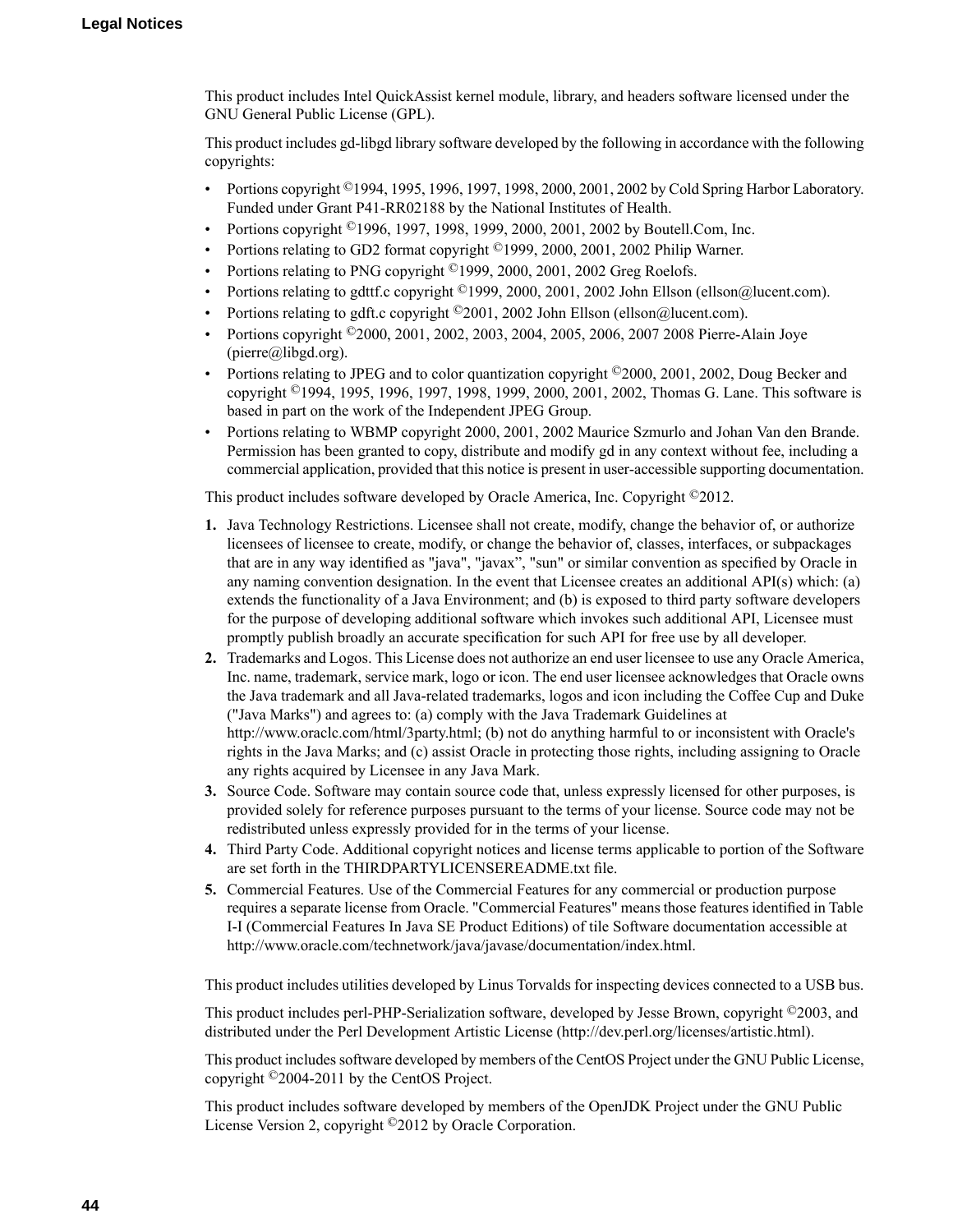This product includes Intel QuickAssist kernel module, library, and headers software licensed under the GNU General Public License (GPL).

This product includes gd-libgd library software developed by the following in accordance with the following copyrights:

- Portions copyright  $^{\circ}$ 1994, 1995, 1996, 1997, 1998, 2000, 2001, 2002 by Cold Spring Harbor Laboratory. Funded under Grant P41-RR02188 by the National Institutes of Health.
- Portions copyright ©1996, 1997, 1998, 1999, 2000, 2001, 2002 by Boutell.Com, Inc.
- Portions relating to GD2 format copyright ©1999, 2000, 2001, 2002 Philip Warner.
- Portions relating to PNG copyright <sup>©</sup>1999, 2000, 2001, 2002 Greg Roelofs.
- Portions relating to gdttf.c copyright ©1999, 2000, 2001, 2002 John Ellson (ellson@lucent.com).
- Portions relating to gdft.c copyright ©2001, 2002 John Ellson (ellson@lucent.com).
- Portions copyright ©2000, 2001, 2002, 2003, 2004, 2005, 2006, 2007 2008 Pierre-Alain Joye  $(pierre@libgd.org).$
- Portions relating to JPEG and to color quantization copyright ©2000, 2001, 2002, Doug Becker and copyright ©1994, 1995, 1996, 1997, 1998, 1999, 2000, 2001, 2002, Thomas G. Lane. This software is based in part on the work of the Independent JPEG Group.
- Portions relating to WBMP copyright 2000, 2001, 2002 Maurice Szmurlo and Johan Van den Brande. Permission has been granted to copy, distribute and modify gd in any context without fee, including a commercial application, provided that this notice is present in user-accessible supporting documentation.

This product includes software developed by Oracle America, Inc. Copyright ©2012.

- **1.** Java Technology Restrictions. Licensee shall not create, modify, change the behavior of, or authorize licensees of licensee to create, modify, or change the behavior of, classes, interfaces, or subpackages that are in any way identified as "java", "javax", "sun" or similar convention as specified by Oracle in any naming convention designation. In the event that Licensee creates an additional API(s) which: (a) extends the functionality of a Java Environment; and (b) is exposed to third party software developers for the purpose of developing additional software which invokes such additional API, Licensee must promptly publish broadly an accurate specification for such API for free use by all developer.
- **2.** Trademarks and Logos. This License does not authorize an end user licensee to use any Oracle America, Inc. name, trademark, service mark, logo or icon. The end user licensee acknowledges that Oracle owns the Java trademark and all Java-related trademarks, logos and icon including the Coffee Cup and Duke ("Java Marks") and agrees to: (a) comply with the Java Trademark Guidelines at http://www.oraclc.com/html/3party.html; (b) not do anything harmful to or inconsistent with Oracle's rights in the Java Marks; and (c) assist Oracle in protecting those rights, including assigning to Oracle any rights acquired by Licensee in any Java Mark.
- **3.** Source Code. Software may contain source code that, unless expressly licensed for other purposes, is provided solely for reference purposes pursuant to the terms of your license. Source code may not be redistributed unless expressly provided for in the terms of your license.
- **4.** Third Party Code. Additional copyright notices and license terms applicable to portion of the Software are set forth in the THIRDPARTYLICENSEREADME.txt file.
- **5.** Commercial Features. Use of the Commercial Features for any commercial or production purpose requires a separate license from Oracle. "Commercial Features" means those features identified in Table I-I (Commercial Features In Java SE Product Editions) of tile Software documentation accessible at http://www.oracle.com/technetwork/java/javase/documentation/index.html.

This product includes utilities developed by Linus Torvalds for inspecting devices connected to a USB bus.

This product includes perl-PHP-Serialization software, developed by Jesse Brown, copyright ©2003, and distributed under the Perl Development Artistic License (http://dev.perl.org/licenses/artistic.html).

This product includes software developed by members of the CentOS Project under the GNU Public License, copyright ©2004-2011 by the CentOS Project.

This product includes software developed by members of the OpenJDK Project under the GNU Public License Version 2, copyright ©2012 by Oracle Corporation.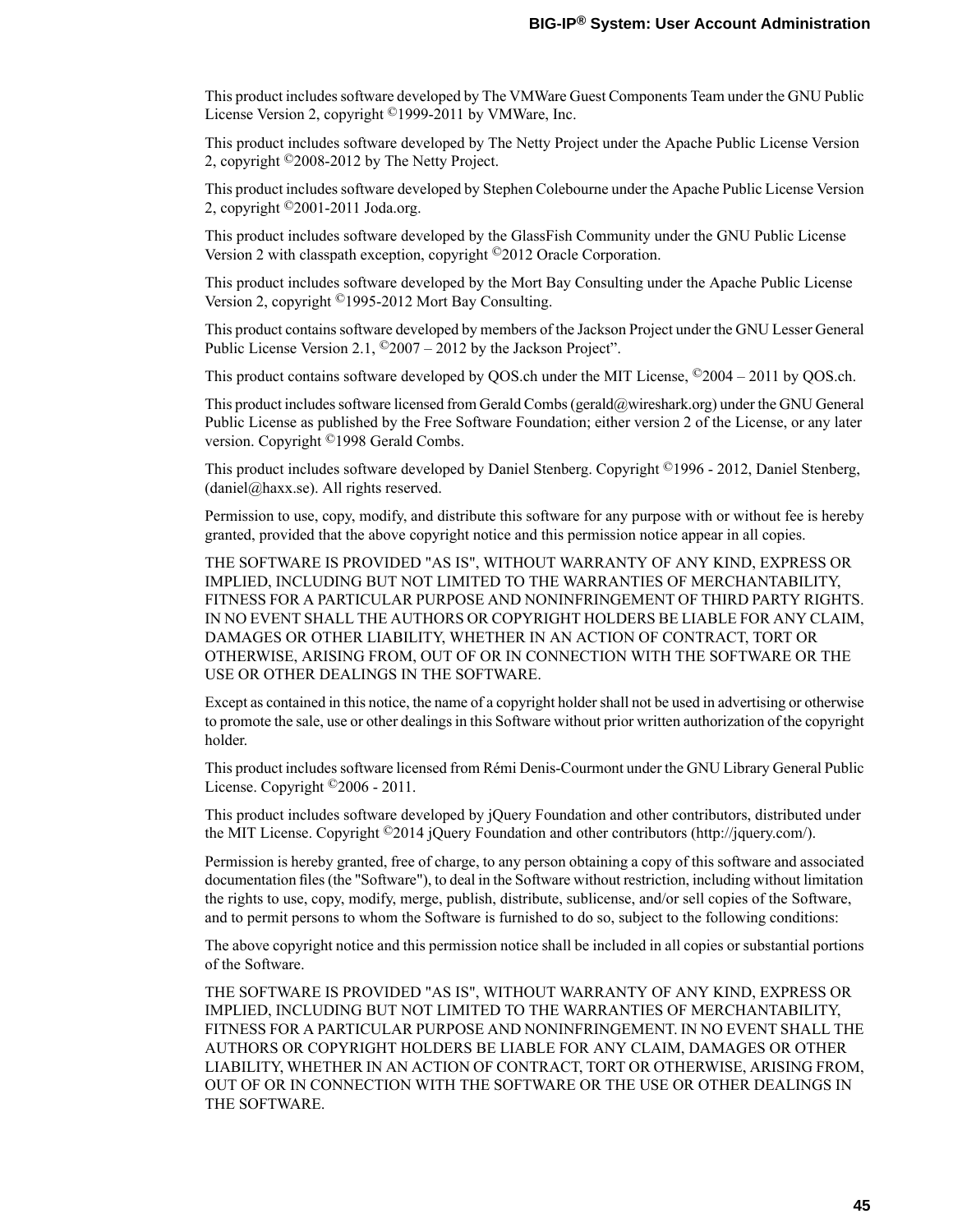This product includessoftware developed by The VMWare Guest Components Team under the GNU Public License Version 2, copyright ©1999-2011 by VMWare, Inc.

This product includes software developed by The Netty Project under the Apache Public License Version 2, copyright ©2008-2012 by The Netty Project.

This product includes software developed by Stephen Colebourne under the Apache Public License Version 2, copyright ©2001-2011 Joda.org.

This product includes software developed by the GlassFish Community under the GNU Public License Version 2 with classpath exception, copyright ©2012 Oracle Corporation.

This product includes software developed by the Mort Bay Consulting under the Apache Public License Version 2, copyright ©1995-2012 Mort Bay Consulting.

This product contains software developed by members of the Jackson Project under the GNU Lesser General Public License Version 2.1, ©2007 – 2012 by the Jackson Project".

This product contains software developed by QOS.ch under the MIT License,  $^{\circ}2004 - 2011$  by QOS.ch.

This product includes software licensed from Gerald Combs (gerald@wireshark.org) under the GNU General Public License as published by the Free Software Foundation; either version 2 of the License, or any later version. Copyright ©1998 Gerald Combs.

This product includes software developed by Daniel Stenberg. Copyright ©1996 - 2012, Daniel Stenberg, (daniel@haxx.se). All rights reserved.

Permission to use, copy, modify, and distribute this software for any purpose with or without fee is hereby granted, provided that the above copyright notice and this permission notice appear in all copies.

THE SOFTWARE IS PROVIDED "AS IS", WITHOUT WARRANTY OF ANY KIND, EXPRESS OR IMPLIED, INCLUDING BUT NOT LIMITED TO THE WARRANTIES OF MERCHANTABILITY, FITNESS FOR A PARTICULAR PURPOSE AND NONINFRINGEMENT OF THIRD PARTY RIGHTS. IN NO EVENT SHALL THE AUTHORS OR COPYRIGHT HOLDERS BE LIABLE FOR ANY CLAIM, DAMAGES OR OTHER LIABILITY, WHETHER IN AN ACTION OF CONTRACT, TORT OR OTHERWISE, ARISING FROM, OUT OF OR IN CONNECTION WITH THE SOFTWARE OR THE USE OR OTHER DEALINGS IN THE SOFTWARE.

Except as contained in this notice, the name of a copyright holdershall not be used in advertising or otherwise to promote the sale, use or other dealings in this Software without prior written authorization of the copyright holder.

This product includes software licensed from Rémi Denis-Courmont under the GNU Library General Public License. Copyright ©2006 - 2011.

This product includes software developed by jQuery Foundation and other contributors, distributed under the MIT License. Copyright ©2014 jQuery Foundation and other contributors (http://jquery.com/).

Permission is hereby granted, free of charge, to any person obtaining a copy of this software and associated documentation files (the "Software"), to deal in the Software without restriction, including without limitation the rights to use, copy, modify, merge, publish, distribute, sublicense, and/or sell copies of the Software, and to permit persons to whom the Software is furnished to do so, subject to the following conditions:

The above copyright notice and this permission notice shall be included in all copies or substantial portions of the Software.

THE SOFTWARE IS PROVIDED "AS IS", WITHOUT WARRANTY OF ANY KIND, EXPRESS OR IMPLIED, INCLUDING BUT NOT LIMITED TO THE WARRANTIES OF MERCHANTABILITY, FITNESS FOR A PARTICULAR PURPOSE AND NONINFRINGEMENT. IN NO EVENT SHALL THE AUTHORS OR COPYRIGHT HOLDERS BE LIABLE FOR ANY CLAIM, DAMAGES OR OTHER LIABILITY, WHETHER IN AN ACTION OF CONTRACT, TORT OR OTHERWISE, ARISING FROM, OUT OF OR IN CONNECTION WITH THE SOFTWARE OR THE USE OR OTHER DEALINGS IN THE SOFTWARE.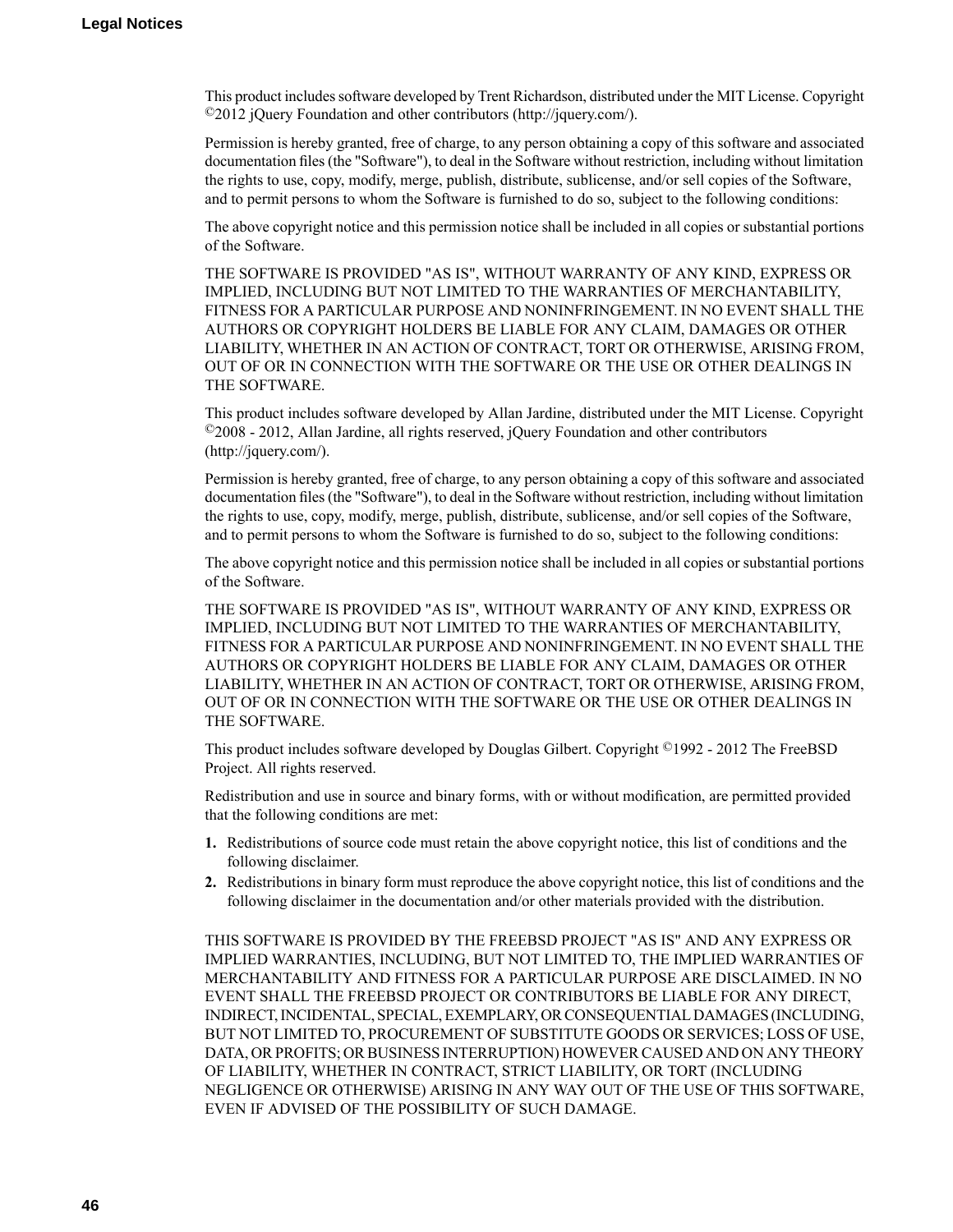This product includessoftware developed by Trent Richardson, distributed under the MIT License. Copyright ©2012 jQuery Foundation and other contributors (http://jquery.com/).

Permission is hereby granted, free of charge, to any person obtaining a copy of this software and associated documentation files (the "Software"), to deal in the Software without restriction, including without limitation the rights to use, copy, modify, merge, publish, distribute, sublicense, and/or sell copies of the Software, and to permit persons to whom the Software is furnished to do so, subject to the following conditions:

The above copyright notice and this permission notice shall be included in all copies or substantial portions of the Software.

THE SOFTWARE IS PROVIDED "AS IS", WITHOUT WARRANTY OF ANY KIND, EXPRESS OR IMPLIED, INCLUDING BUT NOT LIMITED TO THE WARRANTIES OF MERCHANTABILITY, FITNESS FOR A PARTICULAR PURPOSE AND NONINFRINGEMENT. IN NO EVENT SHALL THE AUTHORS OR COPYRIGHT HOLDERS BE LIABLE FOR ANY CLAIM, DAMAGES OR OTHER LIABILITY, WHETHER IN AN ACTION OF CONTRACT, TORT OR OTHERWISE, ARISING FROM, OUT OF OR IN CONNECTION WITH THE SOFTWARE OR THE USE OR OTHER DEALINGS IN THE SOFTWARE.

This product includes software developed by Allan Jardine, distributed under the MIT License. Copyright ©2008 - 2012, Allan Jardine, all rights reserved, jQuery Foundation and other contributors (http://jquery.com/).

Permission is hereby granted, free of charge, to any person obtaining a copy of this software and associated documentation files (the "Software"), to deal in the Software without restriction, including without limitation the rights to use, copy, modify, merge, publish, distribute, sublicense, and/or sell copies of the Software, and to permit persons to whom the Software is furnished to do so, subject to the following conditions:

The above copyright notice and this permission notice shall be included in all copies or substantial portions of the Software.

THE SOFTWARE IS PROVIDED "AS IS", WITHOUT WARRANTY OF ANY KIND, EXPRESS OR IMPLIED, INCLUDING BUT NOT LIMITED TO THE WARRANTIES OF MERCHANTABILITY, FITNESS FOR A PARTICULAR PURPOSE AND NONINFRINGEMENT. IN NO EVENT SHALL THE AUTHORS OR COPYRIGHT HOLDERS BE LIABLE FOR ANY CLAIM, DAMAGES OR OTHER LIABILITY, WHETHER IN AN ACTION OF CONTRACT, TORT OR OTHERWISE, ARISING FROM, OUT OF OR IN CONNECTION WITH THE SOFTWARE OR THE USE OR OTHER DEALINGS IN THE SOFTWARE.

This product includes software developed by Douglas Gilbert. Copyright ©1992 - 2012 The FreeBSD Project. All rights reserved.

Redistribution and use in source and binary forms, with or without modification, are permitted provided that the following conditions are met:

- **1.** Redistributions of source code must retain the above copyright notice, this list of conditions and the following disclaimer.
- **2.** Redistributions in binary form must reproduce the above copyright notice, this list of conditions and the following disclaimer in the documentation and/or other materials provided with the distribution.

THIS SOFTWARE IS PROVIDED BY THE FREEBSD PROJECT "AS IS" AND ANY EXPRESS OR IMPLIED WARRANTIES, INCLUDING, BUT NOT LIMITED TO, THE IMPLIED WARRANTIES OF MERCHANTABILITY AND FITNESS FOR A PARTICULAR PURPOSE ARE DISCLAIMED. IN NO EVENT SHALL THE FREEBSD PROJECT OR CONTRIBUTORS BE LIABLE FOR ANY DIRECT, INDIRECT,INCIDENTAL,SPECIAL,EXEMPLARY, ORCONSEQUENTIAL DAMAGES(INCLUDING, BUT NOT LIMITED TO, PROCUREMENT OF SUBSTITUTE GOODS OR SERVICES; LOSS OF USE, DATA, OR PROFITS; OR BUSINESS INTERRUPTION) HOWEVER CAUSED AND ON ANY THEORY OF LIABILITY, WHETHER IN CONTRACT, STRICT LIABILITY, OR TORT (INCLUDING NEGLIGENCE OR OTHERWISE) ARISING IN ANY WAY OUT OF THE USE OF THIS SOFTWARE, EVEN IF ADVISED OF THE POSSIBILITY OF SUCH DAMAGE.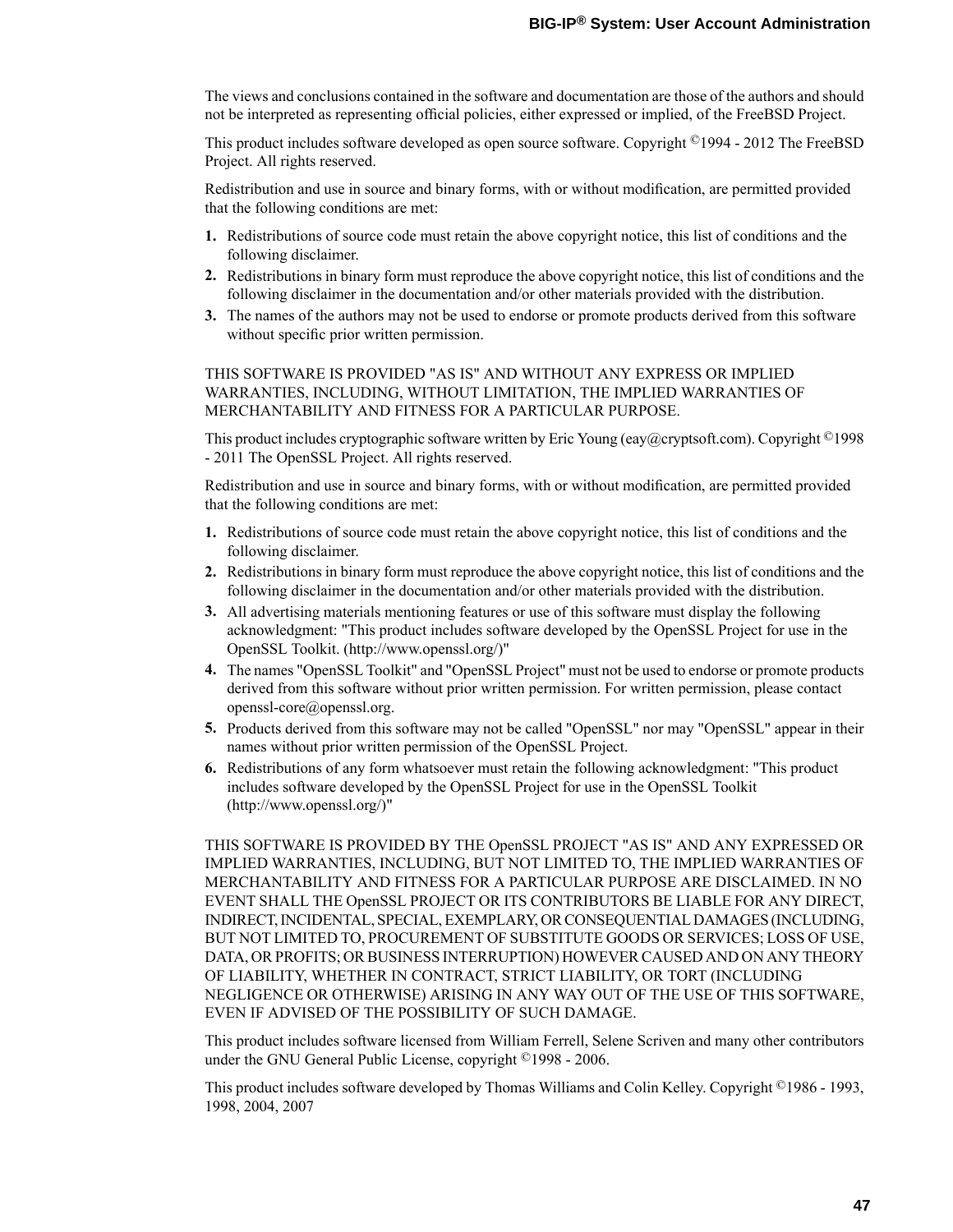The views and conclusions contained in the software and documentation are those of the authors and should not be interpreted as representing official policies, either expressed or implied, of the FreeBSD Project.

This product includes software developed as open source software. Copyright ©1994 - 2012 The FreeBSD Project. All rights reserved.

Redistribution and use in source and binary forms, with or without modification, are permitted provided that the following conditions are met:

- **1.** Redistributions of source code must retain the above copyright notice, this list of conditions and the following disclaimer.
- **2.** Redistributions in binary form must reproduce the above copyright notice, this list of conditions and the following disclaimer in the documentation and/or other materials provided with the distribution.
- **3.** The names of the authors may not be used to endorse or promote products derived from this software without specific prior written permission.

### THIS SOFTWARE IS PROVIDED "AS IS" AND WITHOUT ANY EXPRESS OR IMPLIED WARRANTIES, INCLUDING, WITHOUT LIMITATION, THE IMPLIED WARRANTIES OF MERCHANTABILITY AND FITNESS FOR A PARTICULAR PURPOSE.

This product includes cryptographic software written by Eric Young (eay@cryptsoft.com). Copyright <sup>©</sup>1998 - 2011 The OpenSSL Project. All rights reserved.

Redistribution and use in source and binary forms, with or without modification, are permitted provided that the following conditions are met:

- **1.** Redistributions of source code must retain the above copyright notice, this list of conditions and the following disclaimer.
- **2.** Redistributions in binary form must reproduce the above copyright notice, this list of conditions and the following disclaimer in the documentation and/or other materials provided with the distribution.
- **3.** All advertising materials mentioning features or use of this software must display the following acknowledgment: "This product includes software developed by the OpenSSL Project for use in the OpenSSL Toolkit. (http://www.openssl.org/)"
- **4.** The names "OpenSSL Toolkit" and "OpenSSL Project" must not be used to endorse or promote products derived from this software without prior written permission. For written permission, please contact openssl-core@openssl.org.
- **5.** Products derived from this software may not be called "OpenSSL" nor may "OpenSSL" appear in their names without prior written permission of the OpenSSL Project.
- **6.** Redistributions of any form whatsoever must retain the following acknowledgment: "This product includes software developed by the OpenSSL Project for use in the OpenSSL Toolkit (http://www.openssl.org/)"

THIS SOFTWARE IS PROVIDED BY THE OpenSSL PROJECT "AS IS" AND ANY EXPRESSED OR IMPLIED WARRANTIES, INCLUDING, BUT NOT LIMITED TO, THE IMPLIED WARRANTIES OF MERCHANTABILITY AND FITNESS FOR A PARTICULAR PURPOSE ARE DISCLAIMED. IN NO EVENT SHALL THE OpenSSL PROJECT OR ITS CONTRIBUTORS BE LIABLE FOR ANY DIRECT, INDIRECT,INCIDENTAL,SPECIAL,EXEMPLARY, ORCONSEQUENTIAL DAMAGES(INCLUDING, BUT NOT LIMITED TO, PROCUREMENT OF SUBSTITUTE GOODS OR SERVICES; LOSS OF USE, DATA, OR PROFITS; OR BUSINESS INTERRUPTION) HOWEVER CAUSED AND ON ANY THEORY OF LIABILITY, WHETHER IN CONTRACT, STRICT LIABILITY, OR TORT (INCLUDING NEGLIGENCE OR OTHERWISE) ARISING IN ANY WAY OUT OF THE USE OF THIS SOFTWARE, EVEN IF ADVISED OF THE POSSIBILITY OF SUCH DAMAGE.

This product includes software licensed from William Ferrell, Selene Scriven and many other contributors under the GNU General Public License, copyright ©1998 - 2006.

This product includes software developed by Thomas Williams and Colin Kelley. Copyright ©1986 - 1993, 1998, 2004, 2007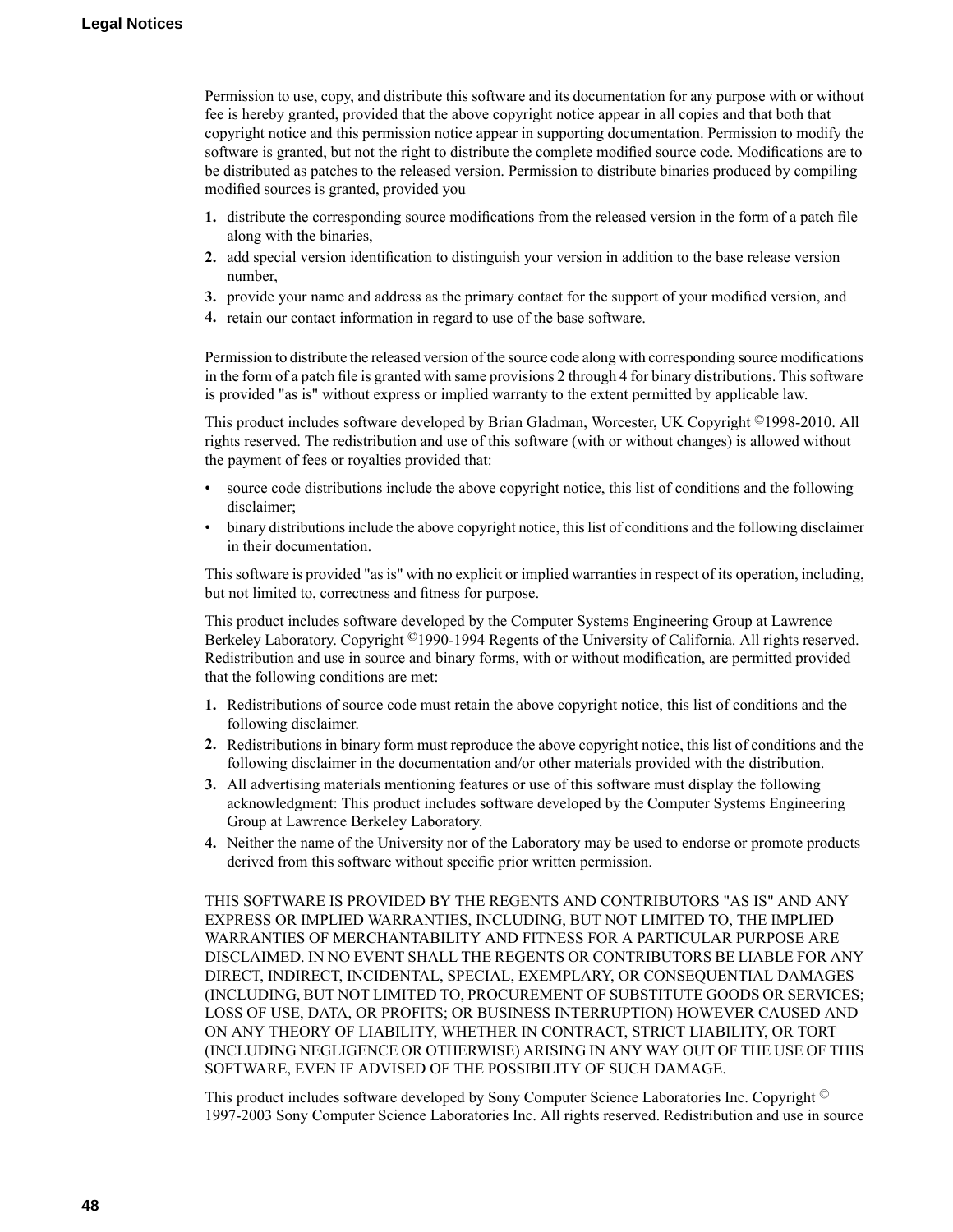Permission to use, copy, and distribute this software and its documentation for any purpose with or without fee is hereby granted, provided that the above copyright notice appear in all copies and that both that copyright notice and this permission notice appear in supporting documentation. Permission to modify the software is granted, but not the right to distribute the complete modified source code. Modifications are to be distributed as patches to the released version. Permission to distribute binaries produced by compiling modified sources is granted, provided you

- **1.** distribute the corresponding source modifications from the released version in the form of a patch file along with the binaries,
- **2.** add special version identification to distinguish your version in addition to the base release version number,
- **3.** provide your name and address as the primary contact for the support of your modified version, and
- **4.** retain our contact information in regard to use of the base software.

Permission to distribute the released version of the source code along with corresponding source modifications in the form of a patch file is granted with same provisions 2 through 4 for binary distributions. This software is provided "as is" without express or implied warranty to the extent permitted by applicable law.

This product includes software developed by Brian Gladman, Worcester, UK Copyright ©1998-2010. All rights reserved. The redistribution and use of this software (with or without changes) is allowed without the payment of fees or royalties provided that:

- source code distributions include the above copyright notice, this list of conditions and the following disclaimer;
- binary distributions include the above copyright notice, this list of conditions and the following disclaimer in their documentation.

This software is provided "as is" with no explicit or implied warranties in respect of its operation, including, but not limited to, correctness and fitness for purpose.

This product includes software developed by the Computer Systems Engineering Group at Lawrence Berkeley Laboratory. Copyright ©1990-1994 Regents of the University of California. All rights reserved. Redistribution and use in source and binary forms, with or without modification, are permitted provided that the following conditions are met:

- **1.** Redistributions of source code must retain the above copyright notice, this list of conditions and the following disclaimer.
- **2.** Redistributions in binary form must reproduce the above copyright notice, this list of conditions and the following disclaimer in the documentation and/or other materials provided with the distribution.
- **3.** All advertising materials mentioning features or use of this software must display the following acknowledgment: This product includes software developed by the Computer Systems Engineering Group at Lawrence Berkeley Laboratory.
- **4.** Neither the name of the University nor of the Laboratory may be used to endorse or promote products derived from this software without specific prior written permission.

THIS SOFTWARE IS PROVIDED BY THE REGENTS AND CONTRIBUTORS "AS IS" AND ANY EXPRESS OR IMPLIED WARRANTIES, INCLUDING, BUT NOT LIMITED TO, THE IMPLIED WARRANTIES OF MERCHANTABILITY AND FITNESS FOR A PARTICULAR PURPOSE ARE DISCLAIMED. IN NO EVENT SHALL THE REGENTS OR CONTRIBUTORS BE LIABLE FOR ANY DIRECT, INDIRECT, INCIDENTAL, SPECIAL, EXEMPLARY, OR CONSEQUENTIAL DAMAGES (INCLUDING, BUT NOT LIMITED TO, PROCUREMENT OF SUBSTITUTE GOODS OR SERVICES; LOSS OF USE, DATA, OR PROFITS; OR BUSINESS INTERRUPTION) HOWEVER CAUSED AND ON ANY THEORY OF LIABILITY, WHETHER IN CONTRACT, STRICT LIABILITY, OR TORT (INCLUDING NEGLIGENCE OR OTHERWISE) ARISING IN ANY WAY OUT OF THE USE OF THIS SOFTWARE, EVEN IF ADVISED OF THE POSSIBILITY OF SUCH DAMAGE.

This product includes software developed by Sony Computer Science Laboratories Inc. Copyright © 1997-2003 Sony Computer Science Laboratories Inc. All rights reserved. Redistribution and use in source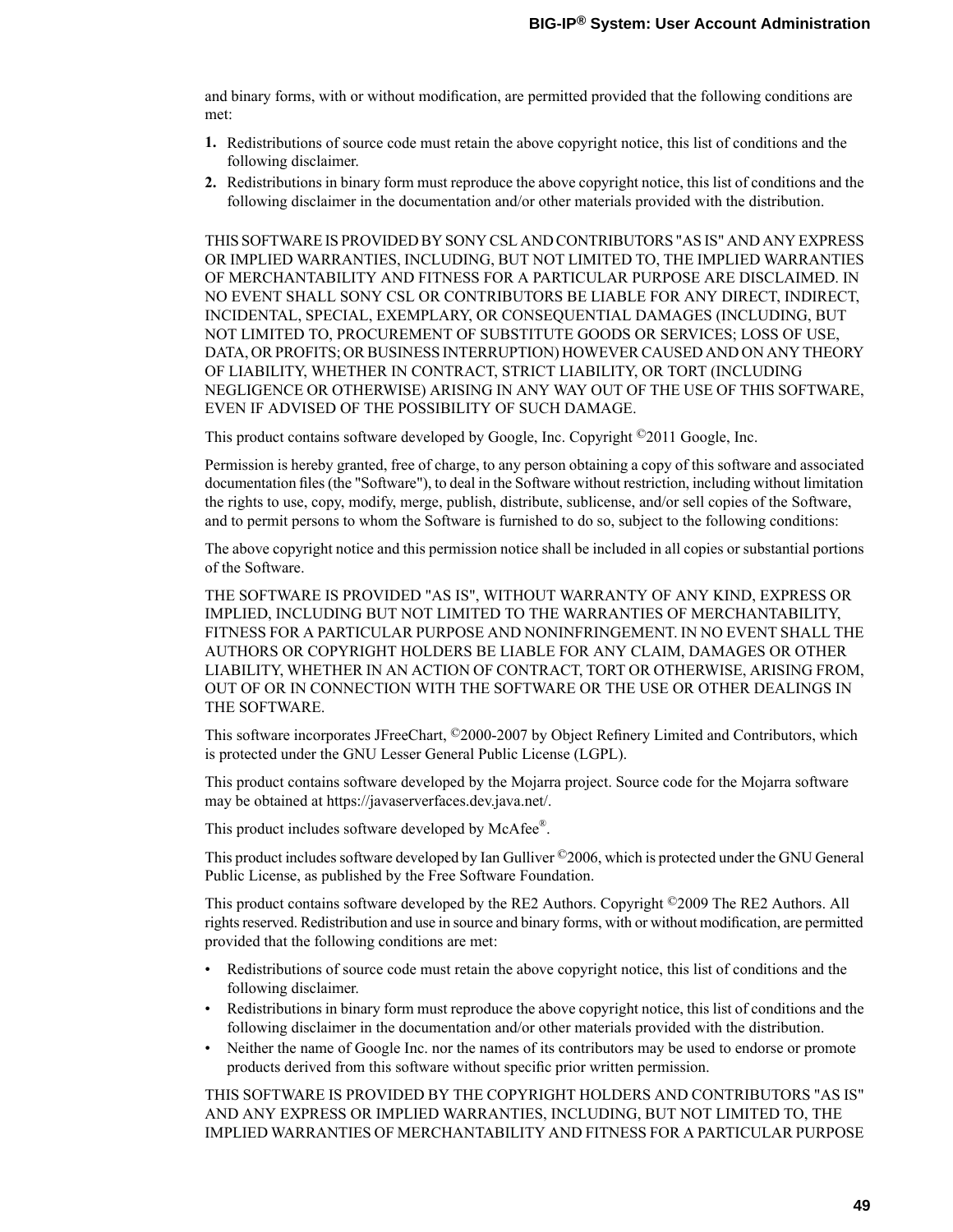and binary forms, with or without modification, are permitted provided that the following conditions are met:

- **1.** Redistributions of source code must retain the above copyright notice, this list of conditions and the following disclaimer.
- **2.** Redistributions in binary form must reproduce the above copyright notice, this list of conditions and the following disclaimer in the documentation and/or other materials provided with the distribution.

THISSOFTWARE ISPROVIDED BY SONY CSL AND CONTRIBUTORS"ASIS" AND ANY EXPRESS OR IMPLIED WARRANTIES, INCLUDING, BUT NOT LIMITED TO, THE IMPLIED WARRANTIES OF MERCHANTABILITY AND FITNESS FOR A PARTICULAR PURPOSE ARE DISCLAIMED. IN NO EVENT SHALL SONY CSL OR CONTRIBUTORS BE LIABLE FOR ANY DIRECT, INDIRECT, INCIDENTAL, SPECIAL, EXEMPLARY, OR CONSEQUENTIAL DAMAGES (INCLUDING, BUT NOT LIMITED TO, PROCUREMENT OF SUBSTITUTE GOODS OR SERVICES; LOSS OF USE, DATA, OR PROFITS; OR BUSINESS INTERRUPTION) HOWEVER CAUSED AND ON ANY THEORY OF LIABILITY, WHETHER IN CONTRACT, STRICT LIABILITY, OR TORT (INCLUDING NEGLIGENCE OR OTHERWISE) ARISING IN ANY WAY OUT OF THE USE OF THIS SOFTWARE, EVEN IF ADVISED OF THE POSSIBILITY OF SUCH DAMAGE.

This product contains software developed by Google, Inc. Copyright ©2011 Google, Inc.

Permission is hereby granted, free of charge, to any person obtaining a copy of this software and associated documentation files (the "Software"), to deal in the Software without restriction, including without limitation the rights to use, copy, modify, merge, publish, distribute, sublicense, and/or sell copies of the Software, and to permit persons to whom the Software is furnished to do so, subject to the following conditions:

The above copyright notice and this permission notice shall be included in all copies or substantial portions of the Software.

THE SOFTWARE IS PROVIDED "AS IS", WITHOUT WARRANTY OF ANY KIND, EXPRESS OR IMPLIED, INCLUDING BUT NOT LIMITED TO THE WARRANTIES OF MERCHANTABILITY, FITNESS FOR A PARTICULAR PURPOSE AND NONINFRINGEMENT. IN NO EVENT SHALL THE AUTHORS OR COPYRIGHT HOLDERS BE LIABLE FOR ANY CLAIM, DAMAGES OR OTHER LIABILITY, WHETHER IN AN ACTION OF CONTRACT, TORT OR OTHERWISE, ARISING FROM, OUT OF OR IN CONNECTION WITH THE SOFTWARE OR THE USE OR OTHER DEALINGS IN THE SOFTWARE.

This software incorporates JFreeChart, ©2000-2007 by Object Refinery Limited and Contributors, which is protected under the GNU Lesser General Public License (LGPL).

This product contains software developed by the Mojarra project. Source code for the Mojarra software may be obtained at https://javaserverfaces.dev.java.net/.

This product includes software developed by McAfee®.

This product includes software developed by Ian Gulliver ©2006, which is protected under the GNU General Public License, as published by the Free Software Foundation.

This product contains software developed by the RE2 Authors. Copyright ©2009 The RE2 Authors. All rights reserved. Redistribution and use in source and binary forms, with or without modification, are permitted provided that the following conditions are met:

- Redistributions of source code must retain the above copyright notice, this list of conditions and the following disclaimer.
- Redistributions in binary form must reproduce the above copyright notice, this list of conditions and the following disclaimer in the documentation and/or other materials provided with the distribution.
- Neither the name of Google Inc. nor the names of its contributors may be used to endorse or promote products derived from this software without specific prior written permission.

THIS SOFTWARE IS PROVIDED BY THE COPYRIGHT HOLDERS AND CONTRIBUTORS "AS IS" AND ANY EXPRESS OR IMPLIED WARRANTIES, INCLUDING, BUT NOT LIMITED TO, THE IMPLIED WARRANTIES OF MERCHANTABILITY AND FITNESSFOR A PARTICULAR PURPOSE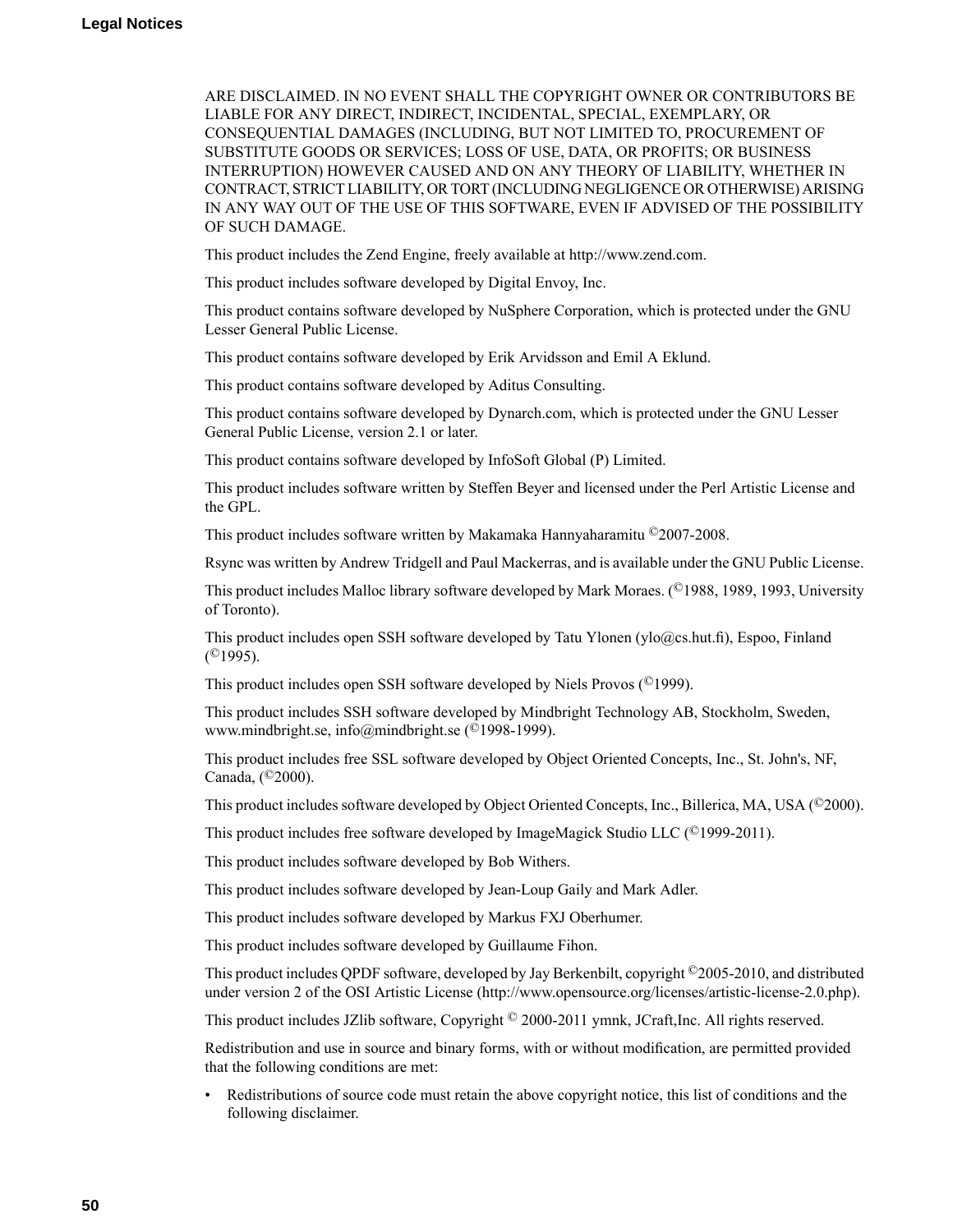ARE DISCLAIMED. IN NO EVENT SHALL THE COPYRIGHT OWNER OR CONTRIBUTORS BE LIABLE FOR ANY DIRECT, INDIRECT, INCIDENTAL, SPECIAL, EXEMPLARY, OR CONSEQUENTIAL DAMAGES (INCLUDING, BUT NOT LIMITED TO, PROCUREMENT OF SUBSTITUTE GOODS OR SERVICES; LOSS OF USE, DATA, OR PROFITS; OR BUSINESS INTERRUPTION) HOWEVER CAUSED AND ON ANY THEORY OF LIABILITY, WHETHER IN CONTRACT,STRICT LIABILITY, ORTORT (INCLUDING NEGLIGENCE OR OTHERWISE) ARISING IN ANY WAY OUT OF THE USE OF THIS SOFTWARE, EVEN IF ADVISED OF THE POSSIBILITY OF SUCH DAMAGE.

This product includes the Zend Engine, freely available at http://www.zend.com.

This product includes software developed by Digital Envoy, Inc.

This product contains software developed by NuSphere Corporation, which is protected under the GNU Lesser General Public License.

This product contains software developed by Erik Arvidsson and Emil A Eklund.

This product contains software developed by Aditus Consulting.

This product contains software developed by Dynarch.com, which is protected under the GNU Lesser General Public License, version 2.1 or later.

This product contains software developed by InfoSoft Global (P) Limited.

This product includes software written by Steffen Beyer and licensed under the Perl Artistic License and the GPL.

This product includes software written by Makamaka Hannyaharamitu ©2007-2008.

Rsync was written by Andrew Tridgell and Paul Mackerras, and is available under the GNU Public License.

This product includes Malloc library software developed by Mark Moraes. (©1988, 1989, 1993, University of Toronto).

This product includes open SSH software developed by Tatu Ylonen (ylo@cs.hut.fi), Espoo, Finland  $($ <sup>©</sup>1995).

This product includes open SSH software developed by Niels Provos (©1999).

This product includes SSH software developed by Mindbright Technology AB, Stockholm, Sweden, www.mindbright.se, info@mindbright.se (©1998-1999).

This product includes free SSL software developed by Object Oriented Concepts, Inc., St. John's, NF, Canada, (©2000).

This product includes software developed by Object Oriented Concepts, Inc., Billerica, MA, USA (©2000).

This product includes free software developed by ImageMagick Studio LLC (©1999-2011).

This product includes software developed by Bob Withers.

This product includes software developed by Jean-Loup Gaily and Mark Adler.

This product includes software developed by Markus FXJ Oberhumer.

This product includes software developed by Guillaume Fihon.

This product includes QPDF software, developed by Jay Berkenbilt, copyright ©2005-2010, and distributed under version 2 of the OSI Artistic License (http://www.opensource.org/licenses/artistic-license-2.0.php).

This product includes JZlib software, Copyright © 2000-2011 ymnk, JCraft,Inc. All rights reserved.

Redistribution and use in source and binary forms, with or without modification, are permitted provided that the following conditions are met:

• Redistributions of source code must retain the above copyright notice, this list of conditions and the following disclaimer.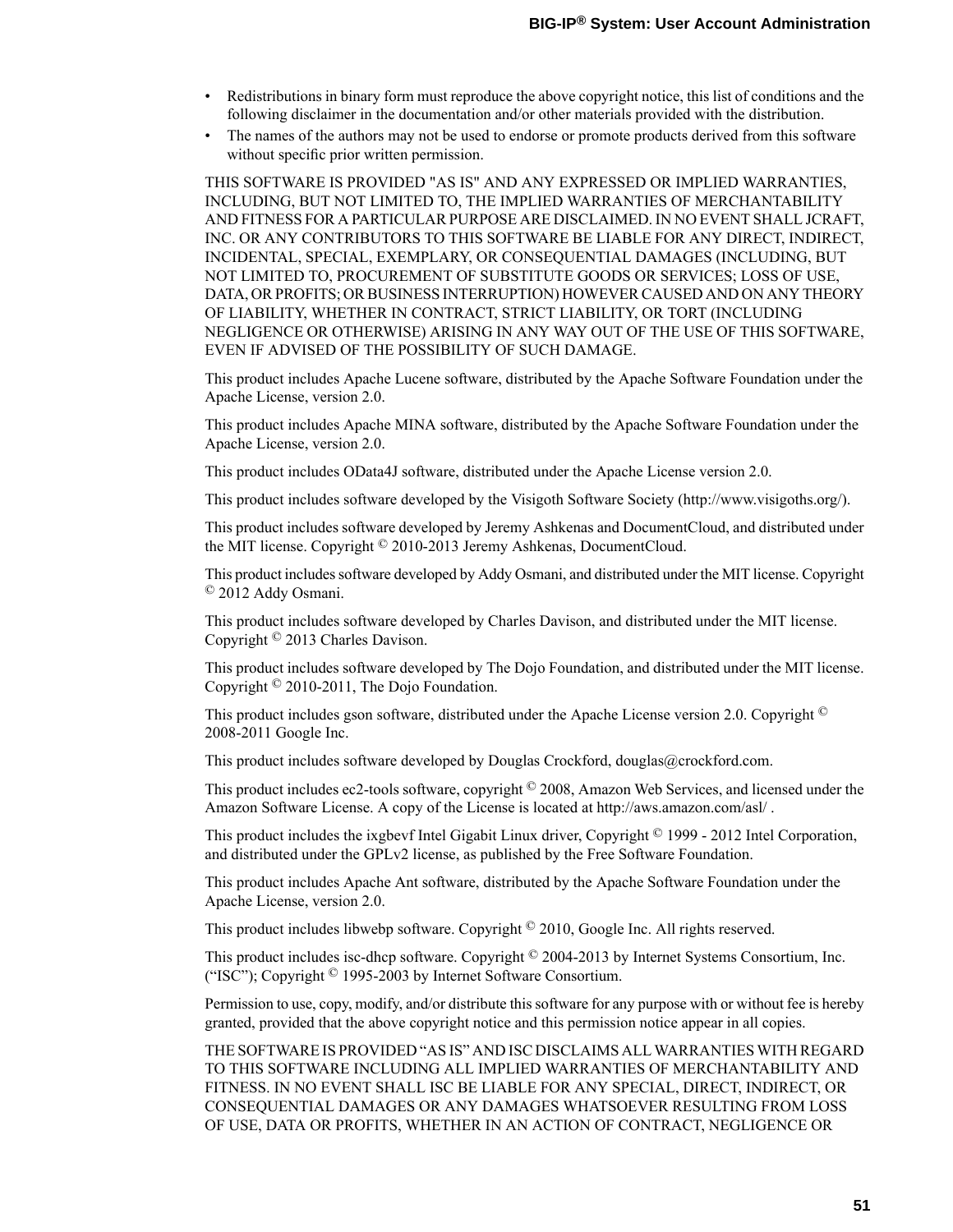- Redistributions in binary form must reproduce the above copyright notice, this list of conditions and the following disclaimer in the documentation and/or other materials provided with the distribution.
- The names of the authors may not be used to endorse or promote products derived from this software without specific prior written permission.

THIS SOFTWARE IS PROVIDED "AS IS" AND ANY EXPRESSED OR IMPLIED WARRANTIES, INCLUDING, BUT NOT LIMITED TO, THE IMPLIED WARRANTIES OF MERCHANTABILITY AND FITNESSFOR A PARTICULAR PURPOSE ARE DISCLAIMED. IN NO EVENT SHALL JCRAFT, INC. OR ANY CONTRIBUTORS TO THIS SOFTWARE BE LIABLE FOR ANY DIRECT, INDIRECT, INCIDENTAL, SPECIAL, EXEMPLARY, OR CONSEQUENTIAL DAMAGES (INCLUDING, BUT NOT LIMITED TO, PROCUREMENT OF SUBSTITUTE GOODS OR SERVICES; LOSS OF USE, DATA, OR PROFITS; OR BUSINESS INTERRUPTION) HOWEVER CAUSED AND ON ANY THEORY OF LIABILITY, WHETHER IN CONTRACT, STRICT LIABILITY, OR TORT (INCLUDING NEGLIGENCE OR OTHERWISE) ARISING IN ANY WAY OUT OF THE USE OF THIS SOFTWARE, EVEN IF ADVISED OF THE POSSIBILITY OF SUCH DAMAGE.

This product includes Apache Lucene software, distributed by the Apache Software Foundation under the Apache License, version 2.0.

This product includes Apache MINA software, distributed by the Apache Software Foundation under the Apache License, version 2.0.

This product includes OData4J software, distributed under the Apache License version 2.0.

This product includes software developed by the Visigoth Software Society (http://www.visigoths.org/).

This product includes software developed by Jeremy Ashkenas and DocumentCloud, and distributed under the MIT license. Copyright © 2010-2013 Jeremy Ashkenas, DocumentCloud.

This product includessoftware developed by Addy Osmani, and distributed under the MIT license. Copyright © 2012 Addy Osmani.

This product includes software developed by Charles Davison, and distributed under the MIT license. Copyright © 2013 Charles Davison.

This product includes software developed by The Dojo Foundation, and distributed under the MIT license. Copyright © 2010-2011, The Dojo Foundation.

This product includes gson software, distributed under the Apache License version 2.0. Copyright <sup>©</sup> 2008-2011 Google Inc.

This product includes software developed by Douglas Crockford, douglas@crockford.com.

This product includes ec2-tools software, copyright  $\textcircled{2008}$ , Amazon Web Services, and licensed under the Amazon Software License. A copy of the License is located at http://aws.amazon.com/asl/ .

This product includes the ixgbevf Intel Gigabit Linux driver, Copyright © 1999 - 2012 Intel Corporation, and distributed under the GPLv2 license, as published by the Free Software Foundation.

This product includes Apache Ant software, distributed by the Apache Software Foundation under the Apache License, version 2.0.

This product includes libwebp software. Copyright <sup>©</sup> 2010, Google Inc. All rights reserved.

This product includes isc-dhcp software. Copyright © 2004-2013 by Internet Systems Consortium, Inc. ("ISC"); Copyright © 1995-2003 by Internet Software Consortium.

Permission to use, copy, modify, and/or distribute this software for any purpose with or without fee is hereby granted, provided that the above copyright notice and this permission notice appear in all copies.

THE SOFTWARE ISPROVIDED "ASIS" AND ISC DISCLAIMS ALL WARRANTIES WITH REGARD TO THIS SOFTWARE INCLUDING ALL IMPLIED WARRANTIES OF MERCHANTABILITY AND FITNESS. IN NO EVENT SHALL ISC BE LIABLE FOR ANY SPECIAL, DIRECT, INDIRECT, OR CONSEQUENTIAL DAMAGES OR ANY DAMAGES WHATSOEVER RESULTING FROM LOSS OF USE, DATA OR PROFITS, WHETHER IN AN ACTION OF CONTRACT, NEGLIGENCE OR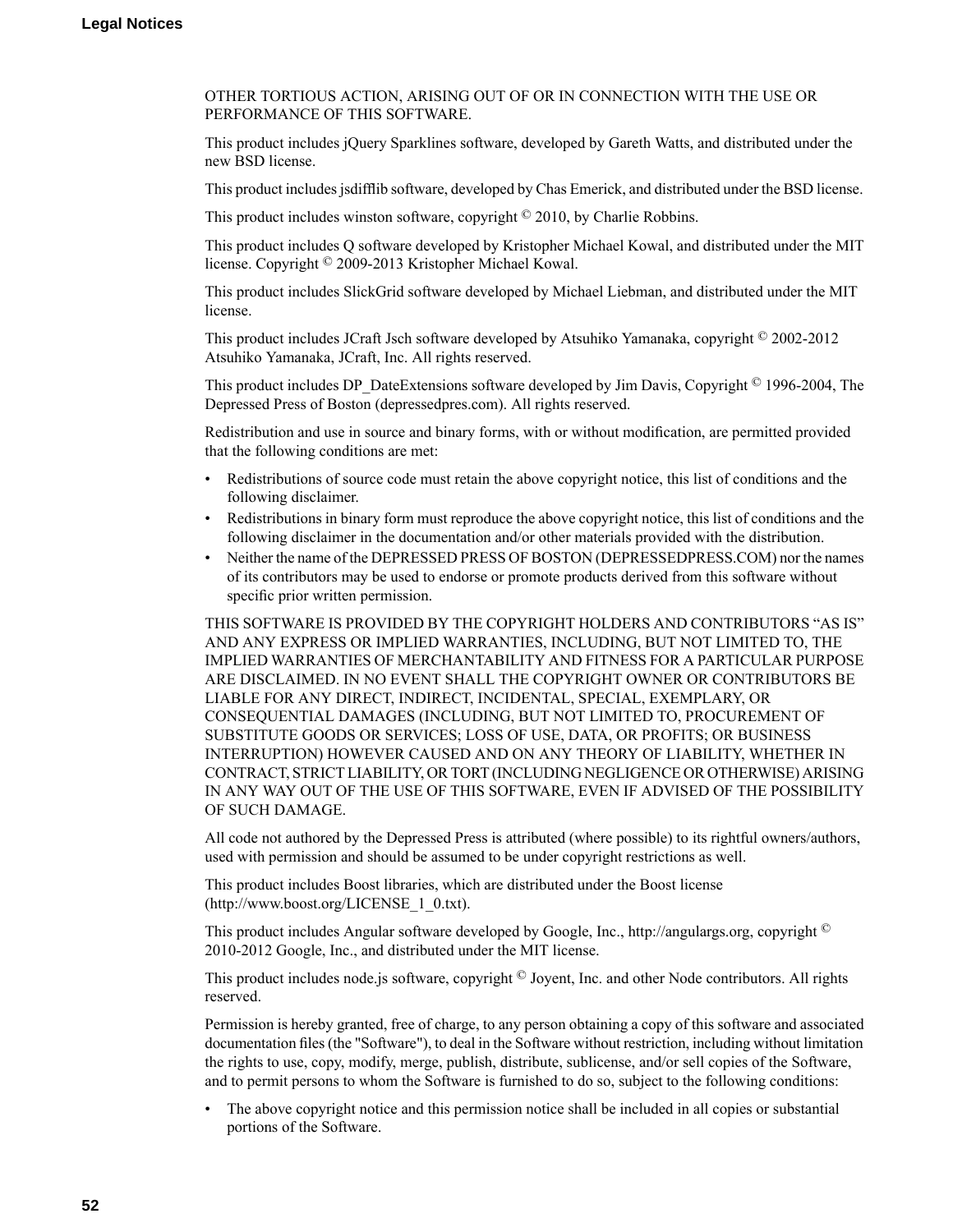OTHER TORTIOUS ACTION, ARISING OUT OF OR IN CONNECTION WITH THE USE OR PERFORMANCE OF THIS SOFTWARE.

This product includes jQuery Sparklines software, developed by Gareth Watts, and distributed under the new BSD license.

This product includesjsdifflib software, developed by Chas Emerick, and distributed under the BSD license.

This product includes winston software, copyright © 2010, by Charlie Robbins.

This product includes Q software developed by Kristopher Michael Kowal, and distributed under the MIT license. Copyright © 2009-2013 Kristopher Michael Kowal.

This product includes SlickGrid software developed by Michael Liebman, and distributed under the MIT license.

This product includes JCraft Jsch software developed by Atsuhiko Yamanaka, copyright © 2002-2012 Atsuhiko Yamanaka, JCraft, Inc. All rights reserved.

This product includes DP\_DateExtensions software developed by Jim Davis, Copyright  $\textcircled{ }1996$ -2004, The Depressed Press of Boston (depressedpres.com). All rights reserved.

Redistribution and use in source and binary forms, with or without modification, are permitted provided that the following conditions are met:

- Redistributions of source code must retain the above copyright notice, this list of conditions and the following disclaimer.
- Redistributions in binary form must reproduce the above copyright notice, this list of conditions and the following disclaimer in the documentation and/or other materials provided with the distribution.
- Neither the name of the DEPRESSED PRESS OF BOSTON (DEPRESSEDPRESS.COM) nor the names of its contributors may be used to endorse or promote products derived from this software without specific prior written permission.

THIS SOFTWARE IS PROVIDED BY THE COPYRIGHT HOLDERS AND CONTRIBUTORS "AS IS" AND ANY EXPRESS OR IMPLIED WARRANTIES, INCLUDING, BUT NOT LIMITED TO, THE IMPLIED WARRANTIES OF MERCHANTABILITY AND FITNESSFOR A PARTICULAR PURPOSE ARE DISCLAIMED. IN NO EVENT SHALL THE COPYRIGHT OWNER OR CONTRIBUTORS BE LIABLE FOR ANY DIRECT, INDIRECT, INCIDENTAL, SPECIAL, EXEMPLARY, OR CONSEQUENTIAL DAMAGES (INCLUDING, BUT NOT LIMITED TO, PROCUREMENT OF SUBSTITUTE GOODS OR SERVICES; LOSS OF USE, DATA, OR PROFITS; OR BUSINESS INTERRUPTION) HOWEVER CAUSED AND ON ANY THEORY OF LIABILITY, WHETHER IN CONTRACT,STRICT LIABILITY, ORTORT (INCLUDING NEGLIGENCE OR OTHERWISE) ARISING IN ANY WAY OUT OF THE USE OF THIS SOFTWARE, EVEN IF ADVISED OF THE POSSIBILITY OF SUCH DAMAGE.

All code not authored by the Depressed Press is attributed (where possible) to its rightful owners/authors, used with permission and should be assumed to be under copyright restrictions as well.

This product includes Boost libraries, which are distributed under the Boost license (http://www.boost.org/LICENSE\_1\_0.txt).

This product includes Angular software developed by Google, Inc., http://angulargs.org, copyright © 2010-2012 Google, Inc., and distributed under the MIT license.

This product includes node.js software, copyright © Joyent, Inc. and other Node contributors. All rights reserved.

Permission is hereby granted, free of charge, to any person obtaining a copy of this software and associated documentation files (the "Software"), to deal in the Software without restriction, including without limitation the rights to use, copy, modify, merge, publish, distribute, sublicense, and/or sell copies of the Software, and to permit persons to whom the Software is furnished to do so, subject to the following conditions:

• The above copyright notice and this permission notice shall be included in all copies or substantial portions of the Software.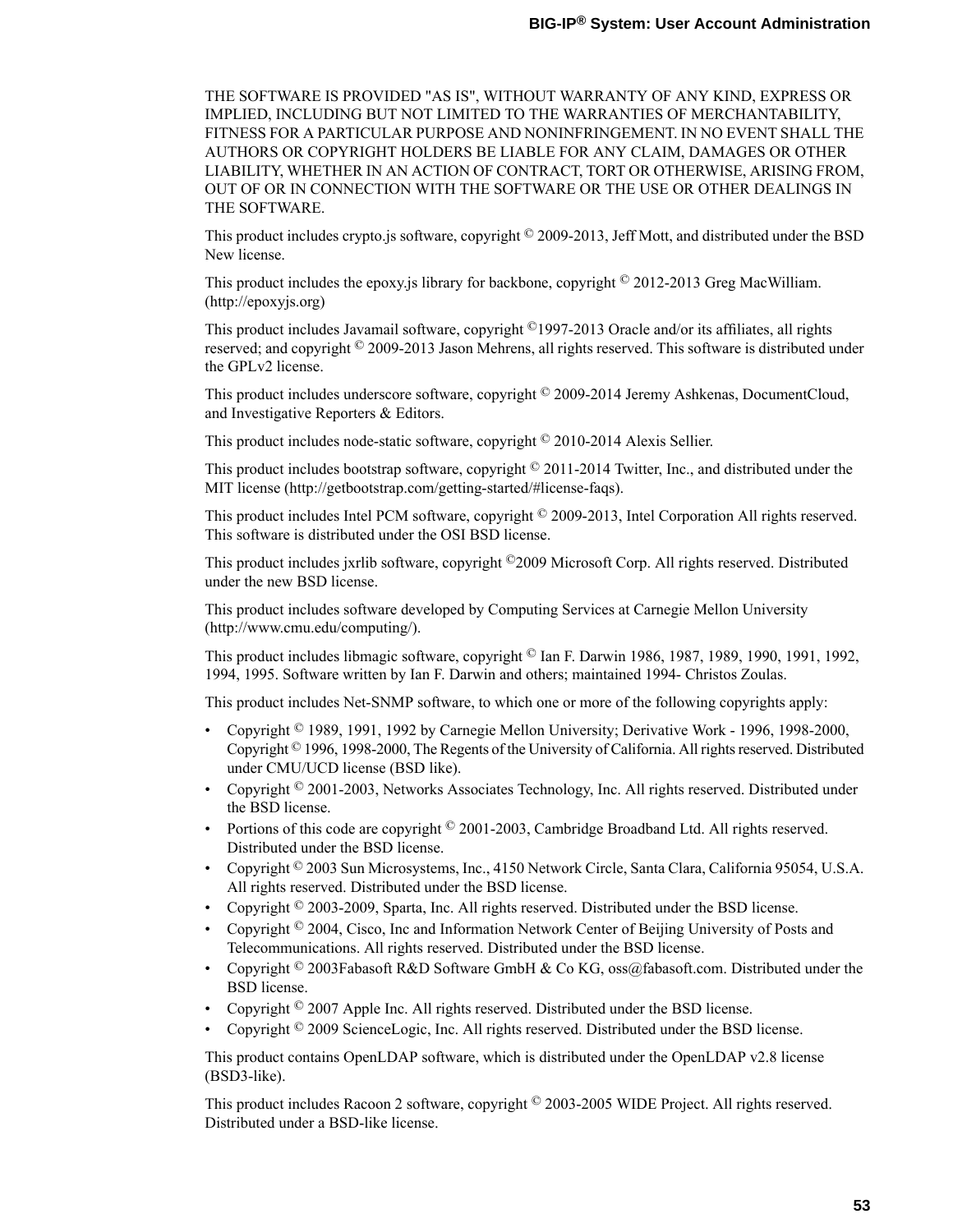THE SOFTWARE IS PROVIDED "AS IS", WITHOUT WARRANTY OF ANY KIND, EXPRESS OR IMPLIED, INCLUDING BUT NOT LIMITED TO THE WARRANTIES OF MERCHANTABILITY, FITNESS FOR A PARTICULAR PURPOSE AND NONINFRINGEMENT. IN NO EVENT SHALL THE AUTHORS OR COPYRIGHT HOLDERS BE LIABLE FOR ANY CLAIM, DAMAGES OR OTHER LIABILITY, WHETHER IN AN ACTION OF CONTRACT, TORT OR OTHERWISE, ARISING FROM, OUT OF OR IN CONNECTION WITH THE SOFTWARE OR THE USE OR OTHER DEALINGS IN THE SOFTWARE.

This product includes crypto.js software, copyright © 2009-2013, Jeff Mott, and distributed under the BSD New license.

This product includes the epoxy.js library for backbone, copyright  $\textcircled{2012-2013}$  Greg MacWilliam. (http://epoxyjs.org)

This product includes Javamail software, copyright ©1997-2013 Oracle and/or its affiliates, all rights reserved; and copyright © 2009-2013 Jason Mehrens, all rights reserved. This software is distributed under the GPLv2 license.

This product includes underscore software, copyright © 2009-2014 Jeremy Ashkenas, DocumentCloud, and Investigative Reporters & Editors.

This product includes node-static software, copyright © 2010-2014 Alexis Sellier.

This product includes bootstrap software, copyright © 2011-2014 Twitter, Inc., and distributed under the MIT license (http://getbootstrap.com/getting-started/#license-faqs).

This product includes Intel PCM software, copyright © 2009-2013, Intel Corporation All rights reserved. This software is distributed under the OSI BSD license.

This product includes jxrlib software, copyright ©2009 Microsoft Corp. All rights reserved. Distributed under the new BSD license.

This product includes software developed by Computing Services at Carnegie Mellon University (http://www.cmu.edu/computing/).

This product includes libmagic software, copyright © Ian F. Darwin 1986, 1987, 1989, 1990, 1991, 1992, 1994, 1995. Software written by Ian F. Darwin and others; maintained 1994- Christos Zoulas.

This product includes Net-SNMP software, to which one or more of the following copyrights apply:

- Copyright  $\degree$  1989, 1991, 1992 by Carnegie Mellon University; Derivative Work 1996, 1998-2000, Copyright  $\degree$  1996, 1998-2000, The Regents of the University of California. All rights reserved. Distributed under CMU/UCD license (BSD like).
- Copyright  $\degree$  2001-2003, Networks Associates Technology, Inc. All rights reserved. Distributed under the BSD license.
- Portions of this code are copyright © 2001-2003, Cambridge Broadband Ltd. All rights reserved. Distributed under the BSD license.
- Copyright  $\degree$  2003 Sun Microsystems, Inc., 4150 Network Circle, Santa Clara, California 95054, U.S.A. All rights reserved. Distributed under the BSD license.
- Copyright  $\degree$  2003-2009, Sparta, Inc. All rights reserved. Distributed under the BSD license.
- Copyright  $\degree$  2004, Cisco, Inc and Information Network Center of Beijing University of Posts and Telecommunications. All rights reserved. Distributed under the BSD license.
- Copyright  $\degree$  2003Fabasoft R&D Software GmbH & Co KG, oss@fabasoft.com. Distributed under the BSD license.
- Copyright  $\degree$  2007 Apple Inc. All rights reserved. Distributed under the BSD license.
- Copyright  $\degree$  2009 ScienceLogic, Inc. All rights reserved. Distributed under the BSD license.

This product contains OpenLDAP software, which is distributed under the OpenLDAP v2.8 license (BSD3-like).

This product includes Racoon 2 software, copyright © 2003-2005 WIDE Project. All rights reserved. Distributed under a BSD-like license.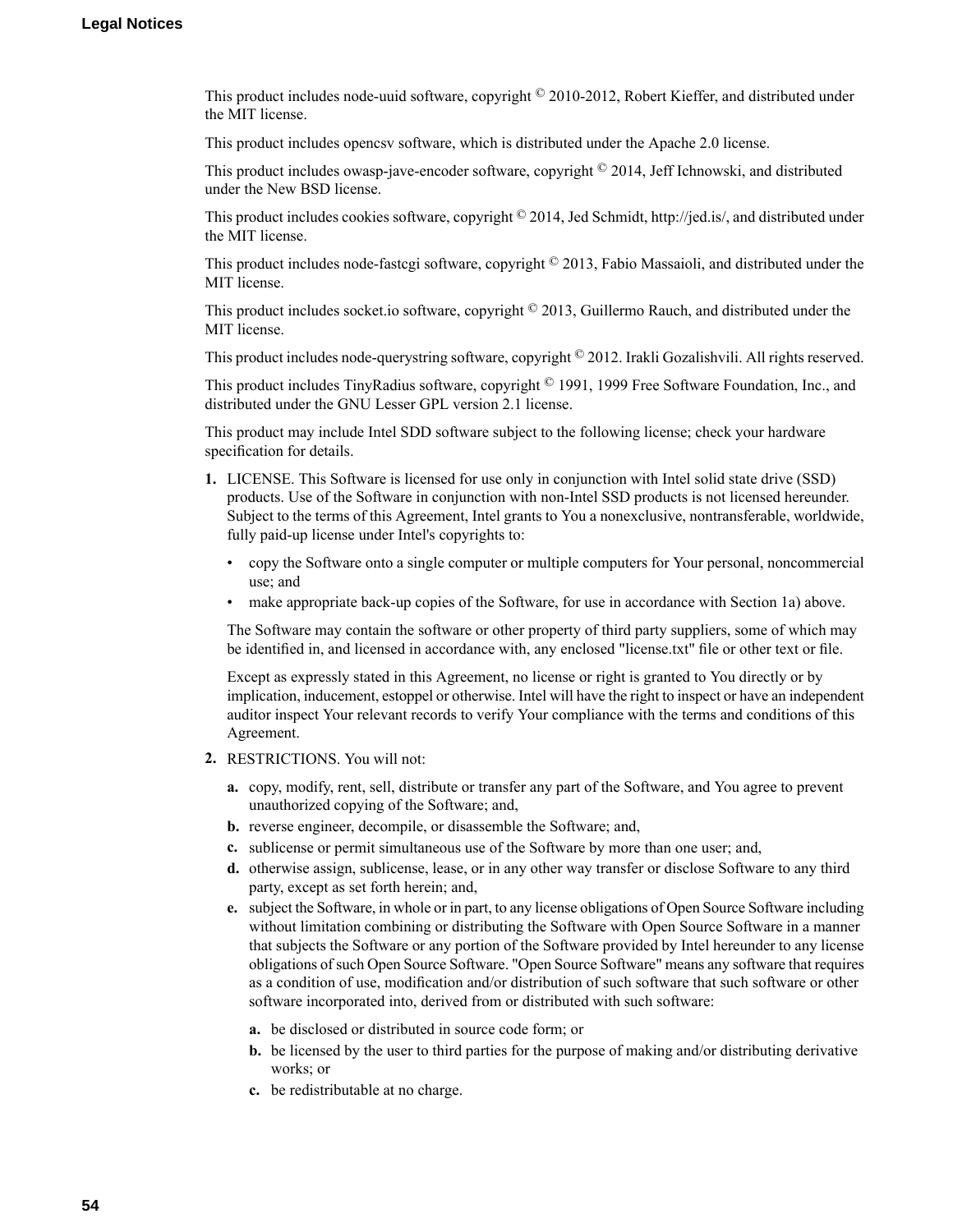This product includes node-uuid software, copyright © 2010-2012, Robert Kieffer, and distributed under the MIT license.

This product includes opencsv software, which is distributed under the Apache 2.0 license.

This product includes owasp-jave-encoder software, copyright  $\degree$  2014, Jeff Ichnowski, and distributed under the New BSD license.

This product includes cookies software, copyright  $\degree$  2014, Jed Schmidt, http://jed.is/, and distributed under the MIT license.

This product includes node-fastcgi software, copyright © 2013, Fabio Massaioli, and distributed under the MIT license.

This product includes socket.io software, copyright  $\degree$  2013, Guillermo Rauch, and distributed under the MIT license.

This product includes node-querystring software, copyright © 2012. Irakli Gozalishvili. All rights reserved.

This product includes TinyRadius software, copyright © 1991, 1999 Free Software Foundation, Inc., and distributed under the GNU Lesser GPL version 2.1 license.

This product may include Intel SDD software subject to the following license; check your hardware specification for details.

- **1.** LICENSE. This Software is licensed for use only in conjunction with Intel solid state drive (SSD) products. Use of the Software in conjunction with non-Intel SSD products is not licensed hereunder. Subject to the terms of this Agreement, Intel grants to You a nonexclusive, nontransferable, worldwide, fully paid-up license under Intel's copyrights to:
	- copy the Software onto a single computer or multiple computers for Your personal, noncommercial use; and
	- make appropriate back-up copies of the Software, for use in accordance with Section 1a) above.

The Software may contain the software or other property of third party suppliers, some of which may be identified in, and licensed in accordance with, any enclosed "license.txt" file or other text or file.

Except as expressly stated in this Agreement, no license or right is granted to You directly or by implication, inducement, estoppel or otherwise. Intel will have the right to inspect or have an independent auditor inspect Your relevant records to verify Your compliance with the terms and conditions of this Agreement.

- **2.** RESTRICTIONS. You will not:
	- **a.** copy, modify, rent, sell, distribute or transfer any part of the Software, and You agree to prevent unauthorized copying of the Software; and,
	- **b.** reverse engineer, decompile, or disassemble the Software; and,
	- **c.** sublicense or permit simultaneous use of the Software by more than one user; and,
	- **d.** otherwise assign, sublicense, lease, or in any other way transfer or disclose Software to any third party, except as set forth herein; and,
	- **e.** subject the Software, in whole or in part, to any license obligations of Open Source Software including without limitation combining or distributing the Software with Open Source Software in a manner that subjects the Software or any portion of the Software provided by Intel hereunder to any license obligations of such Open Source Software. "Open Source Software" means any software that requires as a condition of use, modification and/or distribution of such software that such software or other software incorporated into, derived from or distributed with such software:
		- **a.** be disclosed or distributed in source code form; or
		- **b.** be licensed by the user to third parties for the purpose of making and/or distributing derivative works; or
		- **c.** be redistributable at no charge.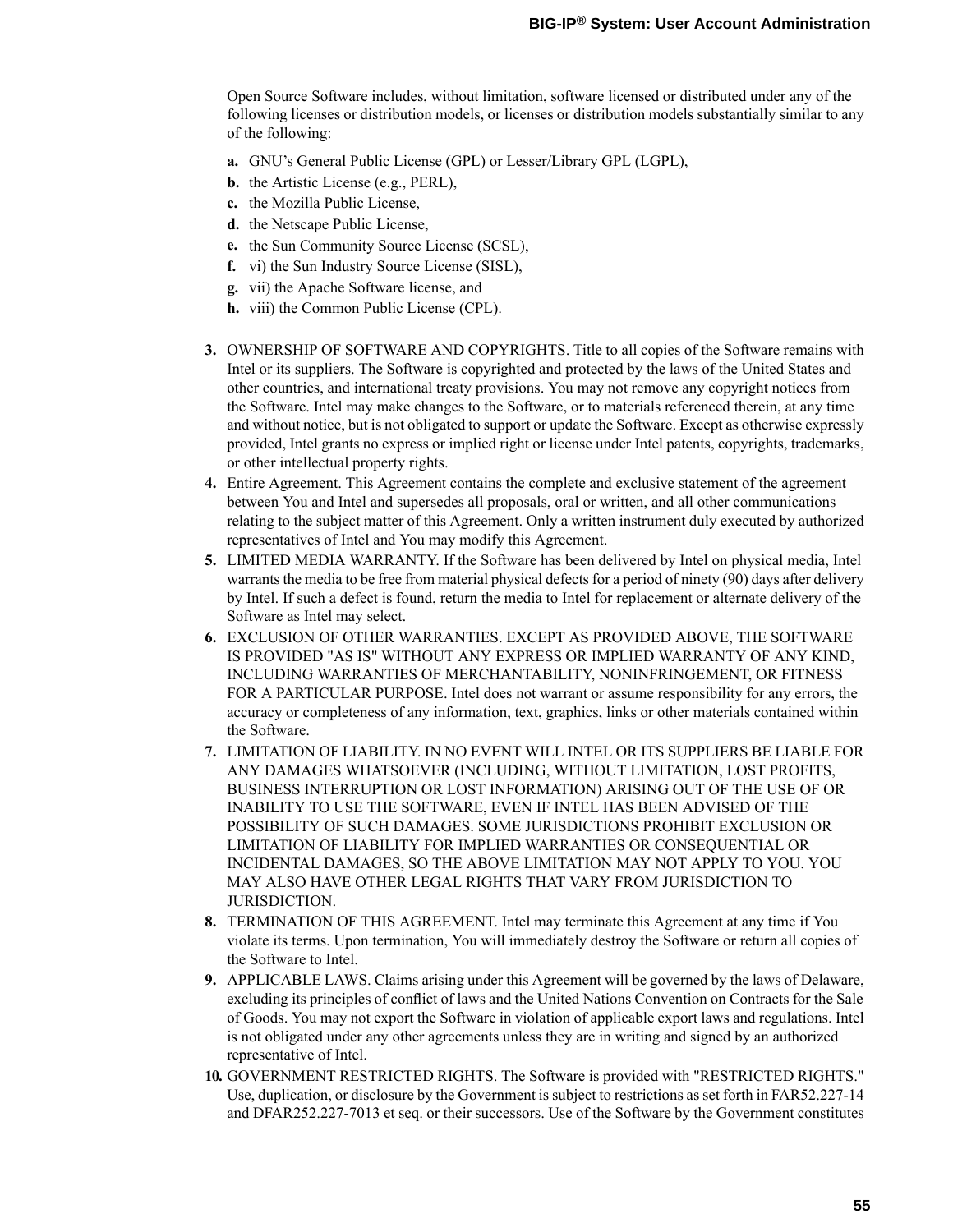Open Source Software includes, without limitation, software licensed or distributed under any of the following licenses or distribution models, or licenses or distribution models substantially similar to any of the following:

- **a.** GNU's General Public License (GPL) or Lesser/Library GPL (LGPL),
- **b.** the Artistic License (e.g., PERL),
- **c.** the Mozilla Public License,
- **d.** the Netscape Public License,
- **e.** the Sun Community Source License (SCSL),
- **f.** vi) the Sun Industry Source License (SISL),
- **g.** vii) the Apache Software license, and
- **h.** viii) the Common Public License (CPL).
- **3.** OWNERSHIP OF SOFTWARE AND COPYRIGHTS. Title to all copies of the Software remains with Intel or its suppliers. The Software is copyrighted and protected by the laws of the United States and other countries, and international treaty provisions. You may not remove any copyright notices from the Software. Intel may make changes to the Software, or to materials referenced therein, at any time and without notice, but is not obligated to support or update the Software. Except as otherwise expressly provided, Intel grants no express or implied right or license under Intel patents, copyrights, trademarks, or other intellectual property rights.
- **4.** Entire Agreement. This Agreement contains the complete and exclusive statement of the agreement between You and Intel and supersedes all proposals, oral or written, and all other communications relating to the subject matter of this Agreement. Only a written instrument duly executed by authorized representatives of Intel and You may modify this Agreement.
- **5.** LIMITED MEDIA WARRANTY. If the Software has been delivered by Intel on physical media, Intel warrants the media to be free from material physical defects for a period of ninety (90) days after delivery by Intel. If such a defect is found, return the media to Intel for replacement or alternate delivery of the Software as Intel may select.
- **6.** EXCLUSION OF OTHER WARRANTIES. EXCEPT AS PROVIDED ABOVE, THE SOFTWARE IS PROVIDED "AS IS" WITHOUT ANY EXPRESS OR IMPLIED WARRANTY OF ANY KIND, INCLUDING WARRANTIES OF MERCHANTABILITY, NONINFRINGEMENT, OR FITNESS FOR A PARTICULAR PURPOSE. Intel does not warrant or assume responsibility for any errors, the accuracy or completeness of any information, text, graphics, links or other materials contained within the Software.
- **7.** LIMITATION OF LIABILITY. IN NO EVENT WILL INTEL OR ITS SUPPLIERS BE LIABLE FOR ANY DAMAGES WHATSOEVER (INCLUDING, WITHOUT LIMITATION, LOST PROFITS, BUSINESS INTERRUPTION OR LOST INFORMATION) ARISING OUT OF THE USE OF OR INABILITY TO USE THE SOFTWARE, EVEN IF INTEL HAS BEEN ADVISED OF THE POSSIBILITY OF SUCH DAMAGES. SOME JURISDICTIONS PROHIBIT EXCLUSION OR LIMITATION OF LIABILITY FOR IMPLIED WARRANTIES OR CONSEQUENTIAL OR INCIDENTAL DAMAGES, SO THE ABOVE LIMITATION MAY NOT APPLY TO YOU. YOU MAY ALSO HAVE OTHER LEGAL RIGHTS THAT VARY FROM JURISDICTION TO JURISDICTION.
- **8.** TERMINATION OF THIS AGREEMENT. Intel may terminate this Agreement at any time if You violate its terms. Upon termination, You will immediately destroy the Software or return all copies of the Software to Intel.
- **9.** APPLICABLE LAWS. Claims arising under this Agreement will be governed by the laws of Delaware, excluding its principles of conflict of laws and the United Nations Convention on Contracts for the Sale of Goods. You may not export the Software in violation of applicable export laws and regulations. Intel is not obligated under any other agreements unless they are in writing and signed by an authorized representative of Intel.
- **10.** GOVERNMENT RESTRICTED RIGHTS. The Software is provided with "RESTRICTED RIGHTS." Use, duplication, or disclosure by the Government is subject to restrictions as set forth in FAR52.227-14 and DFAR252.227-7013 et seq. or their successors. Use of the Software by the Government constitutes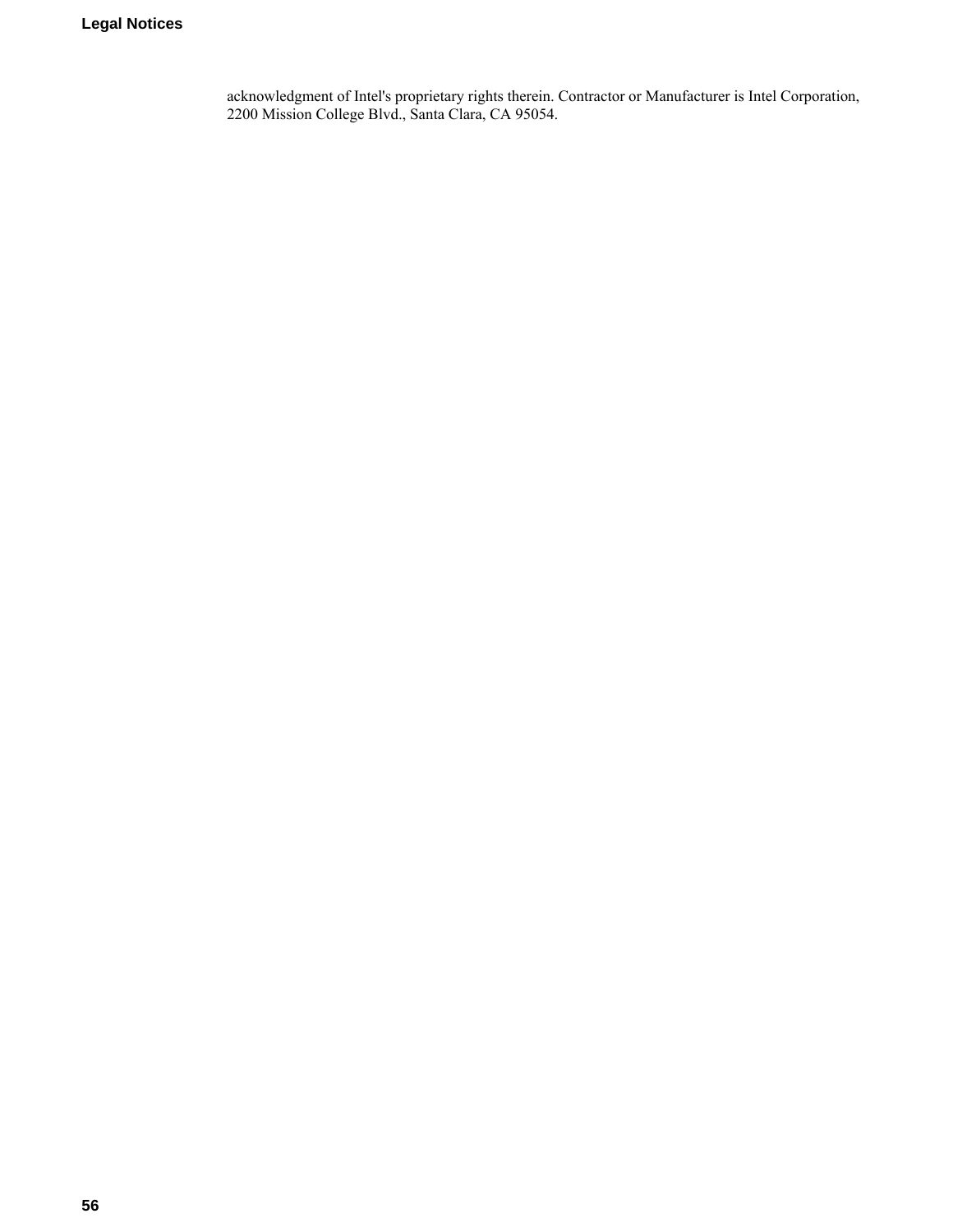acknowledgment of Intel's proprietary rights therein. Contractor or Manufacturer is Intel Corporation, 2200 Mission College Blvd., Santa Clara, CA 95054.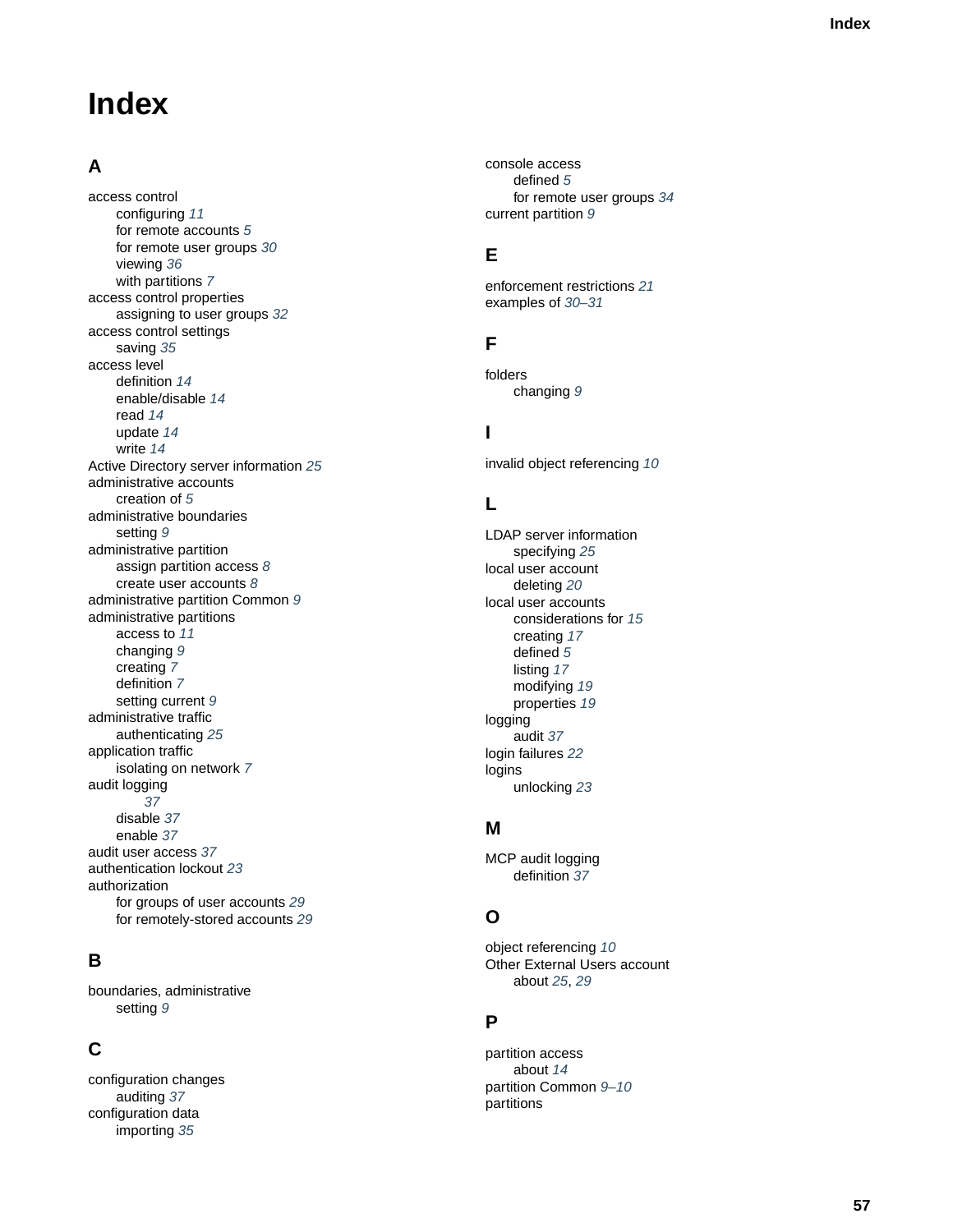# **Inde x**

# **A**

access control configuring *[11](#page-10-2)* for remote accounts *[5](#page-4-3)* for remote user groups *[30](#page-29-0)* viewing *[36](#page-35-2)* with partitions *[7](#page-6-1)* access control properties assigning to user groups *[32](#page-31-0)* access control settings saving *[35](#page-34-0)* access le vel definition *[14](#page-13-0)* enable/disable *[14](#page-13-0)* read *[14](#page-13-0)* update *[14](#page-13-0)* write *[14](#page-13-0)* Activ e Director y ser ver information *[25](#page-24-2)* administrativ e accounts creation of *[5](#page-4-1)* administrativ e boundaries setting *[9](#page-8-1)* administrativ e partition assign partition access *[8](#page-7-0)* create user accounts *[8](#page-7-0)* administrativ e partition Common *[9](#page-8-0)* administrativ e partitions access to *[11](#page-10-2)* changing *[9](#page-8-2)* creating *[7](#page-6-2)* definition *[7](#page-6-1)* setting current *[9](#page-8-1)* administrativ e traffic authenticating *[25](#page-24-2)* application traffic isolating on networ k *[7](#page-6-2)* audit logging *[37](#page-36-2)* disable *[37](#page-36-3)* enable *[37](#page-36-3)* audit user access *[37](#page-36-1)* authentication loc kout *[23](#page-22-0)* authorization for groups of user accounts *[29](#page-28-1)* for remotely-stored accounts *[29](#page-28-0)*

# **B**

boundaries , administrativ e setting *[9](#page-8-1)*

# **C**

configuration changes auditing *[37](#page-36-2)* configuration data importing *[35](#page-34-1)*

console access defined *[5](#page-4-2)* for remote user groups *[34](#page-33-0)* current partition *[9](#page-8-1)*

# **E**

enforcement restrictions *[21](#page-20-0)* examples of *[30–31](#page-29-1)*

# **F**

folders changing *[9](#page-8-2)*

# **I**

in valid object referencing *[10](#page-9-0)*

# **L**

<span id="page-56-0"></span>LDAP ser ver information specifying *[25](#page-24-2)* local user account deleting *[20](#page-19-0)* local user accounts considerations for *[15](#page-14-0)* creating *[17](#page-16-3)* defined *[5](#page-4-3)* listing *[17](#page-16-2)* modifying *[19](#page-18-1)* properties *[19](#page-18-0)* logging audit *[37](#page-36-3)* login failures *[22](#page-21-0)* logins unlocking *[23](#page-22-1)*

# **M**

MCP audit logging definition *[37](#page-36-3)*

# **O**

object referencing *[10](#page-9-0)* Other External Users account about *[25](#page-24-1)*, *[29](#page-28-0)*

# **P**

partition access about *[14](#page-13-1)* partition Common *[9–10](#page-8-0)* partitions